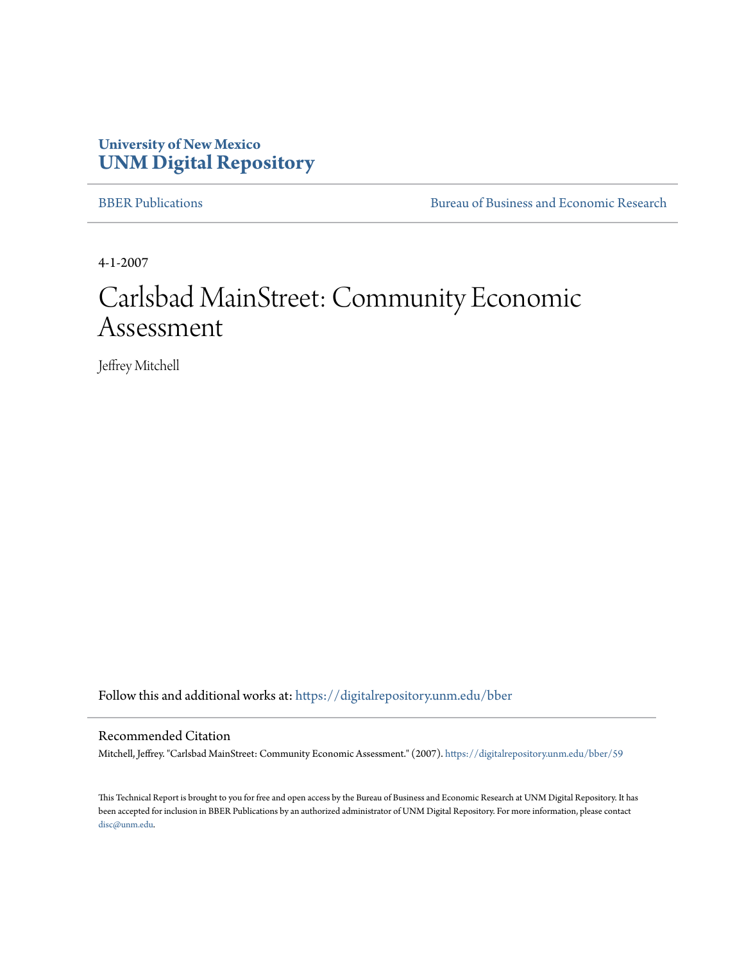#### **University of New Mexico [UNM Digital Repository](https://digitalrepository.unm.edu?utm_source=digitalrepository.unm.edu%2Fbber%2F59&utm_medium=PDF&utm_campaign=PDFCoverPages)**

[BBER Publications](https://digitalrepository.unm.edu/bber?utm_source=digitalrepository.unm.edu%2Fbber%2F59&utm_medium=PDF&utm_campaign=PDFCoverPages) [Bureau of Business and Economic Research](https://digitalrepository.unm.edu/business_economic_research?utm_source=digitalrepository.unm.edu%2Fbber%2F59&utm_medium=PDF&utm_campaign=PDFCoverPages)

4-1-2007

## Carlsbad MainStreet: Community Economic Assessment

Jeffrey Mitchell

Follow this and additional works at: [https://digitalrepository.unm.edu/bber](https://digitalrepository.unm.edu/bber?utm_source=digitalrepository.unm.edu%2Fbber%2F59&utm_medium=PDF&utm_campaign=PDFCoverPages)

#### Recommended Citation

Mitchell, Jeffrey. "Carlsbad MainStreet: Community Economic Assessment." (2007). [https://digitalrepository.unm.edu/bber/59](https://digitalrepository.unm.edu/bber/59?utm_source=digitalrepository.unm.edu%2Fbber%2F59&utm_medium=PDF&utm_campaign=PDFCoverPages)

This Technical Report is brought to you for free and open access by the Bureau of Business and Economic Research at UNM Digital Repository. It has been accepted for inclusion in BBER Publications by an authorized administrator of UNM Digital Repository. For more information, please contact [disc@unm.edu](mailto:disc@unm.edu).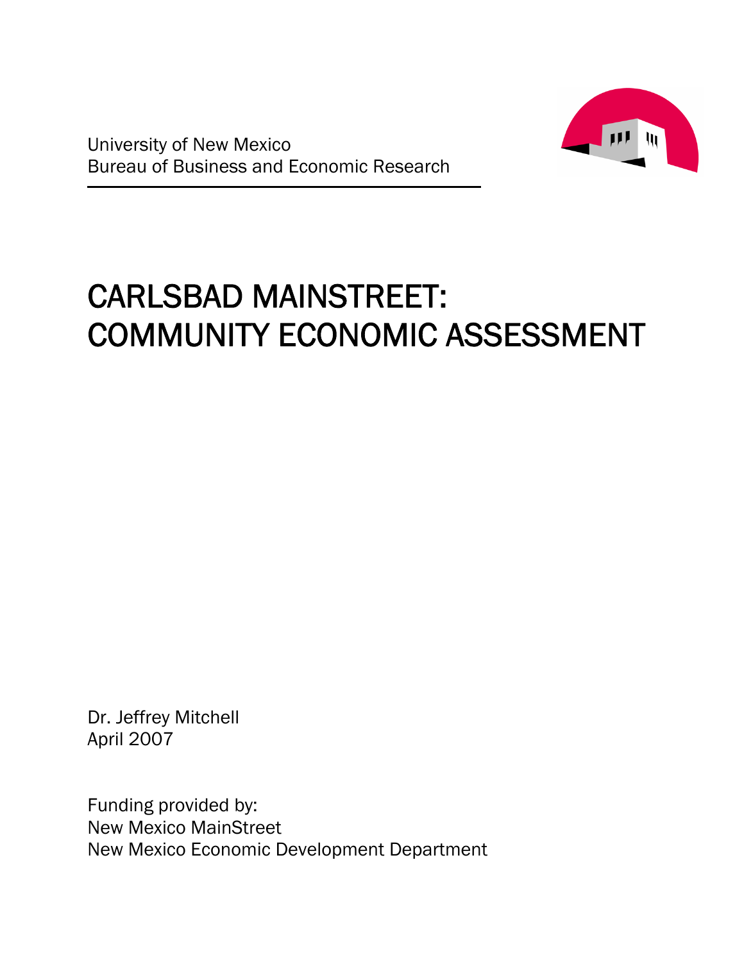

# CARLSBAD MAINSTREET: COMMUNITY ECONOMIC ASSESSMENT

Dr. Jeffrey Mitchell April 2007

Funding provided by: New Mexico MainStreet New Mexico Economic Development Department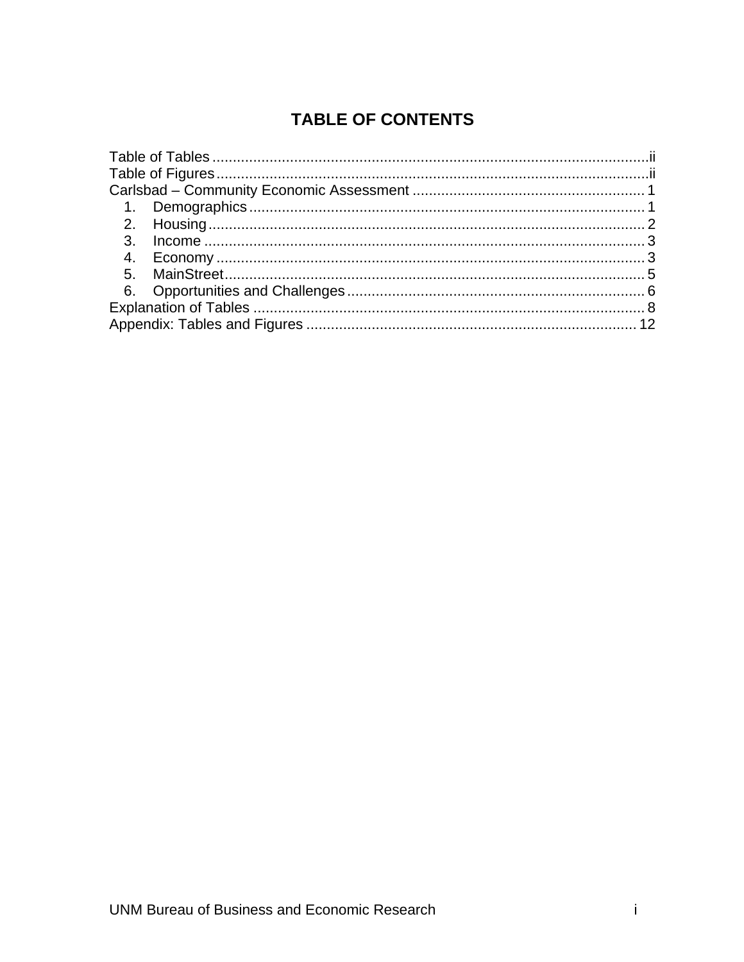### **TABLE OF CONTENTS**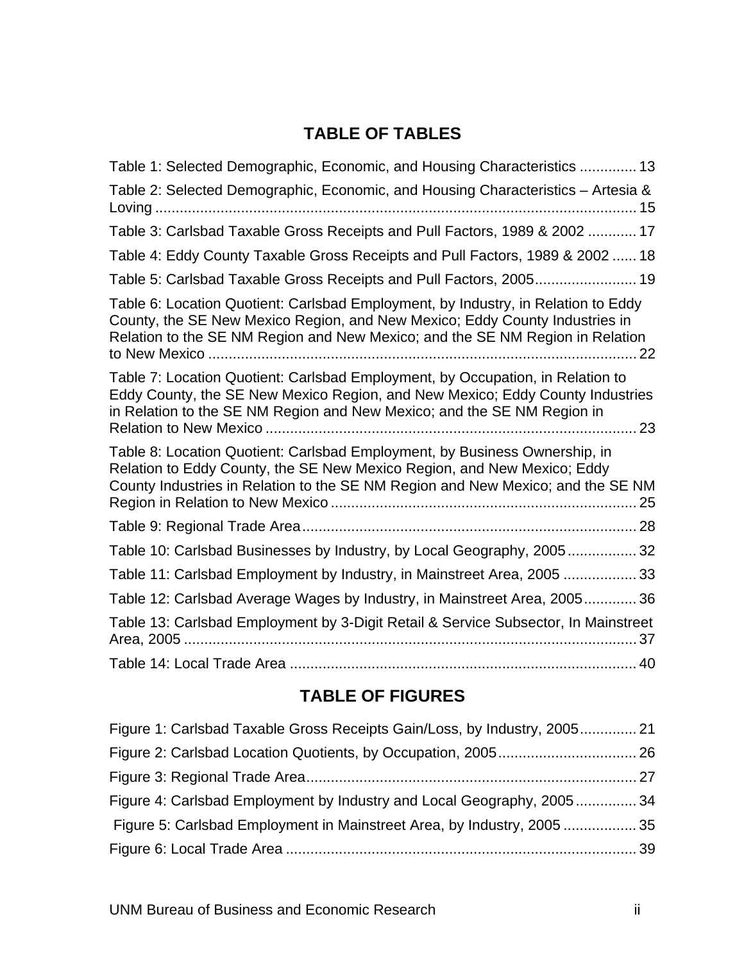### **TABLE OF TABLES**

| Table 1: Selected Demographic, Economic, and Housing Characteristics  13                                                                                                                                                                          |
|---------------------------------------------------------------------------------------------------------------------------------------------------------------------------------------------------------------------------------------------------|
| Table 2: Selected Demographic, Economic, and Housing Characteristics - Artesia &                                                                                                                                                                  |
| Table 3: Carlsbad Taxable Gross Receipts and Pull Factors, 1989 & 2002  17                                                                                                                                                                        |
| Table 4: Eddy County Taxable Gross Receipts and Pull Factors, 1989 & 2002  18                                                                                                                                                                     |
| Table 5: Carlsbad Taxable Gross Receipts and Pull Factors, 2005 19                                                                                                                                                                                |
| Table 6: Location Quotient: Carlsbad Employment, by Industry, in Relation to Eddy<br>County, the SE New Mexico Region, and New Mexico; Eddy County Industries in<br>Relation to the SE NM Region and New Mexico; and the SE NM Region in Relation |
| Table 7: Location Quotient: Carlsbad Employment, by Occupation, in Relation to<br>Eddy County, the SE New Mexico Region, and New Mexico; Eddy County Industries<br>in Relation to the SE NM Region and New Mexico; and the SE NM Region in        |
| Table 8: Location Quotient: Carlsbad Employment, by Business Ownership, in<br>Relation to Eddy County, the SE New Mexico Region, and New Mexico; Eddy<br>County Industries in Relation to the SE NM Region and New Mexico; and the SE NM          |
|                                                                                                                                                                                                                                                   |
| Table 10: Carlsbad Businesses by Industry, by Local Geography, 200532                                                                                                                                                                             |
| Table 11: Carlsbad Employment by Industry, in Mainstreet Area, 2005  33                                                                                                                                                                           |
| Table 12: Carlsbad Average Wages by Industry, in Mainstreet Area, 2005 36                                                                                                                                                                         |
| Table 13: Carlsbad Employment by 3-Digit Retail & Service Subsector, In Mainstreet                                                                                                                                                                |
|                                                                                                                                                                                                                                                   |

### **TABLE OF FIGURES**

| Figure 1: Carlsbad Taxable Gross Receipts Gain/Loss, by Industry, 2005 21 |  |
|---------------------------------------------------------------------------|--|
|                                                                           |  |
|                                                                           |  |
| Figure 4: Carlsbad Employment by Industry and Local Geography, 2005 34    |  |
| Figure 5: Carlsbad Employment in Mainstreet Area, by Industry, 2005  35   |  |
|                                                                           |  |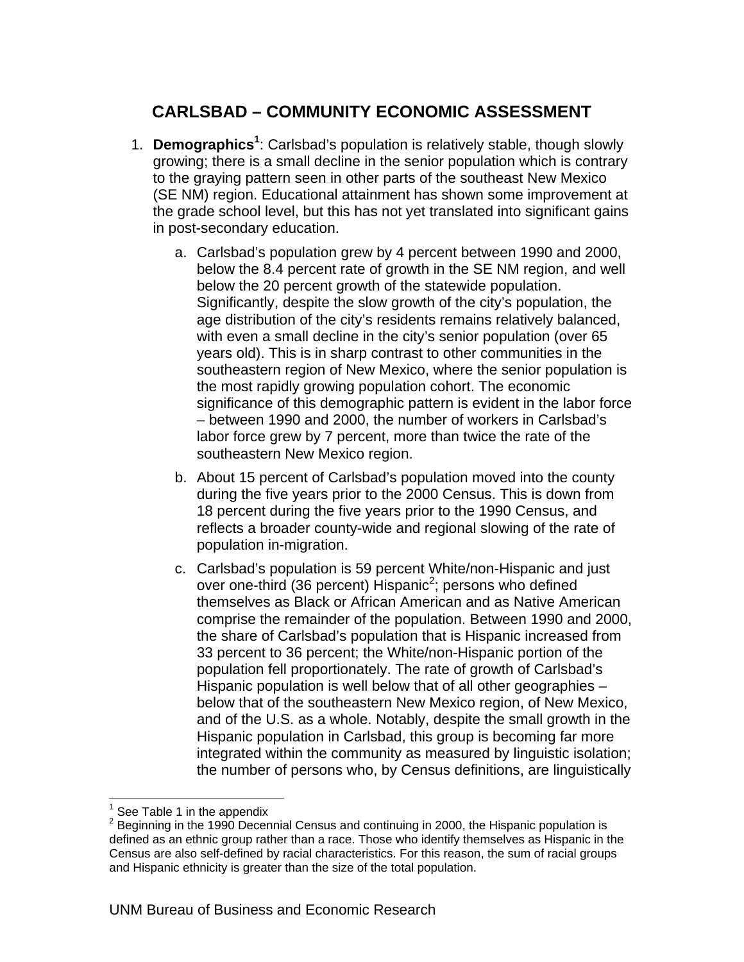### **CARLSBAD – COMMUNITY ECONOMIC ASSESSMENT**

- 1. **Demographics<sup>1</sup>** : Carlsbad's population is relatively stable, though slowly growing; there is a small decline in the senior population which is contrary to the graying pattern seen in other parts of the southeast New Mexico (SE NM) region. Educational attainment has shown some improvement at the grade school level, but this has not yet translated into significant gains in post-secondary education.
	- a. Carlsbad's population grew by 4 percent between 1990 and 2000, below the 8.4 percent rate of growth in the SE NM region, and well below the 20 percent growth of the statewide population. Significantly, despite the slow growth of the city's population, the age distribution of the city's residents remains relatively balanced, with even a small decline in the city's senior population (over 65 years old). This is in sharp contrast to other communities in the southeastern region of New Mexico, where the senior population is the most rapidly growing population cohort. The economic significance of this demographic pattern is evident in the labor force – between 1990 and 2000, the number of workers in Carlsbad's labor force grew by 7 percent, more than twice the rate of the southeastern New Mexico region.
	- b. About 15 percent of Carlsbad's population moved into the county during the five years prior to the 2000 Census. This is down from 18 percent during the five years prior to the 1990 Census, and reflects a broader county-wide and regional slowing of the rate of population in-migration.
	- c. Carlsbad's population is 59 percent White/non-Hispanic and just over one-third (36 percent) Hispanic<sup>2</sup>; persons who defined themselves as Black or African American and as Native American comprise the remainder of the population. Between 1990 and 2000, the share of Carlsbad's population that is Hispanic increased from 33 percent to 36 percent; the White/non-Hispanic portion of the population fell proportionately. The rate of growth of Carlsbad's Hispanic population is well below that of all other geographies – below that of the southeastern New Mexico region, of New Mexico, and of the U.S. as a whole. Notably, despite the small growth in the Hispanic population in Carlsbad, this group is becoming far more integrated within the community as measured by linguistic isolation; the number of persons who, by Census definitions, are linguistically

 $\overline{a}$ 1 See Table 1 in the appendix

<sup>2</sup> Beginning in the 1990 Decennial Census and continuing in 2000, the Hispanic population is defined as an ethnic group rather than a race. Those who identify themselves as Hispanic in the Census are also self-defined by racial characteristics. For this reason, the sum of racial groups and Hispanic ethnicity is greater than the size of the total population.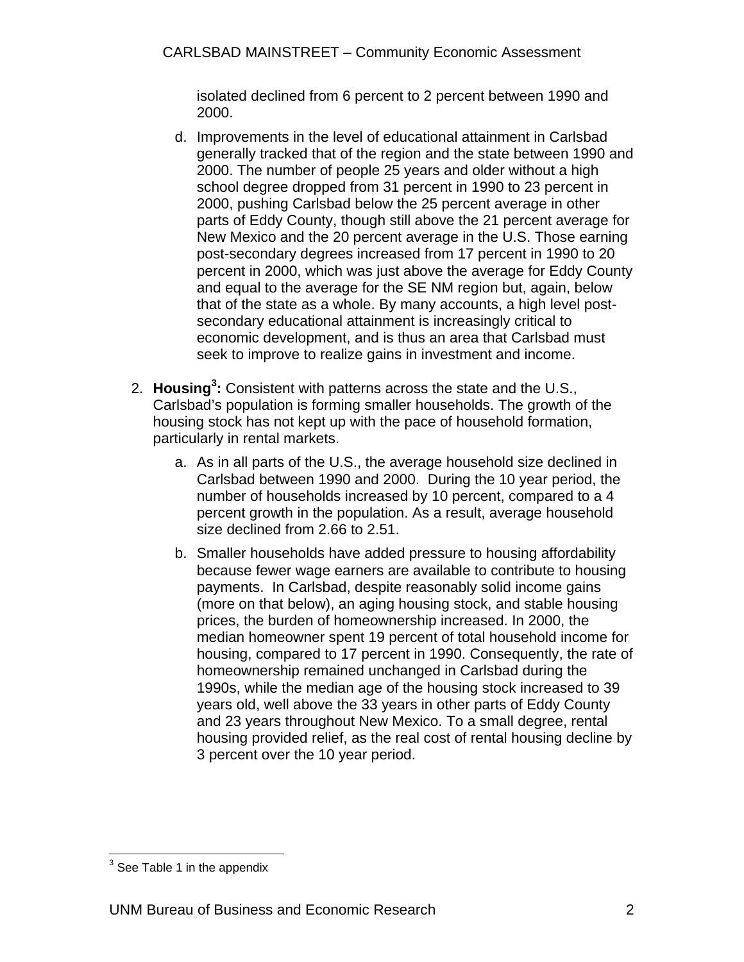isolated declined from 6 percent to 2 percent between 1990 and 2000.

- d. Improvements in the level of educational attainment in Carlsbad generally tracked that of the region and the state between 1990 and 2000. The number of people 25 years and older without a high school degree dropped from 31 percent in 1990 to 23 percent in 2000, pushing Carlsbad below the 25 percent average in other parts of Eddy County, though still above the 21 percent average for New Mexico and the 20 percent average in the U.S. Those earning post-secondary degrees increased from 17 percent in 1990 to 20 percent in 2000, which was just above the average for Eddy County and equal to the average for the SE NM region but, again, below that of the state as a whole. By many accounts, a high level postsecondary educational attainment is increasingly critical to economic development, and is thus an area that Carlsbad must seek to improve to realize gains in investment and income.
- 2. **Housing<sup>3</sup> :** Consistent with patterns across the state and the U.S., Carlsbad's population is forming smaller households. The growth of the housing stock has not kept up with the pace of household formation, particularly in rental markets.
	- a. As in all parts of the U.S., the average household size declined in Carlsbad between 1990 and 2000. During the 10 year period, the number of households increased by 10 percent, compared to a 4 percent growth in the population. As a result, average household size declined from 2.66 to 2.51.
	- b. Smaller households have added pressure to housing affordability because fewer wage earners are available to contribute to housing payments. In Carlsbad, despite reasonably solid income gains (more on that below), an aging housing stock, and stable housing prices, the burden of homeownership increased. In 2000, the median homeowner spent 19 percent of total household income for housing, compared to 17 percent in 1990. Consequently, the rate of homeownership remained unchanged in Carlsbad during the 1990s, while the median age of the housing stock increased to 39 years old, well above the 33 years in other parts of Eddy County and 23 years throughout New Mexico. To a small degree, rental housing provided relief, as the real cost of rental housing decline by 3 percent over the 10 year period.

<sup>&</sup>lt;u>Letter Community</u><br>
<sup>3</sup> See Table 1 in the appendix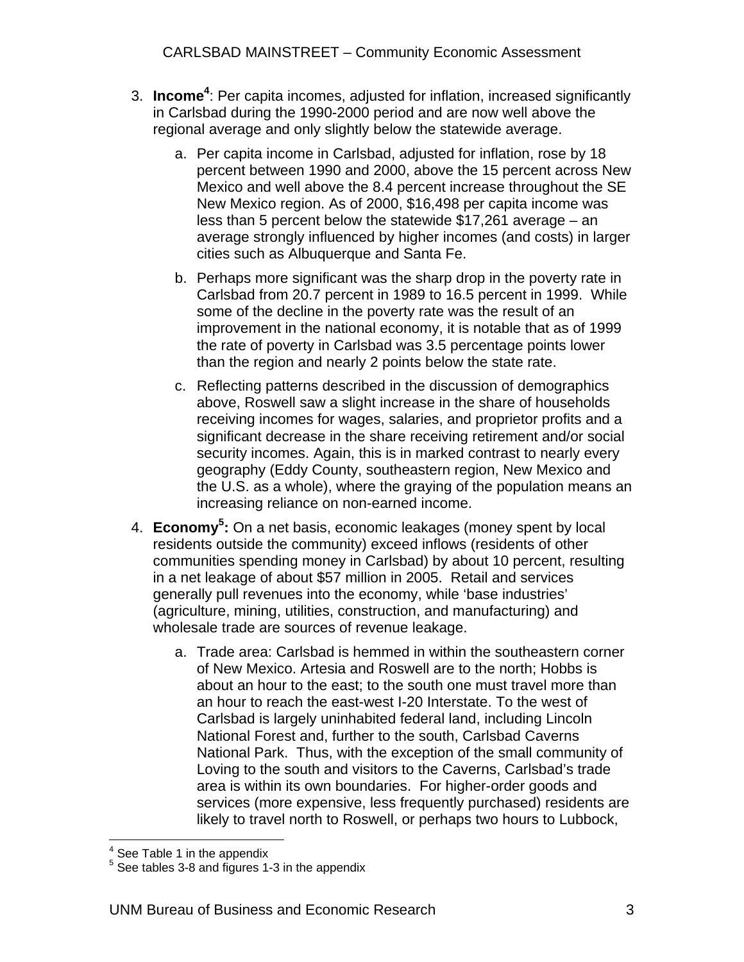- 3. **Income4** : Per capita incomes, adjusted for inflation, increased significantly in Carlsbad during the 1990-2000 period and are now well above the regional average and only slightly below the statewide average.
	- a. Per capita income in Carlsbad, adjusted for inflation, rose by 18 percent between 1990 and 2000, above the 15 percent across New Mexico and well above the 8.4 percent increase throughout the SE New Mexico region. As of 2000, \$16,498 per capita income was less than 5 percent below the statewide \$17,261 average – an average strongly influenced by higher incomes (and costs) in larger cities such as Albuquerque and Santa Fe.
	- b. Perhaps more significant was the sharp drop in the poverty rate in Carlsbad from 20.7 percent in 1989 to 16.5 percent in 1999. While some of the decline in the poverty rate was the result of an improvement in the national economy, it is notable that as of 1999 the rate of poverty in Carlsbad was 3.5 percentage points lower than the region and nearly 2 points below the state rate.
	- c. Reflecting patterns described in the discussion of demographics above, Roswell saw a slight increase in the share of households receiving incomes for wages, salaries, and proprietor profits and a significant decrease in the share receiving retirement and/or social security incomes. Again, this is in marked contrast to nearly every geography (Eddy County, southeastern region, New Mexico and the U.S. as a whole), where the graying of the population means an increasing reliance on non-earned income.
- 4. **Economy5 :** On a net basis, economic leakages (money spent by local residents outside the community) exceed inflows (residents of other communities spending money in Carlsbad) by about 10 percent, resulting in a net leakage of about \$57 million in 2005. Retail and services generally pull revenues into the economy, while 'base industries' (agriculture, mining, utilities, construction, and manufacturing) and wholesale trade are sources of revenue leakage.
	- a. Trade area: Carlsbad is hemmed in within the southeastern corner of New Mexico. Artesia and Roswell are to the north; Hobbs is about an hour to the east; to the south one must travel more than an hour to reach the east-west I-20 Interstate. To the west of Carlsbad is largely uninhabited federal land, including Lincoln National Forest and, further to the south, Carlsbad Caverns National Park. Thus, with the exception of the small community of Loving to the south and visitors to the Caverns, Carlsbad's trade area is within its own boundaries. For higher-order goods and services (more expensive, less frequently purchased) residents are likely to travel north to Roswell, or perhaps two hours to Lubbock,

**Example 2**<br>
<sup>4</sup> See Table 1 in the appendix

 $5$  See tables 3-8 and figures 1-3 in the appendix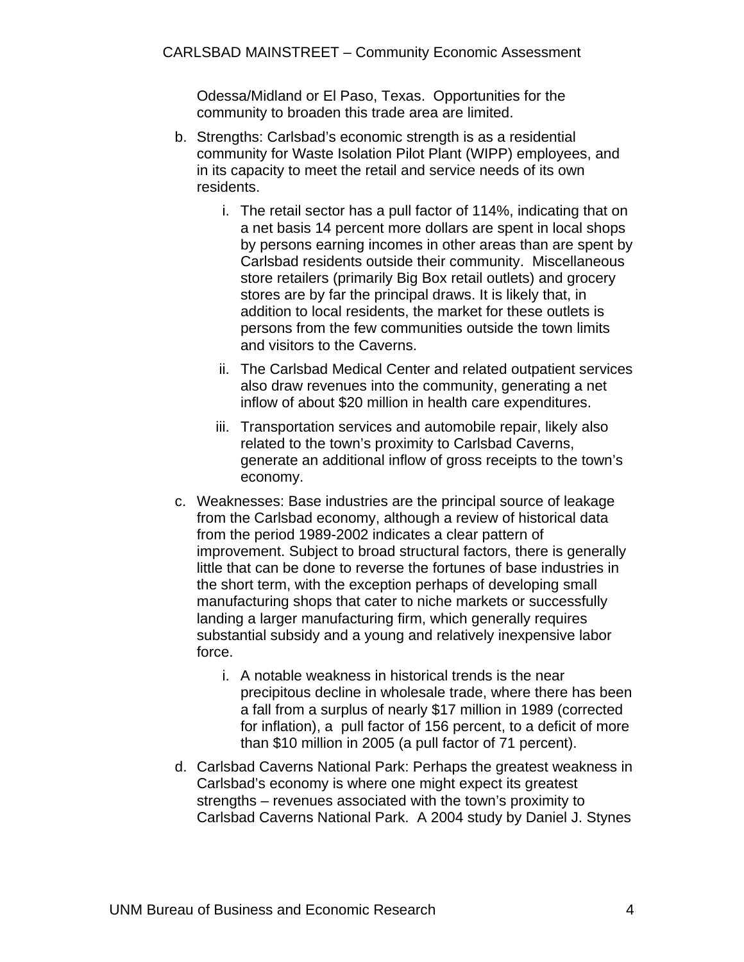Odessa/Midland or El Paso, Texas. Opportunities for the community to broaden this trade area are limited.

- b. Strengths: Carlsbad's economic strength is as a residential community for Waste Isolation Pilot Plant (WIPP) employees, and in its capacity to meet the retail and service needs of its own residents.
	- i. The retail sector has a pull factor of 114%, indicating that on a net basis 14 percent more dollars are spent in local shops by persons earning incomes in other areas than are spent by Carlsbad residents outside their community. Miscellaneous store retailers (primarily Big Box retail outlets) and grocery stores are by far the principal draws. It is likely that, in addition to local residents, the market for these outlets is persons from the few communities outside the town limits and visitors to the Caverns.
	- ii. The Carlsbad Medical Center and related outpatient services also draw revenues into the community, generating a net inflow of about \$20 million in health care expenditures.
	- iii. Transportation services and automobile repair, likely also related to the town's proximity to Carlsbad Caverns, generate an additional inflow of gross receipts to the town's economy.
- c. Weaknesses: Base industries are the principal source of leakage from the Carlsbad economy, although a review of historical data from the period 1989-2002 indicates a clear pattern of improvement. Subject to broad structural factors, there is generally little that can be done to reverse the fortunes of base industries in the short term, with the exception perhaps of developing small manufacturing shops that cater to niche markets or successfully landing a larger manufacturing firm, which generally requires substantial subsidy and a young and relatively inexpensive labor force.
	- i. A notable weakness in historical trends is the near precipitous decline in wholesale trade, where there has been a fall from a surplus of nearly \$17 million in 1989 (corrected for inflation), a pull factor of 156 percent, to a deficit of more than \$10 million in 2005 (a pull factor of 71 percent).
- d. Carlsbad Caverns National Park: Perhaps the greatest weakness in Carlsbad's economy is where one might expect its greatest strengths – revenues associated with the town's proximity to Carlsbad Caverns National Park. A 2004 study by Daniel J. Stynes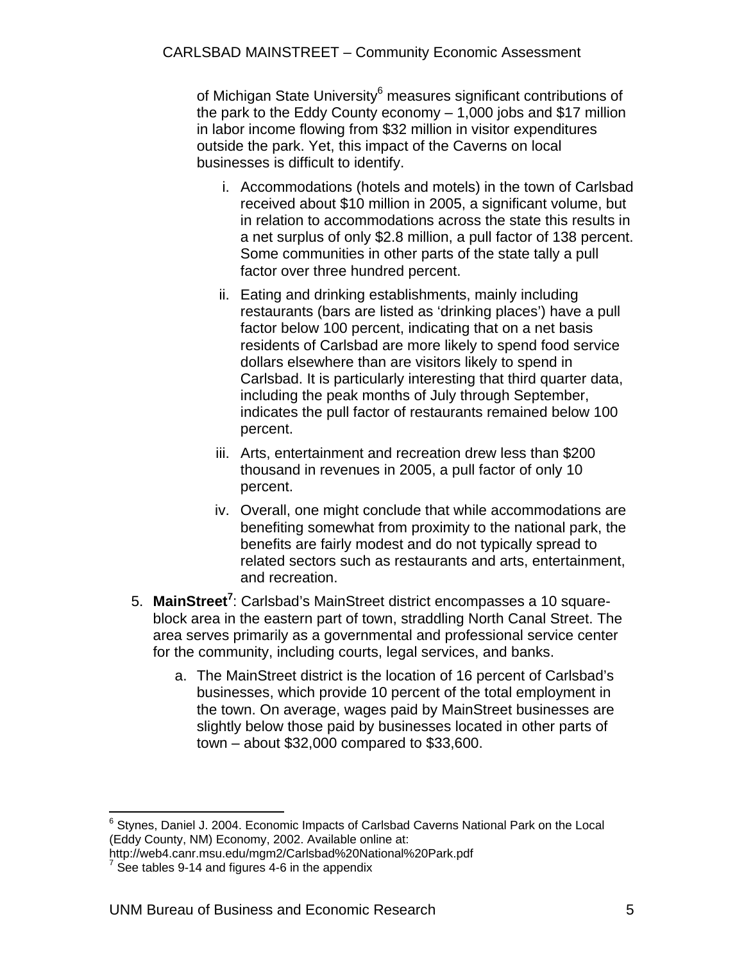of Michigan State University<sup>6</sup> measures significant contributions of the park to the Eddy County economy – 1,000 jobs and \$17 million in labor income flowing from \$32 million in visitor expenditures outside the park. Yet, this impact of the Caverns on local businesses is difficult to identify.

- i. Accommodations (hotels and motels) in the town of Carlsbad received about \$10 million in 2005, a significant volume, but in relation to accommodations across the state this results in a net surplus of only \$2.8 million, a pull factor of 138 percent. Some communities in other parts of the state tally a pull factor over three hundred percent.
- ii. Eating and drinking establishments, mainly including restaurants (bars are listed as 'drinking places') have a pull factor below 100 percent, indicating that on a net basis residents of Carlsbad are more likely to spend food service dollars elsewhere than are visitors likely to spend in Carlsbad. It is particularly interesting that third quarter data, including the peak months of July through September, indicates the pull factor of restaurants remained below 100 percent.
- iii. Arts, entertainment and recreation drew less than \$200 thousand in revenues in 2005, a pull factor of only 10 percent.
- iv. Overall, one might conclude that while accommodations are benefiting somewhat from proximity to the national park, the benefits are fairly modest and do not typically spread to related sectors such as restaurants and arts, entertainment, and recreation.
- 5. MainStreet<sup>7</sup>: Carlsbad's MainStreet district encompasses a 10 squareblock area in the eastern part of town, straddling North Canal Street. The area serves primarily as a governmental and professional service center for the community, including courts, legal services, and banks.
	- a. The MainStreet district is the location of 16 percent of Carlsbad's businesses, which provide 10 percent of the total employment in the town. On average, wages paid by MainStreet businesses are slightly below those paid by businesses located in other parts of town – about \$32,000 compared to \$33,600.

 6 Stynes, Daniel J. 2004. Economic Impacts of Carlsbad Caverns National Park on the Local (Eddy County, NM) Economy, 2002. Available online at:

http://web4.canr.msu.edu/mgm2/Carlsbad%20National%20Park.pdf 7

See tables 9-14 and figures 4-6 in the appendix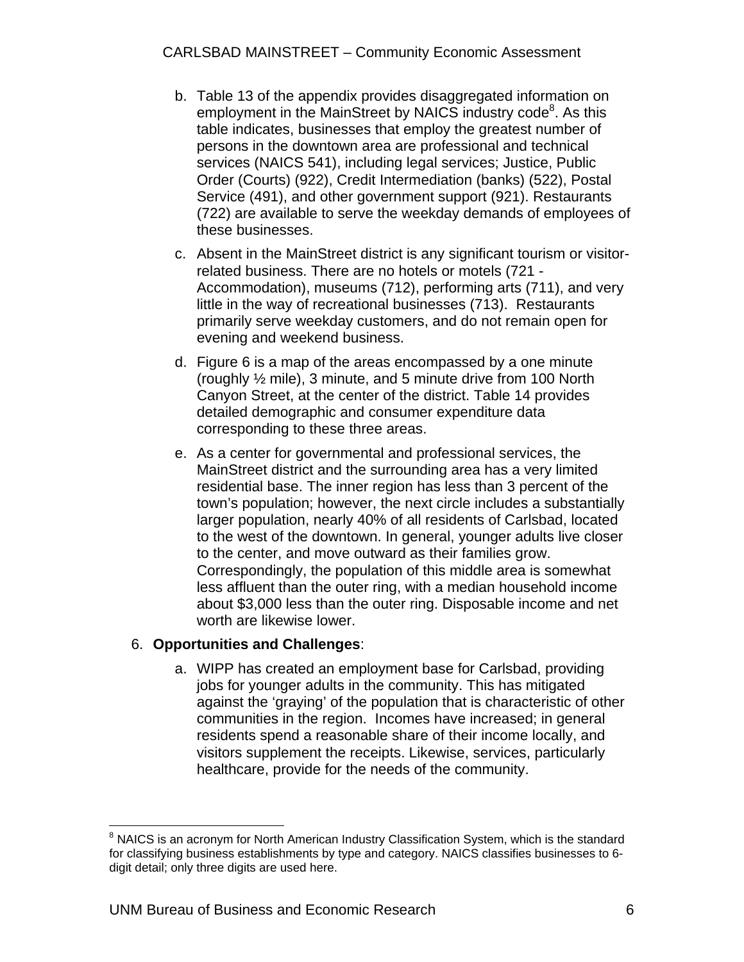- b. Table 13 of the appendix provides disaggregated information on employment in the MainStreet by NAICS industry code<sup>8</sup>. As this table indicates, businesses that employ the greatest number of persons in the downtown area are professional and technical services (NAICS 541), including legal services; Justice, Public Order (Courts) (922), Credit Intermediation (banks) (522), Postal Service (491), and other government support (921). Restaurants (722) are available to serve the weekday demands of employees of these businesses.
- c. Absent in the MainStreet district is any significant tourism or visitorrelated business. There are no hotels or motels (721 - Accommodation), museums (712), performing arts (711), and very little in the way of recreational businesses (713). Restaurants primarily serve weekday customers, and do not remain open for evening and weekend business.
- d. Figure 6 is a map of the areas encompassed by a one minute (roughly ½ mile), 3 minute, and 5 minute drive from 100 North Canyon Street, at the center of the district. Table 14 provides detailed demographic and consumer expenditure data corresponding to these three areas.
- e. As a center for governmental and professional services, the MainStreet district and the surrounding area has a very limited residential base. The inner region has less than 3 percent of the town's population; however, the next circle includes a substantially larger population, nearly 40% of all residents of Carlsbad, located to the west of the downtown. In general, younger adults live closer to the center, and move outward as their families grow. Correspondingly, the population of this middle area is somewhat less affluent than the outer ring, with a median household income about \$3,000 less than the outer ring. Disposable income and net worth are likewise lower.

#### 6. **Opportunities and Challenges**:

a. WIPP has created an employment base for Carlsbad, providing jobs for younger adults in the community. This has mitigated against the 'graying' of the population that is characteristic of other communities in the region. Incomes have increased; in general residents spend a reasonable share of their income locally, and visitors supplement the receipts. Likewise, services, particularly healthcare, provide for the needs of the community.

 $\overline{a}$  $8$  NAICS is an acronym for North American Industry Classification System, which is the standard for classifying business establishments by type and category. NAICS classifies businesses to 6 digit detail; only three digits are used here.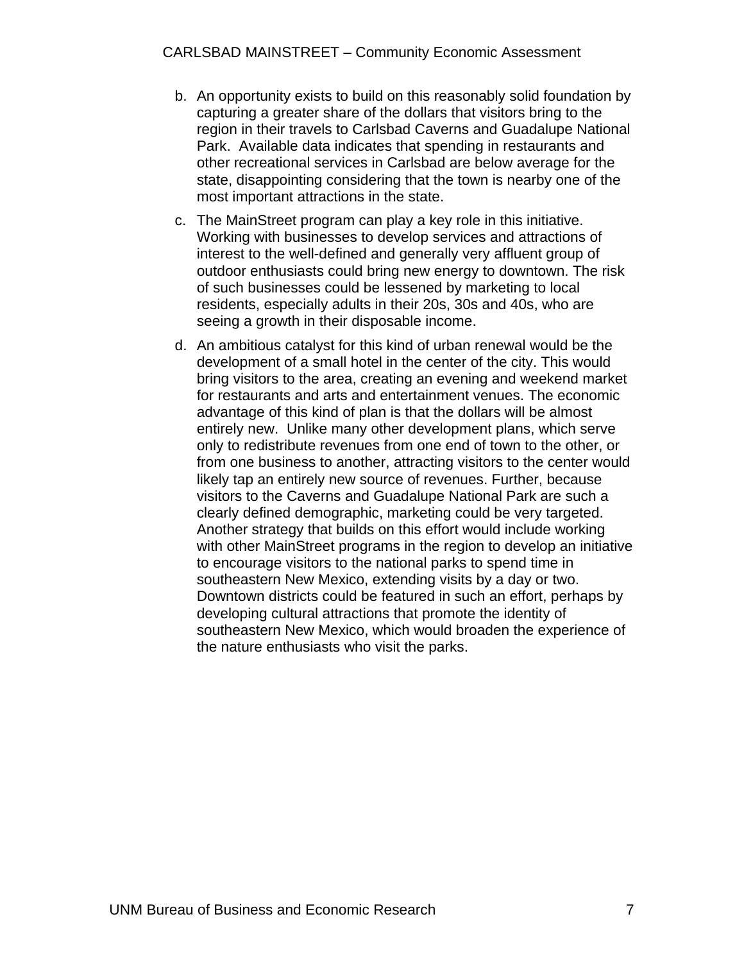- b. An opportunity exists to build on this reasonably solid foundation by capturing a greater share of the dollars that visitors bring to the region in their travels to Carlsbad Caverns and Guadalupe National Park. Available data indicates that spending in restaurants and other recreational services in Carlsbad are below average for the state, disappointing considering that the town is nearby one of the most important attractions in the state.
- c. The MainStreet program can play a key role in this initiative. Working with businesses to develop services and attractions of interest to the well-defined and generally very affluent group of outdoor enthusiasts could bring new energy to downtown. The risk of such businesses could be lessened by marketing to local residents, especially adults in their 20s, 30s and 40s, who are seeing a growth in their disposable income.
- d. An ambitious catalyst for this kind of urban renewal would be the development of a small hotel in the center of the city. This would bring visitors to the area, creating an evening and weekend market for restaurants and arts and entertainment venues. The economic advantage of this kind of plan is that the dollars will be almost entirely new. Unlike many other development plans, which serve only to redistribute revenues from one end of town to the other, or from one business to another, attracting visitors to the center would likely tap an entirely new source of revenues. Further, because visitors to the Caverns and Guadalupe National Park are such a clearly defined demographic, marketing could be very targeted. Another strategy that builds on this effort would include working with other MainStreet programs in the region to develop an initiative to encourage visitors to the national parks to spend time in southeastern New Mexico, extending visits by a day or two. Downtown districts could be featured in such an effort, perhaps by developing cultural attractions that promote the identity of southeastern New Mexico, which would broaden the experience of the nature enthusiasts who visit the parks.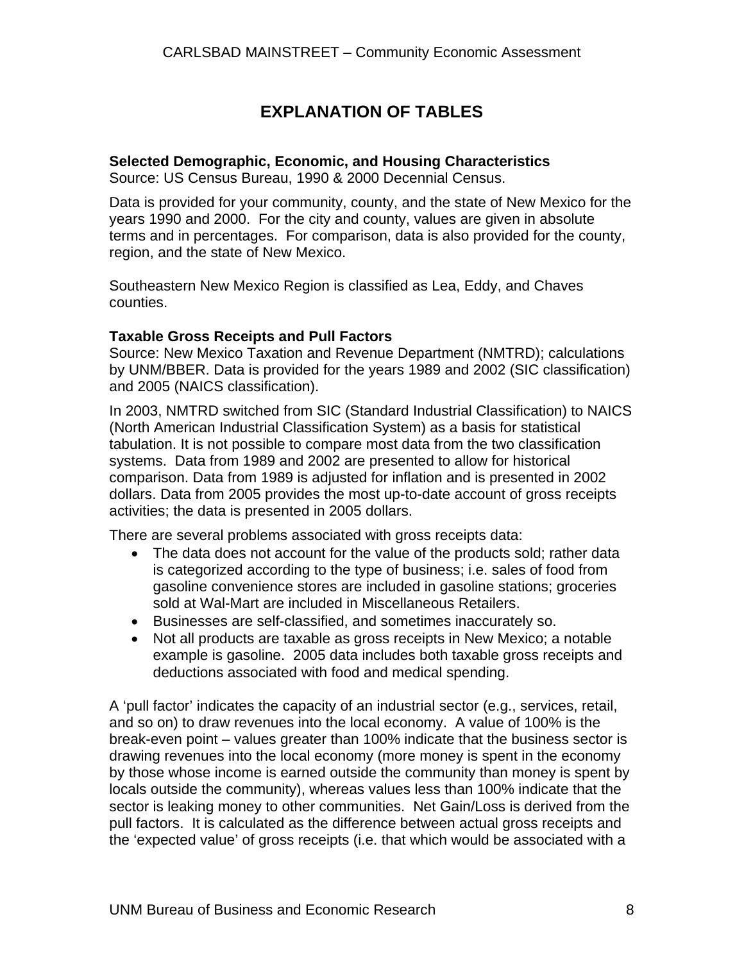### **EXPLANATION OF TABLES**

#### **Selected Demographic, Economic, and Housing Characteristics**

Source: US Census Bureau, 1990 & 2000 Decennial Census.

Data is provided for your community, county, and the state of New Mexico for the years 1990 and 2000. For the city and county, values are given in absolute terms and in percentages. For comparison, data is also provided for the county, region, and the state of New Mexico.

Southeastern New Mexico Region is classified as Lea, Eddy, and Chaves counties.

#### **Taxable Gross Receipts and Pull Factors**

Source: New Mexico Taxation and Revenue Department (NMTRD); calculations by UNM/BBER. Data is provided for the years 1989 and 2002 (SIC classification) and 2005 (NAICS classification).

In 2003, NMTRD switched from SIC (Standard Industrial Classification) to NAICS (North American Industrial Classification System) as a basis for statistical tabulation. It is not possible to compare most data from the two classification systems. Data from 1989 and 2002 are presented to allow for historical comparison. Data from 1989 is adjusted for inflation and is presented in 2002 dollars. Data from 2005 provides the most up-to-date account of gross receipts activities; the data is presented in 2005 dollars.

There are several problems associated with gross receipts data:

- The data does not account for the value of the products sold; rather data is categorized according to the type of business; i.e. sales of food from gasoline convenience stores are included in gasoline stations; groceries sold at Wal-Mart are included in Miscellaneous Retailers.
- Businesses are self-classified, and sometimes inaccurately so.
- Not all products are taxable as gross receipts in New Mexico; a notable example is gasoline. 2005 data includes both taxable gross receipts and deductions associated with food and medical spending.

A 'pull factor' indicates the capacity of an industrial sector (e.g., services, retail, and so on) to draw revenues into the local economy. A value of 100% is the break-even point – values greater than 100% indicate that the business sector is drawing revenues into the local economy (more money is spent in the economy by those whose income is earned outside the community than money is spent by locals outside the community), whereas values less than 100% indicate that the sector is leaking money to other communities. Net Gain/Loss is derived from the pull factors. It is calculated as the difference between actual gross receipts and the 'expected value' of gross receipts (i.e. that which would be associated with a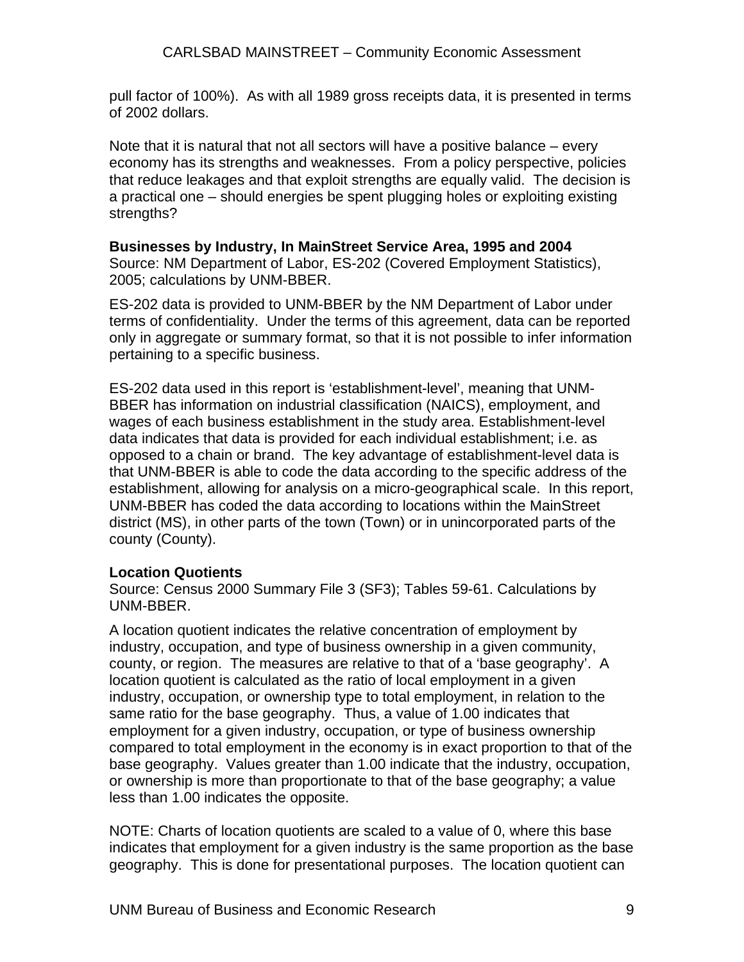pull factor of 100%). As with all 1989 gross receipts data, it is presented in terms of 2002 dollars.

Note that it is natural that not all sectors will have a positive balance – every economy has its strengths and weaknesses. From a policy perspective, policies that reduce leakages and that exploit strengths are equally valid. The decision is a practical one – should energies be spent plugging holes or exploiting existing strengths?

#### **Businesses by Industry, In MainStreet Service Area, 1995 and 2004**

Source: NM Department of Labor, ES-202 (Covered Employment Statistics), 2005; calculations by UNM-BBER.

ES-202 data is provided to UNM-BBER by the NM Department of Labor under terms of confidentiality. Under the terms of this agreement, data can be reported only in aggregate or summary format, so that it is not possible to infer information pertaining to a specific business.

ES-202 data used in this report is 'establishment-level', meaning that UNM-BBER has information on industrial classification (NAICS), employment, and wages of each business establishment in the study area. Establishment-level data indicates that data is provided for each individual establishment; i.e. as opposed to a chain or brand. The key advantage of establishment-level data is that UNM-BBER is able to code the data according to the specific address of the establishment, allowing for analysis on a micro-geographical scale. In this report, UNM-BBER has coded the data according to locations within the MainStreet district (MS), in other parts of the town (Town) or in unincorporated parts of the county (County).

#### **Location Quotients**

Source: Census 2000 Summary File 3 (SF3); Tables 59-61. Calculations by UNM-BBER.

A location quotient indicates the relative concentration of employment by industry, occupation, and type of business ownership in a given community, county, or region. The measures are relative to that of a 'base geography'. A location quotient is calculated as the ratio of local employment in a given industry, occupation, or ownership type to total employment, in relation to the same ratio for the base geography. Thus, a value of 1.00 indicates that employment for a given industry, occupation, or type of business ownership compared to total employment in the economy is in exact proportion to that of the base geography. Values greater than 1.00 indicate that the industry, occupation, or ownership is more than proportionate to that of the base geography; a value less than 1.00 indicates the opposite.

NOTE: Charts of location quotients are scaled to a value of 0, where this base indicates that employment for a given industry is the same proportion as the base geography. This is done for presentational purposes. The location quotient can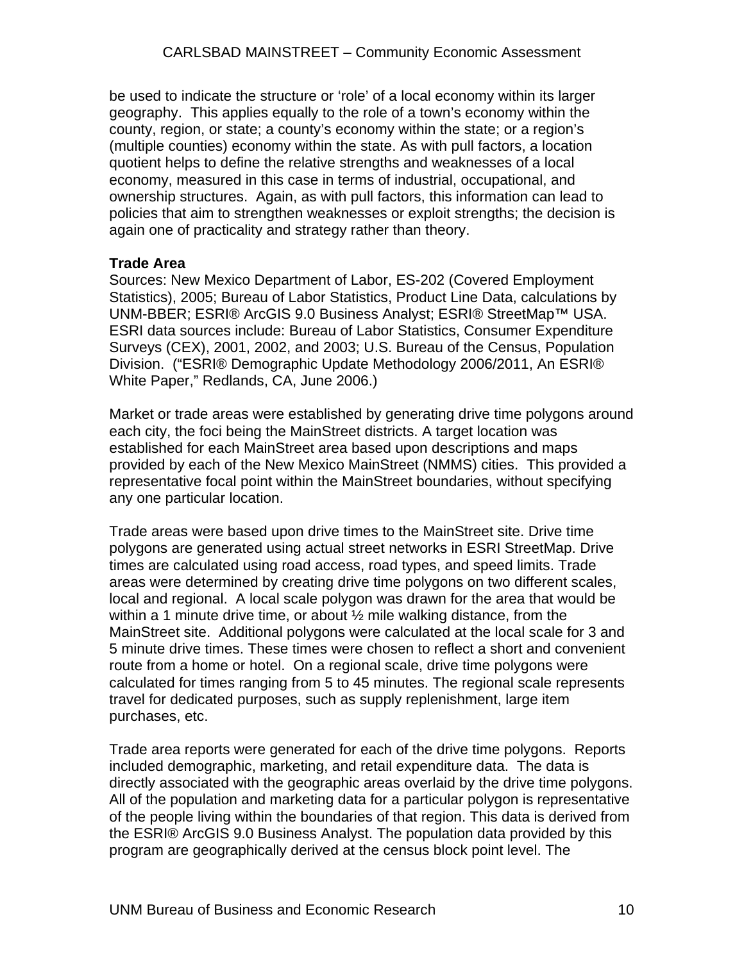be used to indicate the structure or 'role' of a local economy within its larger geography. This applies equally to the role of a town's economy within the county, region, or state; a county's economy within the state; or a region's (multiple counties) economy within the state. As with pull factors, a location quotient helps to define the relative strengths and weaknesses of a local economy, measured in this case in terms of industrial, occupational, and ownership structures. Again, as with pull factors, this information can lead to policies that aim to strengthen weaknesses or exploit strengths; the decision is again one of practicality and strategy rather than theory.

#### **Trade Area**

Sources: New Mexico Department of Labor, ES-202 (Covered Employment Statistics), 2005; Bureau of Labor Statistics, Product Line Data, calculations by UNM-BBER; ESRI® ArcGIS 9.0 Business Analyst; ESRI® StreetMap™ USA. ESRI data sources include: Bureau of Labor Statistics, Consumer Expenditure Surveys (CEX), 2001, 2002, and 2003; U.S. Bureau of the Census, Population Division. ("ESRI® Demographic Update Methodology 2006/2011, An ESRI® White Paper," Redlands, CA, June 2006.)

Market or trade areas were established by generating drive time polygons around each city, the foci being the MainStreet districts. A target location was established for each MainStreet area based upon descriptions and maps provided by each of the New Mexico MainStreet (NMMS) cities. This provided a representative focal point within the MainStreet boundaries, without specifying any one particular location.

Trade areas were based upon drive times to the MainStreet site. Drive time polygons are generated using actual street networks in ESRI StreetMap. Drive times are calculated using road access, road types, and speed limits. Trade areas were determined by creating drive time polygons on two different scales, local and regional. A local scale polygon was drawn for the area that would be within a 1 minute drive time, or about  $\frac{1}{2}$  mile walking distance, from the MainStreet site. Additional polygons were calculated at the local scale for 3 and 5 minute drive times. These times were chosen to reflect a short and convenient route from a home or hotel. On a regional scale, drive time polygons were calculated for times ranging from 5 to 45 minutes. The regional scale represents travel for dedicated purposes, such as supply replenishment, large item purchases, etc.

Trade area reports were generated for each of the drive time polygons. Reports included demographic, marketing, and retail expenditure data. The data is directly associated with the geographic areas overlaid by the drive time polygons. All of the population and marketing data for a particular polygon is representative of the people living within the boundaries of that region. This data is derived from the ESRI® ArcGIS 9.0 Business Analyst. The population data provided by this program are geographically derived at the census block point level. The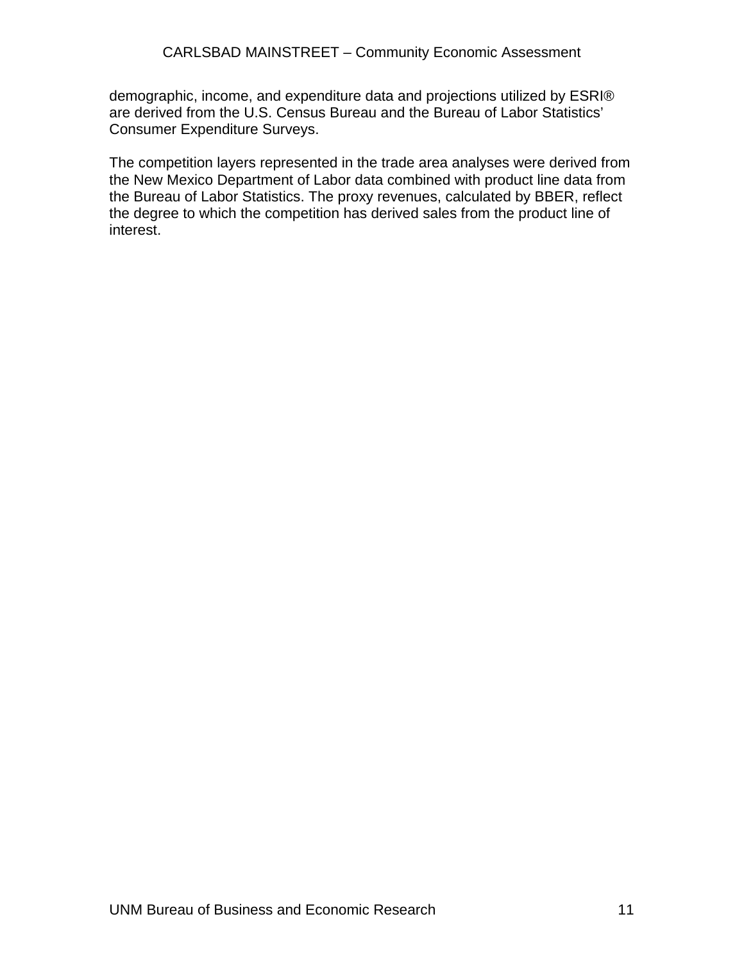demographic, income, and expenditure data and projections utilized by ESRI® are derived from the U.S. Census Bureau and the Bureau of Labor Statistics' Consumer Expenditure Surveys.

The competition layers represented in the trade area analyses were derived from the New Mexico Department of Labor data combined with product line data from the Bureau of Labor Statistics. The proxy revenues, calculated by BBER, reflect the degree to which the competition has derived sales from the product line of interest.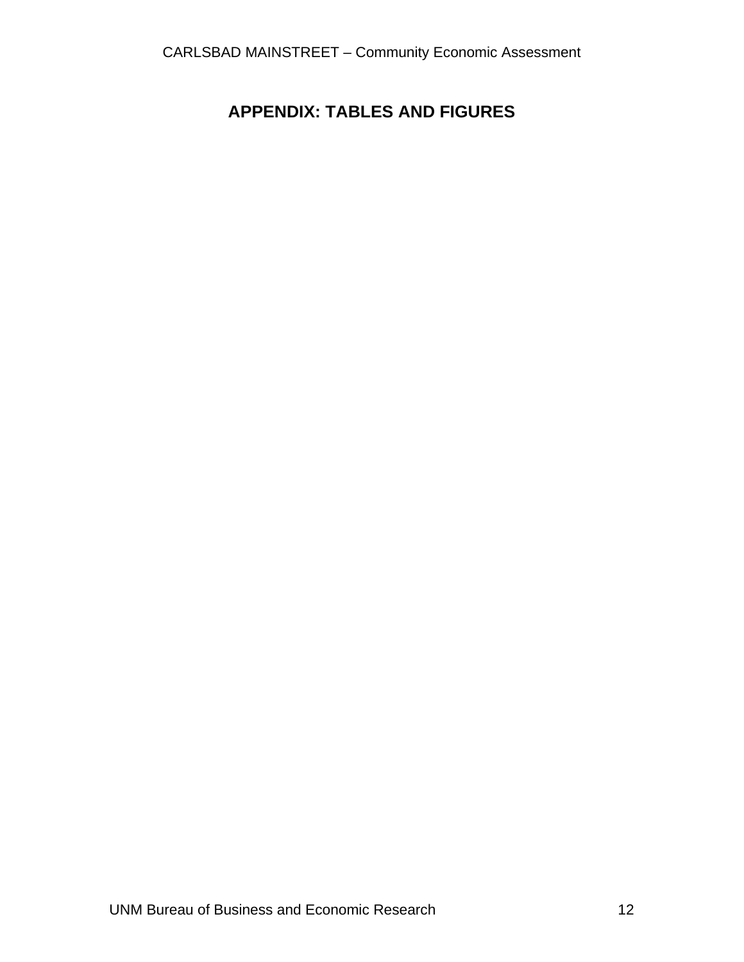### **APPENDIX: TABLES AND FIGURES**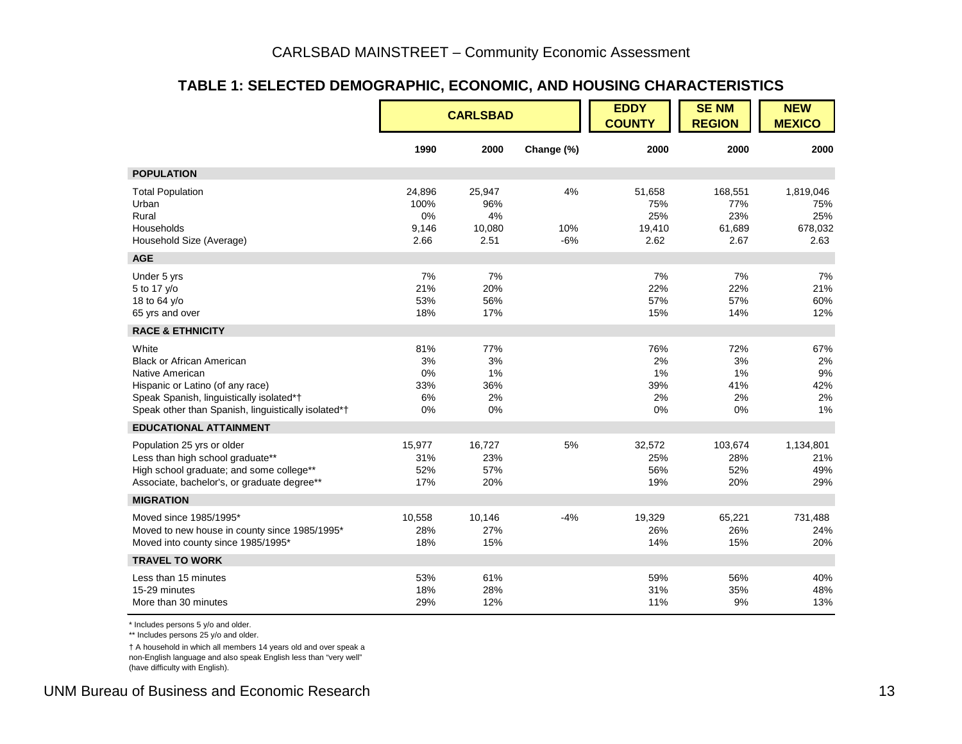#### **TABLE 1: SELECTED DEMOGRAPHIC, ECONOMIC, AND HOUSING CHARACTERISTICS**

|                                                                                                                                                                                                     |                                       | <b>CARLSBAD</b>                       |                    | <b>EDDY</b><br><b>COUNTY</b>           | <b>SENM</b><br><b>REGION</b>            | <b>NEW</b><br><b>MEXICO</b>                |
|-----------------------------------------------------------------------------------------------------------------------------------------------------------------------------------------------------|---------------------------------------|---------------------------------------|--------------------|----------------------------------------|-----------------------------------------|--------------------------------------------|
|                                                                                                                                                                                                     | 1990                                  | 2000                                  | Change (%)         | 2000                                   | 2000                                    | 2000                                       |
| <b>POPULATION</b>                                                                                                                                                                                   |                                       |                                       |                    |                                        |                                         |                                            |
| <b>Total Population</b><br>Urban<br>Rural<br>Households<br>Household Size (Average)                                                                                                                 | 24,896<br>100%<br>0%<br>9,146<br>2.66 | 25,947<br>96%<br>4%<br>10,080<br>2.51 | 4%<br>10%<br>$-6%$ | 51,658<br>75%<br>25%<br>19,410<br>2.62 | 168,551<br>77%<br>23%<br>61,689<br>2.67 | 1,819,046<br>75%<br>25%<br>678,032<br>2.63 |
| <b>AGE</b>                                                                                                                                                                                          |                                       |                                       |                    |                                        |                                         |                                            |
| Under 5 yrs<br>5 to 17 y/o<br>18 to 64 y/o<br>65 yrs and over                                                                                                                                       | 7%<br>21%<br>53%<br>18%               | 7%<br>20%<br>56%<br>17%               |                    | 7%<br>22%<br>57%<br>15%                | 7%<br>22%<br>57%<br>14%                 | 7%<br>21%<br>60%<br>12%                    |
| <b>RACE &amp; ETHNICITY</b>                                                                                                                                                                         |                                       |                                       |                    |                                        |                                         |                                            |
| White<br><b>Black or African American</b><br>Native American<br>Hispanic or Latino (of any race)<br>Speak Spanish, linguistically isolated*†<br>Speak other than Spanish, linguistically isolated*† | 81%<br>3%<br>0%<br>33%<br>6%<br>0%    | 77%<br>3%<br>1%<br>36%<br>2%<br>0%    |                    | 76%<br>2%<br>1%<br>39%<br>2%<br>0%     | 72%<br>3%<br>1%<br>41%<br>2%<br>0%      | 67%<br>2%<br>9%<br>42%<br>2%<br>1%         |
| <b>EDUCATIONAL ATTAINMENT</b>                                                                                                                                                                       |                                       |                                       |                    |                                        |                                         |                                            |
| Population 25 yrs or older<br>Less than high school graduate**<br>High school graduate; and some college**<br>Associate, bachelor's, or graduate degree**                                           | 15,977<br>31%<br>52%<br>17%           | 16,727<br>23%<br>57%<br>20%           | 5%                 | 32,572<br>25%<br>56%<br>19%            | 103,674<br>28%<br>52%<br>20%            | 1,134,801<br>21%<br>49%<br>29%             |
| <b>MIGRATION</b>                                                                                                                                                                                    |                                       |                                       |                    |                                        |                                         |                                            |
| Moved since 1985/1995*<br>Moved to new house in county since 1985/1995*<br>Moved into county since 1985/1995*                                                                                       | 10,558<br>28%<br>18%                  | 10,146<br>27%<br>15%                  | $-4%$              | 19,329<br>26%<br>14%                   | 65,221<br>26%<br>15%                    | 731,488<br>24%<br>20%                      |
| <b>TRAVEL TO WORK</b>                                                                                                                                                                               |                                       |                                       |                    |                                        |                                         |                                            |
| Less than 15 minutes<br>15-29 minutes<br>More than 30 minutes                                                                                                                                       | 53%<br>18%<br>29%                     | 61%<br>28%<br>12%                     |                    | 59%<br>31%<br>11%                      | 56%<br>35%<br>9%                        | 40%<br>48%<br>13%                          |

\* Includes persons 5 y/o and older.

\*\* Includes persons 25 y/o and older.

† A household in which all members 14 years old and over speak a non-English language and also speak English less than "very well" (have difficulty with English).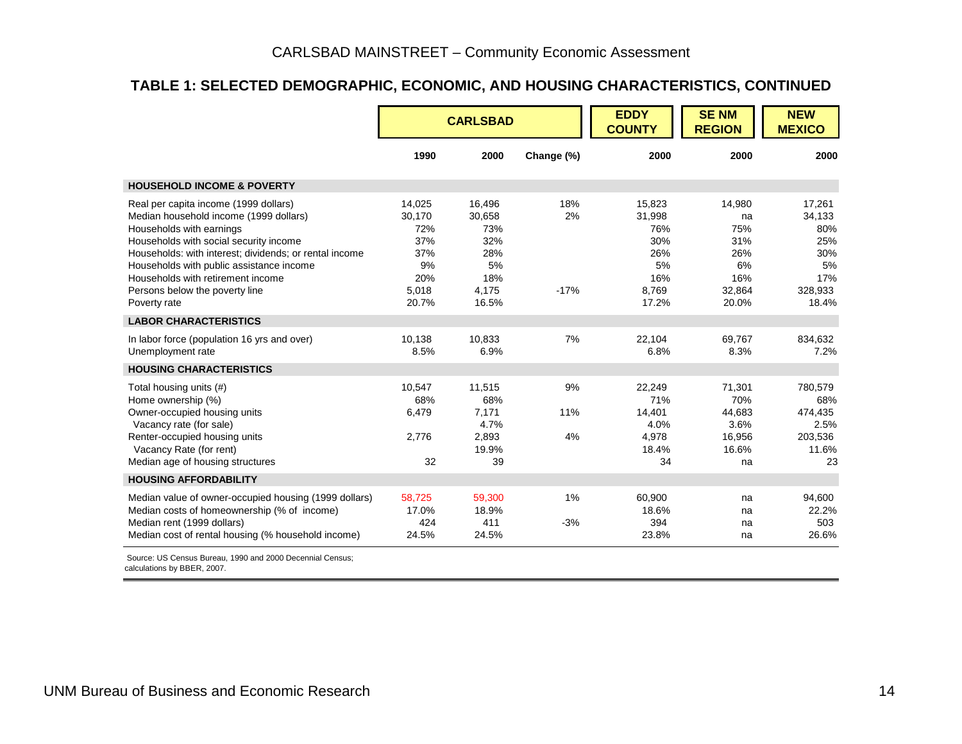#### **TABLE 1: SELECTED DEMOGRAPHIC, ECONOMIC, AND HOUSING CHARACTERISTICS, CONTINUED**

|                                                                                                                                                                                                                                                                                                                                                    |                                                                      | <b>CARLSBAD</b>                                                      |                     | <b>EDDY</b><br><b>COUNTY</b>                                         | <b>SENM</b><br><b>REGION</b>                                      | <b>NEW</b><br><b>MEXICO</b>                                            |
|----------------------------------------------------------------------------------------------------------------------------------------------------------------------------------------------------------------------------------------------------------------------------------------------------------------------------------------------------|----------------------------------------------------------------------|----------------------------------------------------------------------|---------------------|----------------------------------------------------------------------|-------------------------------------------------------------------|------------------------------------------------------------------------|
|                                                                                                                                                                                                                                                                                                                                                    | 1990                                                                 | 2000                                                                 | Change (%)          | 2000                                                                 | 2000                                                              | 2000                                                                   |
| <b>HOUSEHOLD INCOME &amp; POVERTY</b>                                                                                                                                                                                                                                                                                                              |                                                                      |                                                                      |                     |                                                                      |                                                                   |                                                                        |
| Real per capita income (1999 dollars)<br>Median household income (1999 dollars)<br>Households with earnings<br>Households with social security income<br>Households: with interest; dividends; or rental income<br>Households with public assistance income<br>Households with retirement income<br>Persons below the poverty line<br>Poverty rate | 14,025<br>30,170<br>72%<br>37%<br>37%<br>9%<br>20%<br>5,018<br>20.7% | 16,496<br>30,658<br>73%<br>32%<br>28%<br>5%<br>18%<br>4,175<br>16.5% | 18%<br>2%<br>$-17%$ | 15,823<br>31,998<br>76%<br>30%<br>26%<br>5%<br>16%<br>8,769<br>17.2% | 14,980<br>na<br>75%<br>31%<br>26%<br>6%<br>16%<br>32,864<br>20.0% | 17,261<br>34,133<br>80%<br>25%<br>30%<br>5%<br>17%<br>328,933<br>18.4% |
| <b>LABOR CHARACTERISTICS</b>                                                                                                                                                                                                                                                                                                                       |                                                                      |                                                                      |                     |                                                                      |                                                                   |                                                                        |
| In labor force (population 16 yrs and over)<br>Unemployment rate                                                                                                                                                                                                                                                                                   | 10.138<br>8.5%                                                       | 10,833<br>6.9%                                                       | 7%                  | 22,104<br>6.8%                                                       | 69.767<br>8.3%                                                    | 834,632<br>7.2%                                                        |
| <b>HOUSING CHARACTERISTICS</b>                                                                                                                                                                                                                                                                                                                     |                                                                      |                                                                      |                     |                                                                      |                                                                   |                                                                        |
| Total housing units (#)<br>Home ownership (%)<br>Owner-occupied housing units<br>Vacancy rate (for sale)<br>Renter-occupied housing units<br>Vacancy Rate (for rent)<br>Median age of housing structures                                                                                                                                           | 10,547<br>68%<br>6,479<br>2,776<br>32                                | 11,515<br>68%<br>7,171<br>4.7%<br>2,893<br>19.9%<br>39               | 9%<br>11%<br>4%     | 22,249<br>71%<br>14,401<br>4.0%<br>4,978<br>18.4%<br>34              | 71,301<br>70%<br>44.683<br>3.6%<br>16,956<br>16.6%<br>na          | 780,579<br>68%<br>474,435<br>2.5%<br>203,536<br>11.6%<br>23            |
| <b>HOUSING AFFORDABILITY</b>                                                                                                                                                                                                                                                                                                                       |                                                                      |                                                                      |                     |                                                                      |                                                                   |                                                                        |
| Median value of owner-occupied housing (1999 dollars)<br>Median costs of homeownership (% of income)<br>Median rent (1999 dollars)<br>Median cost of rental housing (% household income)<br>Source: US Consus Ruroau, 1000 and 2000 December Consus:                                                                                               | 58,725<br>17.0%<br>424<br>24.5%                                      | 59,300<br>18.9%<br>411<br>24.5%                                      | 1%<br>$-3%$         | 60,900<br>18.6%<br>394<br>23.8%                                      | na<br>na<br>na<br>na                                              | 94,600<br>22.2%<br>503<br>26.6%                                        |

 Source: US Census Bureau, 1990 and 2000 Decennial Census; calculations by BBER, 2007.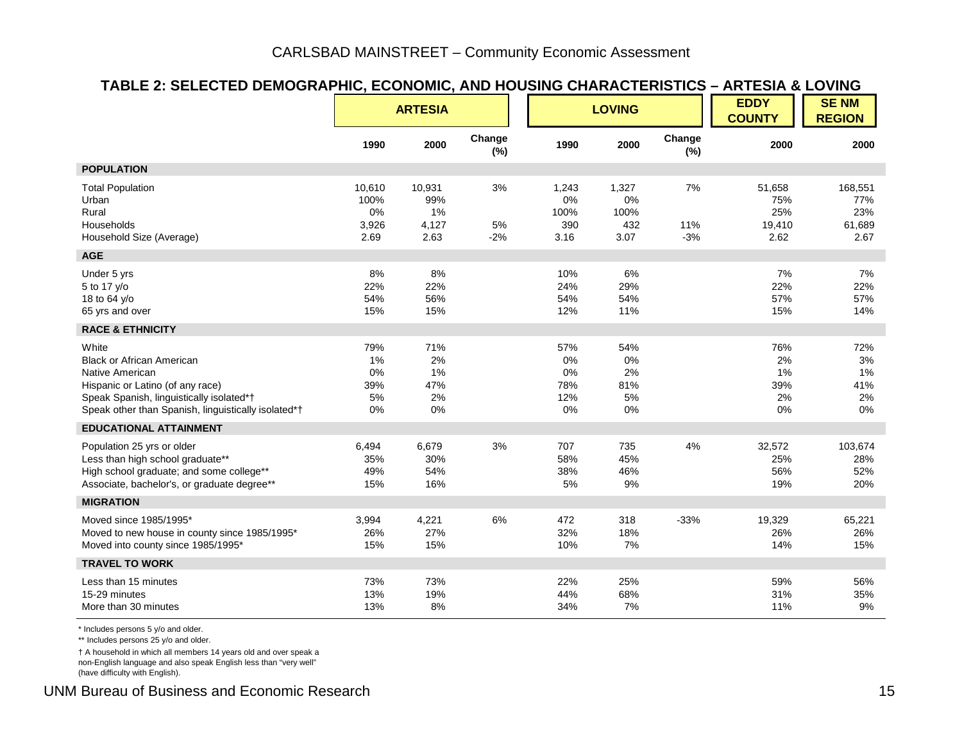#### **TABLE 2: SELECTED DEMOGRAPHIC, ECONOMIC, AND HOUSING CHARACTERISTICS – ARTESIA & LOVING**

|                                                                                                                                                                                                     |                                       | <b>ARTESIA</b>                       |                   |                                        | <b>LOVING</b>                      |                    | <b>EDDY</b><br><b>COUNTY</b>           | <b>SENM</b><br><b>REGION</b>            |
|-----------------------------------------------------------------------------------------------------------------------------------------------------------------------------------------------------|---------------------------------------|--------------------------------------|-------------------|----------------------------------------|------------------------------------|--------------------|----------------------------------------|-----------------------------------------|
|                                                                                                                                                                                                     | 1990                                  | 2000                                 | Change<br>(%)     | 1990                                   | 2000                               | Change<br>(%)      | 2000                                   | 2000                                    |
| <b>POPULATION</b>                                                                                                                                                                                   |                                       |                                      |                   |                                        |                                    |                    |                                        |                                         |
| <b>Total Population</b><br>Urban<br>Rural<br>Households<br>Household Size (Average)                                                                                                                 | 10,610<br>100%<br>0%<br>3,926<br>2.69 | 10,931<br>99%<br>1%<br>4,127<br>2.63 | 3%<br>5%<br>$-2%$ | 1,243<br>0%<br>100%<br>390<br>3.16     | 1,327<br>0%<br>100%<br>432<br>3.07 | 7%<br>11%<br>$-3%$ | 51,658<br>75%<br>25%<br>19,410<br>2.62 | 168,551<br>77%<br>23%<br>61,689<br>2.67 |
| <b>AGE</b>                                                                                                                                                                                          |                                       |                                      |                   |                                        |                                    |                    |                                        |                                         |
| Under 5 yrs<br>5 to 17 y/o<br>18 to 64 y/o<br>65 yrs and over                                                                                                                                       | 8%<br>22%<br>54%<br>15%               | 8%<br>22%<br>56%<br>15%              |                   | 10%<br>24%<br>54%<br>12%               | 6%<br>29%<br>54%<br>11%            |                    | 7%<br>22%<br>57%<br>15%                | 7%<br>22%<br>57%<br>14%                 |
| <b>RACE &amp; ETHNICITY</b>                                                                                                                                                                         |                                       |                                      |                   |                                        |                                    |                    |                                        |                                         |
| White<br><b>Black or African American</b><br>Native American<br>Hispanic or Latino (of any race)<br>Speak Spanish, linguistically isolated*†<br>Speak other than Spanish, linguistically isolated*† | 79%<br>1%<br>0%<br>39%<br>5%<br>0%    | 71%<br>2%<br>1%<br>47%<br>2%<br>0%   |                   | 57%<br>$0\%$<br>0%<br>78%<br>12%<br>0% | 54%<br>0%<br>2%<br>81%<br>5%<br>0% |                    | 76%<br>2%<br>1%<br>39%<br>2%<br>0%     | 72%<br>3%<br>1%<br>41%<br>2%<br>$0\%$   |
| <b>EDUCATIONAL ATTAINMENT</b>                                                                                                                                                                       |                                       |                                      |                   |                                        |                                    |                    |                                        |                                         |
| Population 25 yrs or older<br>Less than high school graduate**<br>High school graduate; and some college**<br>Associate, bachelor's, or graduate degree**                                           | 6,494<br>35%<br>49%<br>15%            | 6,679<br>30%<br>54%<br>16%           | 3%                | 707<br>58%<br>38%<br>5%                | 735<br>45%<br>46%<br>9%            | 4%                 | 32,572<br>25%<br>56%<br>19%            | 103,674<br>28%<br>52%<br>20%            |
| <b>MIGRATION</b>                                                                                                                                                                                    |                                       |                                      |                   |                                        |                                    |                    |                                        |                                         |
| Moved since 1985/1995*<br>Moved to new house in county since 1985/1995*<br>Moved into county since 1985/1995*                                                                                       | 3,994<br>26%<br>15%                   | 4,221<br>27%<br>15%                  | 6%                | 472<br>32%<br>10%                      | 318<br>18%<br>7%                   | $-33%$             | 19,329<br>26%<br>14%                   | 65,221<br>26%<br>15%                    |
| <b>TRAVEL TO WORK</b>                                                                                                                                                                               |                                       |                                      |                   |                                        |                                    |                    |                                        |                                         |
| Less than 15 minutes<br>15-29 minutes<br>More than 30 minutes                                                                                                                                       | 73%<br>13%<br>13%                     | 73%<br>19%<br>8%                     |                   | 22%<br>44%<br>34%                      | 25%<br>68%<br>7%                   |                    | 59%<br>31%<br>11%                      | 56%<br>35%<br>9%                        |

\* Includes persons 5 y/o and older.

\*\* Includes persons 25 y/o and older.

† A household in which all members 14 years old and over speak a non-English language and also speak English less than "very well"

(have difficulty with English).

UNM Bureau of Business and Economic Research 15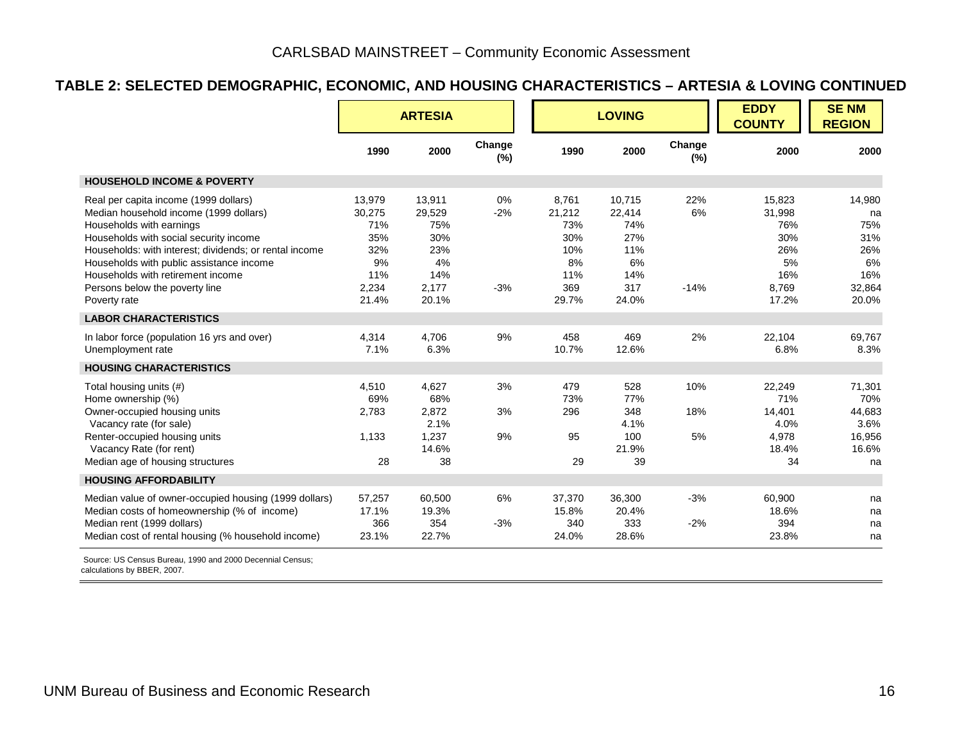#### **TABLE 2: SELECTED DEMOGRAPHIC, ECONOMIC, AND HOUSING CHARACTERISTICS – ARTESIA & LOVING CONTINUED**

|                                                                                                                                                                                                                                                                                                                                                    |                                                                      | <b>ARTESIA</b>                                                       |                         |                                                                   | <b>LOVING</b>                                                      |                     | <b>EDDY</b><br><b>COUNTY</b>                                         | <b>SENM</b><br><b>REGION</b>                                      |
|----------------------------------------------------------------------------------------------------------------------------------------------------------------------------------------------------------------------------------------------------------------------------------------------------------------------------------------------------|----------------------------------------------------------------------|----------------------------------------------------------------------|-------------------------|-------------------------------------------------------------------|--------------------------------------------------------------------|---------------------|----------------------------------------------------------------------|-------------------------------------------------------------------|
|                                                                                                                                                                                                                                                                                                                                                    | 1990                                                                 | 2000                                                                 | Change<br>$(\%)$        | 1990                                                              | 2000                                                               | Change<br>$(\%)$    | 2000                                                                 | 2000                                                              |
| <b>HOUSEHOLD INCOME &amp; POVERTY</b>                                                                                                                                                                                                                                                                                                              |                                                                      |                                                                      |                         |                                                                   |                                                                    |                     |                                                                      |                                                                   |
| Real per capita income (1999 dollars)<br>Median household income (1999 dollars)<br>Households with earnings<br>Households with social security income<br>Households: with interest; dividends; or rental income<br>Households with public assistance income<br>Households with retirement income<br>Persons below the poverty line<br>Poverty rate | 13,979<br>30,275<br>71%<br>35%<br>32%<br>9%<br>11%<br>2,234<br>21.4% | 13,911<br>29,529<br>75%<br>30%<br>23%<br>4%<br>14%<br>2.177<br>20.1% | $0\%$<br>$-2%$<br>$-3%$ | 8.761<br>21,212<br>73%<br>30%<br>10%<br>8%<br>11%<br>369<br>29.7% | 10,715<br>22,414<br>74%<br>27%<br>11%<br>6%<br>14%<br>317<br>24.0% | 22%<br>6%<br>$-14%$ | 15.823<br>31,998<br>76%<br>30%<br>26%<br>5%<br>16%<br>8.769<br>17.2% | 14,980<br>na<br>75%<br>31%<br>26%<br>6%<br>16%<br>32.864<br>20.0% |
| <b>LABOR CHARACTERISTICS</b>                                                                                                                                                                                                                                                                                                                       |                                                                      |                                                                      |                         |                                                                   |                                                                    |                     |                                                                      |                                                                   |
| In labor force (population 16 yrs and over)<br>Unemployment rate                                                                                                                                                                                                                                                                                   | 4,314<br>7.1%                                                        | 4,706<br>6.3%                                                        | 9%                      | 458<br>10.7%                                                      | 469<br>12.6%                                                       | 2%                  | 22,104<br>6.8%                                                       | 69,767<br>8.3%                                                    |
| <b>HOUSING CHARACTERISTICS</b>                                                                                                                                                                                                                                                                                                                     |                                                                      |                                                                      |                         |                                                                   |                                                                    |                     |                                                                      |                                                                   |
| Total housing units (#)<br>Home ownership (%)<br>Owner-occupied housing units<br>Vacancy rate (for sale)<br>Renter-occupied housing units<br>Vacancy Rate (for rent)<br>Median age of housing structures                                                                                                                                           | 4,510<br>69%<br>2,783<br>1,133<br>28                                 | 4,627<br>68%<br>2,872<br>2.1%<br>1,237<br>14.6%<br>38                | 3%<br>3%<br>9%          | 479<br>73%<br>296<br>95<br>29                                     | 528<br>77%<br>348<br>4.1%<br>100<br>21.9%<br>39                    | 10%<br>18%<br>5%    | 22,249<br>71%<br>14,401<br>4.0%<br>4,978<br>18.4%<br>34              | 71,301<br>70%<br>44,683<br>3.6%<br>16,956<br>16.6%<br>na          |
| <b>HOUSING AFFORDABILITY</b>                                                                                                                                                                                                                                                                                                                       |                                                                      |                                                                      |                         |                                                                   |                                                                    |                     |                                                                      |                                                                   |
| Median value of owner-occupied housing (1999 dollars)<br>Median costs of homeownership (% of income)<br>Median rent (1999 dollars)<br>Median cost of rental housing (% household income)                                                                                                                                                           | 57,257<br>17.1%<br>366<br>23.1%                                      | 60,500<br>19.3%<br>354<br>22.7%                                      | 6%<br>$-3%$             | 37,370<br>15.8%<br>340<br>24.0%                                   | 36,300<br>20.4%<br>333<br>28.6%                                    | $-3%$<br>$-2%$      | 60,900<br>18.6%<br>394<br>23.8%                                      | na<br>na<br>na<br>na                                              |

 Source: US Census Bureau, 1990 and 2000 Decennial Census; calculations by BBER, 2007.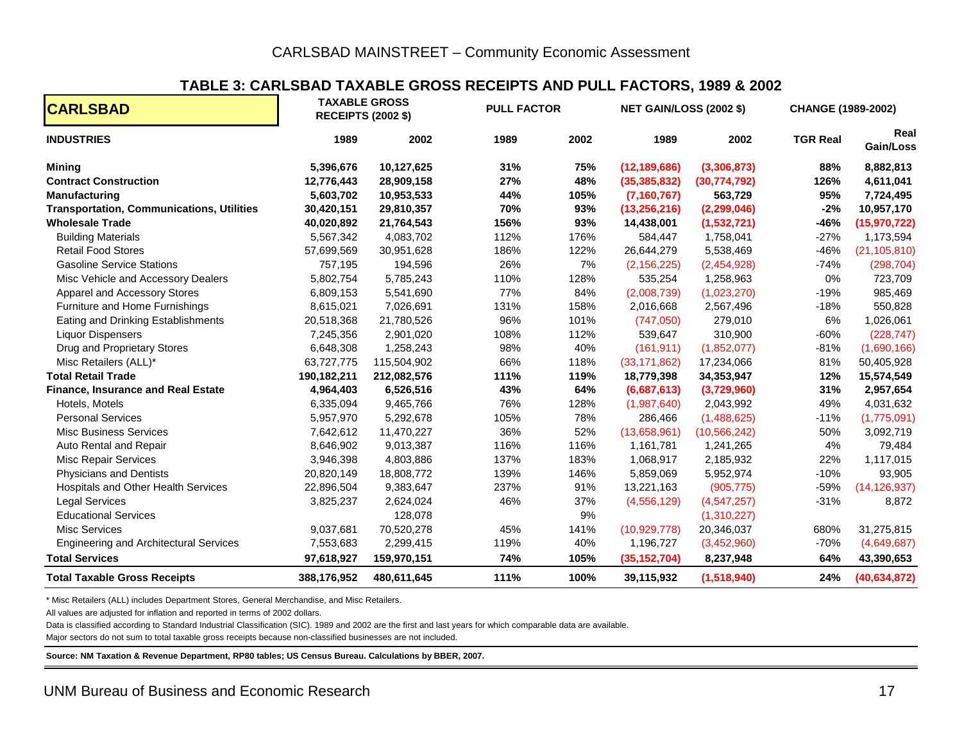#### **TABLE 3: CARLSBAD TAXABLE GROSS RECEIPTS AND PULL FACTORS, 1989 & 2002**

| <b>CARLSBAD</b>                                  |             | <b>TAXABLE GROSS</b><br><b>RECEIPTS (2002 \$)</b> | <b>PULL FACTOR</b> |      | <b>NET GAIN/LOSS (2002 \$)</b> |                | <b>CHANGE (1989-2002)</b> |                   |  |
|--------------------------------------------------|-------------|---------------------------------------------------|--------------------|------|--------------------------------|----------------|---------------------------|-------------------|--|
| <b>INDUSTRIES</b>                                | 1989        | 2002                                              | 1989               | 2002 | 1989                           | 2002           | <b>TGR Real</b>           | Real<br>Gain/Loss |  |
| <b>Mining</b>                                    | 5,396,676   | 10,127,625                                        | 31%                | 75%  | (12, 189, 686)                 | (3,306,873)    | 88%                       | 8,882,813         |  |
| <b>Contract Construction</b>                     | 12,776,443  | 28,909,158                                        | 27%                | 48%  | (35, 385, 832)                 | (30, 774, 792) | 126%                      | 4,611,041         |  |
| <b>Manufacturing</b>                             | 5,603,702   | 10,953,533                                        | 44%                | 105% | (7, 160, 767)                  | 563,729        | 95%                       | 7,724,495         |  |
| <b>Transportation, Communications, Utilities</b> | 30,420,151  | 29,810,357                                        | 70%                | 93%  | (13, 256, 216)                 | (2, 299, 046)  | $-2%$                     | 10,957,170        |  |
| <b>Wholesale Trade</b>                           | 40,020,892  | 21,764,543                                        | 156%               | 93%  | 14,438,001                     | (1,532,721)    | -46%                      | (15, 970, 722)    |  |
| <b>Building Materials</b>                        | 5,567,342   | 4,083,702                                         | 112%               | 176% | 584,447                        | 1,758,041      | $-27%$                    | 1,173,594         |  |
| <b>Retail Food Stores</b>                        | 57,699,569  | 30,951,628                                        | 186%               | 122% | 26,644,279                     | 5,538,469      | $-46%$                    | (21, 105, 810)    |  |
| <b>Gasoline Service Stations</b>                 | 757,195     | 194,596                                           | 26%                | 7%   | (2, 156, 225)                  | (2,454,928)    | $-74%$                    | (298, 704)        |  |
| Misc Vehicle and Accessory Dealers               | 5,802,754   | 5,785,243                                         | 110%               | 128% | 535,254                        | 1,258,963      | 0%                        | 723,709           |  |
| Apparel and Accessory Stores                     | 6,809,153   | 5,541,690                                         | 77%                | 84%  | (2,008,739)                    | (1,023,270)    | $-19%$                    | 985,469           |  |
| Furniture and Home Furnishings                   | 8,615,021   | 7,026,691                                         | 131%               | 158% | 2,016,668                      | 2,567,496      | $-18%$                    | 550,828           |  |
| Eating and Drinking Establishments               | 20,518,368  | 21,780,526                                        | 96%                | 101% | (747,050)                      | 279,010        | 6%                        | 1,026,061         |  |
| <b>Liquor Dispensers</b>                         | 7,245,356   | 2,901,020                                         | 108%               | 112% | 539,647                        | 310,900        | $-60%$                    | (228, 747)        |  |
| Drug and Proprietary Stores                      | 6,648,308   | 1,258,243                                         | 98%                | 40%  | (161, 911)                     | (1,852,077)    | $-81%$                    | (1,690,166)       |  |
| Misc Retailers (ALL)*                            | 63,727,775  | 115,504,902                                       | 66%                | 118% | (33, 171, 862)                 | 17,234,066     | 81%                       | 50,405,928        |  |
| <b>Total Retail Trade</b>                        | 190,182,211 | 212,082,576                                       | 111%               | 119% | 18,779,398                     | 34,353,947     | 12%                       | 15,574,549        |  |
| <b>Finance, Insurance and Real Estate</b>        | 4,964,403   | 6,526,516                                         | 43%                | 64%  | (6,687,613)                    | (3,729,960)    | 31%                       | 2,957,654         |  |
| Hotels, Motels                                   | 6,335,094   | 9,465,766                                         | 76%                | 128% | (1,987,640)                    | 2,043,992      | 49%                       | 4,031,632         |  |
| <b>Personal Services</b>                         | 5,957,970   | 5,292,678                                         | 105%               | 78%  | 286,466                        | (1,488,625)    | $-11%$                    | (1,775,091)       |  |
| <b>Misc Business Services</b>                    | 7,642,612   | 11,470,227                                        | 36%                | 52%  | (13,658,961)                   | (10, 566, 242) | 50%                       | 3,092,719         |  |
| Auto Rental and Repair                           | 8,646,902   | 9,013,387                                         | 116%               | 116% | 1,161,781                      | 1,241,265      | 4%                        | 79,484            |  |
| <b>Misc Repair Services</b>                      | 3,946,398   | 4,803,886                                         | 137%               | 183% | 1,068,917                      | 2,185,932      | 22%                       | 1,117,015         |  |
| <b>Physicians and Dentists</b>                   | 20,820,149  | 18,808,772                                        | 139%               | 146% | 5,859,069                      | 5,952,974      | $-10%$                    | 93,905            |  |
| Hospitals and Other Health Services              | 22,896,504  | 9,383,647                                         | 237%               | 91%  | 13,221,163                     | (905, 775)     | -59%                      | (14, 126, 937)    |  |
| <b>Legal Services</b>                            | 3,825,237   | 2,624,024                                         | 46%                | 37%  | (4,556,129)                    | (4,547,257)    | $-31%$                    | 8,872             |  |
| <b>Educational Services</b>                      |             | 128,078                                           |                    | 9%   |                                | (1,310,227)    |                           |                   |  |
| <b>Misc Services</b>                             | 9,037,681   | 70,520,278                                        | 45%                | 141% | (10, 929, 778)                 | 20,346,037     | 680%                      | 31,275,815        |  |
| <b>Engineering and Architectural Services</b>    | 7,553,683   | 2,299,415                                         | 119%               | 40%  | 1,196,727                      | (3,452,960)    | $-70%$                    | (4,649,687)       |  |
| <b>Total Services</b>                            | 97,618,927  | 159,970,151                                       | 74%                | 105% | (35, 152, 704)                 | 8,237,948      | 64%                       | 43,390,653        |  |
| <b>Total Taxable Gross Receipts</b>              | 388,176,952 | 480,611,645                                       | 111%               | 100% | 39,115,932                     | (1,518,940)    | 24%                       | (40, 634, 872)    |  |

\* Misc Retailers (ALL) includes Department Stores, General Merchandise, and Misc Retailers.

All values are adjusted for inflation and reported in terms of 2002 dollars.

Data is classified according to Standard Industrial Classification (SIC). 1989 and 2002 are the first and last years for which comparable data are available.

Major sectors do not sum to total taxable gross receipts because non-classified businesses are not included.

**Source: NM Taxation & Revenue Department, RP80 tables; US Census Bureau. Calculations by BBER, 2007.**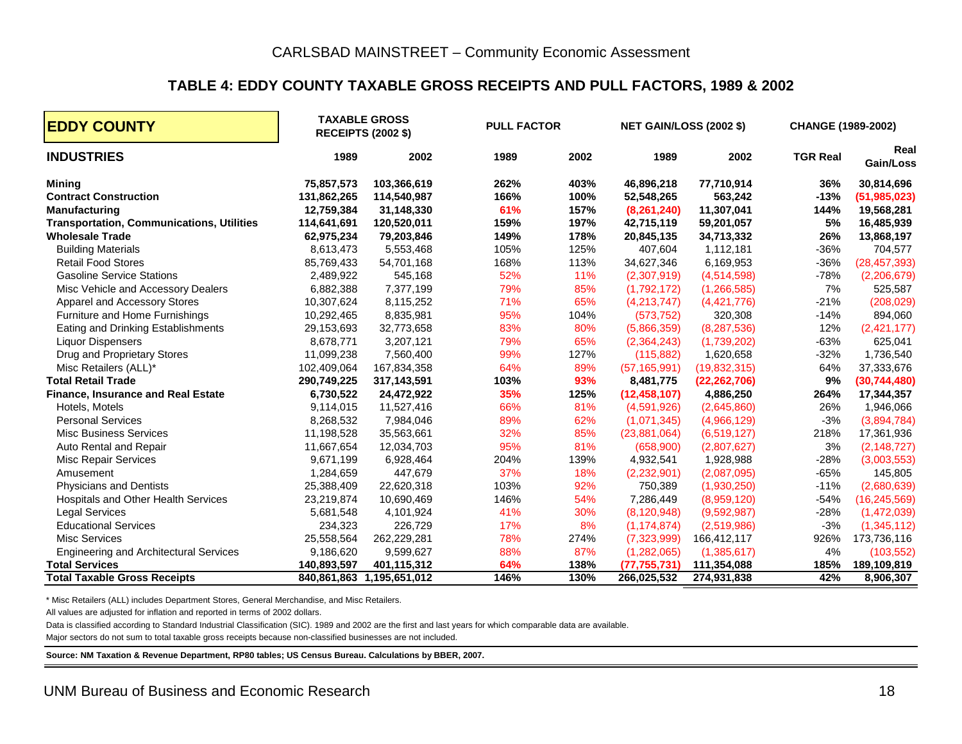#### **TABLE 4: EDDY COUNTY TAXABLE GROSS RECEIPTS AND PULL FACTORS, 1989 & 2002**

| <b>EDDY COUNTY</b>                               |             | <b>TAXABLE GROSS</b><br><b>RECEIPTS (2002 \$)</b> | <b>PULL FACTOR</b> |      | <b>NET GAIN/LOSS (2002 \$)</b> |                | <b>CHANGE (1989-2002)</b> |                   |
|--------------------------------------------------|-------------|---------------------------------------------------|--------------------|------|--------------------------------|----------------|---------------------------|-------------------|
| <b>INDUSTRIES</b>                                | 1989        | 2002                                              | 1989               | 2002 | 1989                           | 2002           | <b>TGR Real</b>           | Real<br>Gain/Loss |
| <b>Mining</b>                                    | 75,857,573  | 103,366,619                                       | 262%               | 403% | 46,896,218                     | 77,710,914     | 36%                       | 30,814,696        |
| <b>Contract Construction</b>                     | 131,862,265 | 114,540,987                                       | 166%               | 100% | 52,548,265                     | 563,242        | $-13%$                    | (51, 985, 023)    |
| <b>Manufacturing</b>                             | 12,759,384  | 31,148,330                                        | 61%                | 157% | (8,261,240)                    | 11,307,041     | 144%                      | 19,568,281        |
| <b>Transportation, Communications, Utilities</b> | 114,641,691 | 120,520,011                                       | 159%               | 197% | 42,715,119                     | 59,201,057     | 5%                        | 16,485,939        |
| <b>Wholesale Trade</b>                           | 62,975,234  | 79,203,846                                        | 149%               | 178% | 20,845,135                     | 34,713,332     | 26%                       | 13,868,197        |
| <b>Building Materials</b>                        | 8,613,473   | 5,553,468                                         | 105%               | 125% | 407,604                        | 1,112,181      | $-36%$                    | 704,577           |
| <b>Retail Food Stores</b>                        | 85,769,433  | 54,701,168                                        | 168%               | 113% | 34,627,346                     | 6,169,953      | $-36%$                    | (28, 457, 393)    |
| <b>Gasoline Service Stations</b>                 | 2,489,922   | 545,168                                           | 52%                | 11%  | (2,307,919)                    | (4,514,598)    | $-78%$                    | (2,206,679)       |
| Misc Vehicle and Accessory Dealers               | 6,882,388   | 7,377,199                                         | 79%                | 85%  | (1,792,172)                    | (1, 266, 585)  | 7%                        | 525,587           |
| Apparel and Accessory Stores                     | 10,307,624  | 8,115,252                                         | 71%                | 65%  | (4,213,747)                    | (4,421,776)    | $-21%$                    | (208, 029)        |
| Furniture and Home Furnishings                   | 10,292,465  | 8,835,981                                         | 95%                | 104% | (573, 752)                     | 320,308        | $-14%$                    | 894,060           |
| Eating and Drinking Establishments               | 29,153,693  | 32,773,658                                        | 83%                | 80%  | (5,866,359)                    | (8, 287, 536)  | 12%                       | (2,421,177)       |
| <b>Liquor Dispensers</b>                         | 8,678,771   | 3,207,121                                         | 79%                | 65%  | (2,364,243)                    | (1,739,202)    | $-63%$                    | 625,041           |
| Drug and Proprietary Stores                      | 11,099,238  | 7,560,400                                         | 99%                | 127% | (115, 882)                     | 1,620,658      | $-32%$                    | 1,736,540         |
| Misc Retailers (ALL)*                            | 102,409,064 | 167,834,358                                       | 64%                | 89%  | (57, 165, 991)                 | (19,832,315)   | 64%                       | 37,333,676        |
| <b>Total Retail Trade</b>                        | 290,749,225 | 317,143,591                                       | 103%               | 93%  | 8,481,775                      | (22, 262, 706) | 9%                        | (30, 744, 480)    |
| <b>Finance, Insurance and Real Estate</b>        | 6,730,522   | 24,472,922                                        | 35%                | 125% | (12, 458, 107)                 | 4,886,250      | 264%                      | 17,344,357        |
| Hotels, Motels                                   | 9,114,015   | 11,527,416                                        | 66%                | 81%  | (4,591,926)                    | (2,645,860)    | 26%                       | 1,946,066         |
| <b>Personal Services</b>                         | 8,268,532   | 7,984,046                                         | 89%                | 62%  | (1,071,345)                    | (4,966,129)    | $-3%$                     | (3,894,784)       |
| <b>Misc Business Services</b>                    | 11,198,528  | 35,563,661                                        | 32%                | 85%  | (23,881,064)                   | (6,519,127)    | 218%                      | 17,361,936        |
| Auto Rental and Repair                           | 11,667,654  | 12,034,703                                        | 95%                | 81%  | (658,900)                      | (2,807,627)    | 3%                        | (2, 148, 727)     |
| <b>Misc Repair Services</b>                      | 9,671,199   | 6,928,464                                         | 204%               | 139% | 4,932,541                      | 1,928,988      | $-28%$                    | (3,003,553)       |
| Amusement                                        | 1,284,659   | 447,679                                           | 37%                | 18%  | (2,232,901)                    | (2,087,095)    | $-65%$                    | 145,805           |
| <b>Physicians and Dentists</b>                   | 25,388,409  | 22,620,318                                        | 103%               | 92%  | 750,389                        | (1,930,250)    | $-11%$                    | (2,680,639)       |
| Hospitals and Other Health Services              | 23,219,874  | 10,690,469                                        | 146%               | 54%  | 7,286,449                      | (8,959,120)    | $-54%$                    | (16, 245, 569)    |
| <b>Legal Services</b>                            | 5,681,548   | 4,101,924                                         | 41%                | 30%  | (8, 120, 948)                  | (9,592,987)    | $-28%$                    | (1,472,039)       |
| <b>Educational Services</b>                      | 234,323     | 226,729                                           | 17%                | 8%   | (1, 174, 874)                  | (2,519,986)    | $-3%$                     | (1,345,112)       |
| <b>Misc Services</b>                             | 25,558,564  | 262,229,281                                       | 78%                | 274% | (7, 323, 999)                  | 166,412,117    | 926%                      | 173,736,116       |
| <b>Engineering and Architectural Services</b>    | 9,186,620   | 9,599,627                                         | 88%                | 87%  | (1, 282, 065)                  | (1,385,617)    | 4%                        | (103, 552)        |
| <b>Total Services</b>                            | 140,893,597 | 401,115,312                                       | 64%                | 138% | (77, 755, 731)                 | 111,354,088    | 185%                      | 189,109,819       |
| <b>Total Taxable Gross Receipts</b>              | 840,861,863 | 1,195,651,012                                     | 146%               | 130% | 266,025,532                    | 274,931,838    | 42%                       | 8,906,307         |

\* Misc Retailers (ALL) includes Department Stores, General Merchandise, and Misc Retailers.

All values are adjusted for inflation and reported in terms of 2002 dollars.

Data is classified according to Standard Industrial Classification (SIC). 1989 and 2002 are the first and last years for which comparable data are available.

Major sectors do not sum to total taxable gross receipts because non-classified businesses are not included.

**Source: NM Taxation & Revenue Department, RP80 tables; US Census Bureau. Calculations by BBER, 2007.**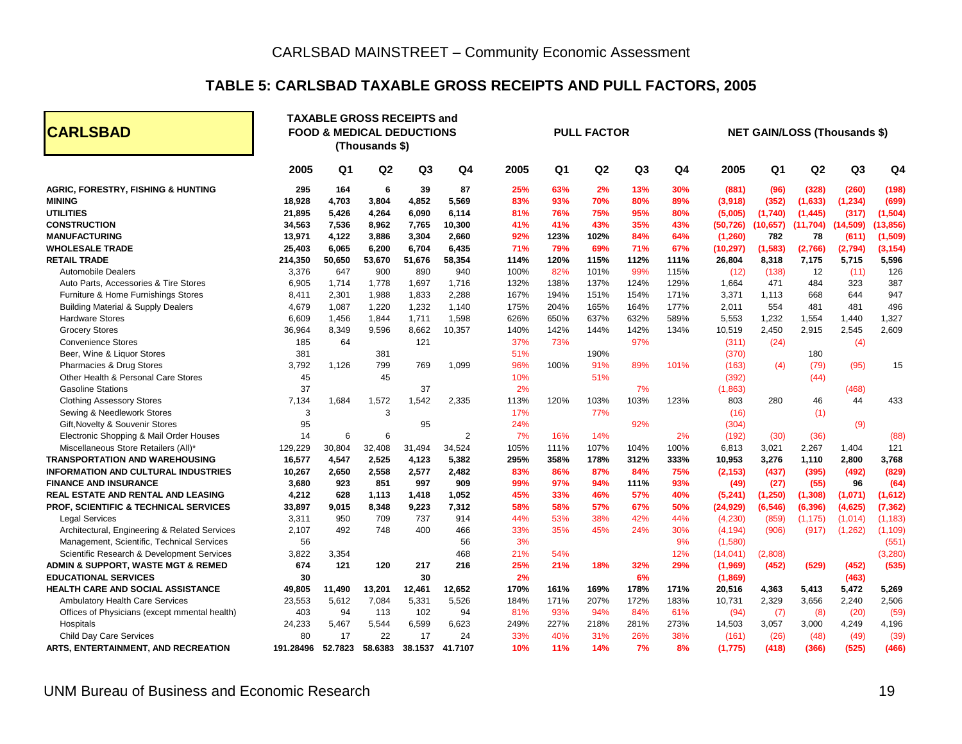#### **TABLE 5: CARLSBAD TAXABLE GROSS RECEIPTS AND PULL FACTORS, 2005**

| <b>CARLSBAD</b>                               |           |                | (Thousands \$) | <b>TAXABLE GROSS RECEIPTS and</b><br><b>FOOD &amp; MEDICAL DEDUCTIONS</b> |                | <b>PULL FACTOR</b> |      |      |                |                | <b>NET GAIN/LOSS (Thousands \$)</b> |                |                |                |                |  |
|-----------------------------------------------|-----------|----------------|----------------|---------------------------------------------------------------------------|----------------|--------------------|------|------|----------------|----------------|-------------------------------------|----------------|----------------|----------------|----------------|--|
|                                               | 2005      | Q <sub>1</sub> | Q2             | Q <sub>3</sub>                                                            | Q4             | 2005               | Q1   | Q2   | Q <sub>3</sub> | Q <sub>4</sub> | 2005                                | Q <sub>1</sub> | Q <sub>2</sub> | Q <sub>3</sub> | Q <sub>4</sub> |  |
| <b>AGRIC, FORESTRY, FISHING &amp; HUNTING</b> | 295       | 164            | 6              | 39                                                                        | 87             | 25%                | 63%  | 2%   | 13%            | 30%            | (881)                               | (96)           | (328)          | (260)          | (198)          |  |
| <b>MINING</b>                                 | 18,928    | 4,703          | 3,804          | 4,852                                                                     | 5,569          | 83%                | 93%  | 70%  | 80%            | 89%            | (3,918)                             | (352)          | (1,633)        | (1, 234)       | (699)          |  |
| <b>UTILITIES</b>                              | 21,895    | 5,426          | 4,264          | 6,090                                                                     | 6,114          | 81%                | 76%  | 75%  | 95%            | 80%            | (5,005)                             | (1,740)        | (1, 445)       | (317)          | (1, 504)       |  |
| <b>CONSTRUCTION</b>                           | 34,563    | 7,536          | 8.962          | 7,765                                                                     | 10,300         | 41%                | 41%  | 43%  | 35%            | 43%            | (50, 726)                           | (10, 657)      | (11, 704)      | (14,509)       | (13, 856)      |  |
| <b>MANUFACTURING</b>                          | 13,971    | 4,122          | 3,886          | 3,304                                                                     | 2,660          | 92%                | 123% | 102% | 84%            | 64%            | (1, 260)                            | 782            | 78             | (611)          | (1,509)        |  |
| <b>WHOLESALE TRADE</b>                        | 25,403    | 6,065          | 6,200          | 6,704                                                                     | 6,435          | 71%                | 79%  | 69%  | 71%            | 67%            | (10, 297)                           | (1,583)        | (2,766)        | (2,794)        | (3, 154)       |  |
| <b>RETAIL TRADE</b>                           | 214,350   | 50,650         | 53,670         | 51,676                                                                    | 58,354         | 114%               | 120% | 115% | 112%           | 111%           | 26,804                              | 8,318          | 7,175          | 5,715          | 5,596          |  |
| <b>Automobile Dealers</b>                     | 3,376     | 647            | 900            | 890                                                                       | 940            | 100%               | 82%  | 101% | 99%            | 115%           | (12)                                | (138)          | 12             | (11)           | 126            |  |
| Auto Parts, Accessories & Tire Stores         | 6,905     | 1,714          | 1,778          | 1,697                                                                     | 1,716          | 132%               | 138% | 137% | 124%           | 129%           | 1,664                               | 471            | 484            | 323            | 387            |  |
| Furniture & Home Furnishings Stores           | 8,411     | 2,301          | 1,988          | 1,833                                                                     | 2,288          | 167%               | 194% | 151% | 154%           | 171%           | 3,371                               | 1,113          | 668            | 644            | 947            |  |
| <b>Building Material &amp; Supply Dealers</b> | 4,679     | 1,087          | 1,220          | 1,232                                                                     | 1,140          | 175%               | 204% | 165% | 164%           | 177%           | 2,011                               | 554            | 481            | 481            | 496            |  |
| <b>Hardware Stores</b>                        | 6,609     | 1,456          | 1,844          | 1,711                                                                     | 1,598          | 626%               | 650% | 637% | 632%           | 589%           | 5,553                               | 1,232          | 1,554          | 1,440          | 1,327          |  |
| <b>Grocery Stores</b>                         | 36,964    | 8,349          | 9.596          | 8,662                                                                     | 10,357         | 140%               | 142% | 144% | 142%           | 134%           | 10,519                              | 2.450          | 2,915          | 2,545          | 2,609          |  |
| <b>Convenience Stores</b>                     | 185       | 64             |                | 121                                                                       |                | 37%                | 73%  |      | 97%            |                | (311)                               | (24)           |                | (4)            |                |  |
| Beer, Wine & Liquor Stores                    | 381       |                | 381            |                                                                           |                | 51%                |      | 190% |                |                | (370)                               |                | 180            |                |                |  |
| Pharmacies & Drug Stores                      | 3,792     | 1.126          | 799            | 769                                                                       | 1,099          | 96%                | 100% | 91%  | 89%            | 101%           | (163)                               | (4)            | (79)           | (95)           | 15             |  |
| Other Health & Personal Care Stores           | 45        |                | 45             |                                                                           |                | 10%                |      | 51%  |                |                | (392)                               |                | (44)           |                |                |  |
| <b>Gasoline Stations</b>                      | 37        |                |                | 37                                                                        |                | 2%                 |      |      | 7%             |                | (1,863)                             |                |                | (468)          |                |  |
| <b>Clothing Assessory Stores</b>              | 7,134     | 1,684          | 1,572          | 1,542                                                                     | 2,335          | 113%               | 120% | 103% | 103%           | 123%           | 803                                 | 280            | 46             | 44             | 433            |  |
| Sewing & Needlework Stores                    | 3         |                | 3              |                                                                           |                | 17%                |      | 77%  |                |                | (16)                                |                | (1)            |                |                |  |
| Gift, Novelty & Souvenir Stores               | 95        |                |                | 95                                                                        |                | 24%                |      |      | 92%            |                | (304)                               |                |                | (9)            |                |  |
| Electronic Shopping & Mail Order Houses       | 14        | 6              | 6              |                                                                           | $\overline{2}$ | 7%                 | 16%  | 14%  |                | 2%             | (192)                               | (30)           | (36)           |                | (88)           |  |
| Miscellaneous Store Retailers (All)*          | 129,229   | 30,804         | 32,408         | 31,494                                                                    | 34,524         | 105%               | 111% | 107% | 104%           | 100%           | 6,813                               | 3,021          | 2,267          | 1,404          | 121            |  |
| <b>TRANSPORTATION AND WAREHOUSING</b>         | 16,577    | 4,547          | 2,525          | 4,123                                                                     | 5,382          | 295%               | 358% | 178% | 312%           | 333%           | 10,953                              | 3,276          | 1,110          | 2,800          | 3,768          |  |
| <b>INFORMATION AND CULTURAL INDUSTRIES</b>    | 10,267    | 2,650          | 2.558          | 2,577                                                                     | 2,482          | 83%                | 86%  | 87%  | 84%            | 75%            | (2, 153)                            | (437)          | (395)          | (492)          | (829)          |  |
| <b>FINANCE AND INSURANCE</b>                  | 3,680     | 923            | 851            | 997                                                                       | 909            | 99%                | 97%  | 94%  | 111%           | 93%            | (49)                                | (27)           | (55)           | 96             | (64)           |  |
| REAL ESTATE AND RENTAL AND LEASING            | 4,212     | 628            | 1,113          | 1,418                                                                     | 1,052          | 45%                | 33%  | 46%  | 57%            | 40%            | (5,241)                             | (1, 250)       | (1, 308)       | (1,071)        | (1,612)        |  |
| PROF, SCIENTIFIC & TECHNICAL SERVICES         | 33,897    | 9,015          | 8.348          | 9,223                                                                     | 7,312          | 58%                | 58%  | 57%  | 67%            | 50%            | (24, 929)                           | (6, 546)       | (6, 396)       | (4,625)        | (7, 362)       |  |
| <b>Legal Services</b>                         | 3,311     | 950            | 709            | 737                                                                       | 914            | 44%                | 53%  | 38%  | 42%            | 44%            | (4,230)                             | (859)          | (1, 175)       | (1,014)        | (1, 183)       |  |
| Architectural, Engineering & Related Services | 2,107     | 492            | 748            | 400                                                                       | 466            | 33%                | 35%  | 45%  | 24%            | 30%            | (4, 194)                            | (906)          | (917)          | (1,262)        | (1, 109)       |  |
| Management, Scientific, Technical Services    | 56        |                |                |                                                                           | 56             | 3%                 |      |      |                | 9%             | (1,580)                             |                |                |                | (551)          |  |
| Scientific Research & Development Services    | 3,822     | 3,354          |                |                                                                           | 468            | 21%                | 54%  |      |                | 12%            | (14, 041)                           | (2,808)        |                |                | (3, 280)       |  |
| ADMIN & SUPPORT, WASTE MGT & REMED            | 674       | 121            | 120            | 217                                                                       | 216            | 25%                | 21%  | 18%  | 32%            | 29%            | (1,969)                             | (452)          | (529)          | (452)          | (535)          |  |
| <b>EDUCATIONAL SERVICES</b>                   | 30        |                |                | 30                                                                        |                | 2%                 |      |      | 6%             |                | (1,869)                             |                |                | (463)          |                |  |
| <b>HEALTH CARE AND SOCIAL ASSISTANCE</b>      | 49,805    | 11,490         | 13,201         | 12,461                                                                    | 12,652         | 170%               | 161% | 169% | 178%           | 171%           | 20,516                              | 4,363          | 5,413          | 5,472          | 5,269          |  |
| Ambulatory Health Care Services               | 23,553    | 5,612          | 7,084          | 5,331                                                                     | 5,526          | 184%               | 171% | 207% | 172%           | 183%           | 10,731                              | 2,329          | 3,656          | 2,240          | 2,506          |  |
| Offices of Physicians (except mmental health) | 403       | 94             | 113            | 102                                                                       | 94             | 81%                | 93%  | 94%  | 84%            | 61%            | (94)                                | (7)            | (8)            | (20)           | (59)           |  |
| Hospitals                                     | 24,233    | 5,467          | 5,544          | 6,599                                                                     | 6,623          | 249%               | 227% | 218% | 281%           | 273%           | 14,503                              | 3,057          | 3,000          | 4,249          | 4,196          |  |
| Child Day Care Services                       | 80        | 17             | 22             | 17                                                                        | 24             | 33%                | 40%  | 31%  | 26%            | 38%            | (161)                               | (26)           | (48)           | (49)           | (39)           |  |
| ARTS, ENTERTAINMENT, AND RECREATION           | 191.28496 | 52.7823        | 58.6383        | 38.1537                                                                   | 41.7107        | 10%                | 11%  | 14%  | 7%             | 8%             | (1,775)                             | (418)          | (366)          | (525)          | (466)          |  |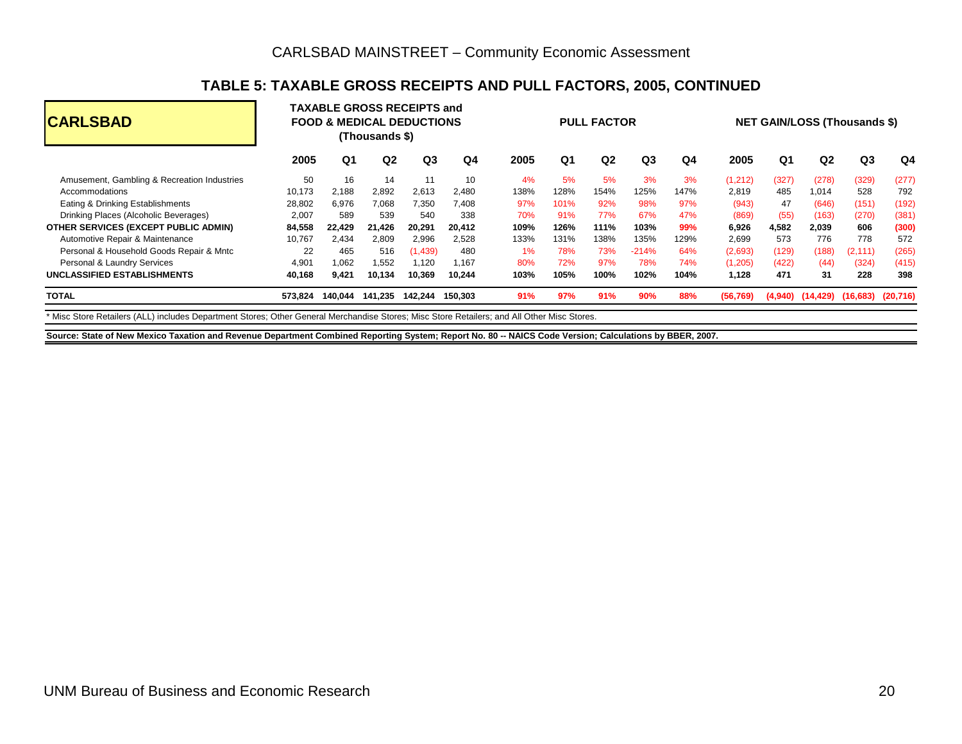#### **TABLE 5: TAXABLE GROSS RECEIPTS AND PULL FACTORS, 2005, CONTINUED**

| <b>CARLSBAD</b>                             |         |                | (Thousands \$) | <b>TAXABLE GROSS RECEIPTS and</b><br><b>FOOD &amp; MEDICAL DEDUCTIONS</b> |         |      |                | <b>PULL FACTOR</b> |                |      |           |       | <b>NET GAIN/LOSS (Thousands \$)</b> |                                            |                |  |  |  |
|---------------------------------------------|---------|----------------|----------------|---------------------------------------------------------------------------|---------|------|----------------|--------------------|----------------|------|-----------|-------|-------------------------------------|--------------------------------------------|----------------|--|--|--|
|                                             | 2005    | Q <sub>1</sub> | Q2             | Q3                                                                        | Q4      | 2005 | Q <sub>1</sub> | Q <sub>2</sub>     | Q <sub>3</sub> | Q4   | 2005      | Q1    | Q <sub>2</sub>                      | Q <sub>3</sub>                             | Q <sub>4</sub> |  |  |  |
| Amusement, Gambling & Recreation Industries | 50      | 16             | 14             | 11                                                                        | 10      | 4%   | 5%             | 5%                 | 3%             | 3%   | (1,212)   | (327) | (278)                               | (329)                                      | (277)          |  |  |  |
| Accommodations                              | 10,173  | 2,188          | 2,892          | 2,613                                                                     | 2,480   | 138% | 128%           | 154%               | 125%           | 147% | 2,819     | 485   | 1,014                               | 528                                        | 792            |  |  |  |
| Eating & Drinking Establishments            | 28,802  | 6,976          | 7.068          | 7,350                                                                     | 7.408   | 97%  | 101%           | 92%                | 98%            | 97%  | (943)     | 47    | (646)                               | (151)                                      | (192)          |  |  |  |
| Drinking Places (Alcoholic Beverages)       | 2,007   | 589            | 539            | 540                                                                       | 338     | 70%  | 91%            | 77%                | 67%            | 47%  | (869)     | (55)  | (163)                               | (270)                                      | (381)          |  |  |  |
| OTHER SERVICES (EXCEPT PUBLIC ADMIN)        | 84,558  | 22.429         | 21.426         | 20,291                                                                    | 20.412  | 109% | 126%           | 111%               | 103%           | 99%  | 6,926     | 4.582 | 2,039                               | 606                                        | (300)          |  |  |  |
| Automotive Repair & Maintenance             | 10.767  | 2,434          | 2,809          | 2,996                                                                     | 2.528   | 133% | 131%           | 138%               | 135%           | 129% | 2,699     | 573   | 776                                 | 778                                        | 572            |  |  |  |
| Personal & Household Goods Repair & Mntc    | 22      | 465            | 516            | (1,439)                                                                   | 480     | 1%   | 78%            | 73%                | $-214%$        | 64%  | (2,693)   | (129) | (188)                               | (2, 111)                                   | (265)          |  |  |  |
| Personal & Laundry Services                 | 4.901   | 1.062          | 1.552          | 1,120                                                                     | 1.167   | 80%  | 72%            | 97%                | 78%            | 74%  | (1,205)   | (422) | (44)                                | (324)                                      | (415)          |  |  |  |
| <b>UNCLASSIFIED ESTABLISHMENTS</b>          | 40,168  | 9,421          | 10,134         | 10,369                                                                    | 10.244  | 103% | 105%           | 100%               | 102%           | 104% | 1,128     | 471   | 31                                  | 228                                        | 398            |  |  |  |
| <b>TOTAL</b>                                | 573.824 | 140.044        | 141.235        | 142.244                                                                   | 150.303 | 91%  | 97%            | 91%                | 90%            | 88%  | (56, 769) |       |                                     | $(4,940)$ $(14,429)$ $(16,683)$ $(20,716)$ |                |  |  |  |
|                                             |         |                |                |                                                                           |         |      |                |                    |                |      |           |       |                                     |                                            |                |  |  |  |

\* Misc Store Retailers (ALL) includes Department Stores; Other General Merchandise Stores; Misc Store Retailers; and All Other Misc Stores.

**Source: State of New Mexico Taxation and Revenue Department Combined Reporting System; Report No. 80 -- NAICS Code Version; Calculations by BBER, 2007.**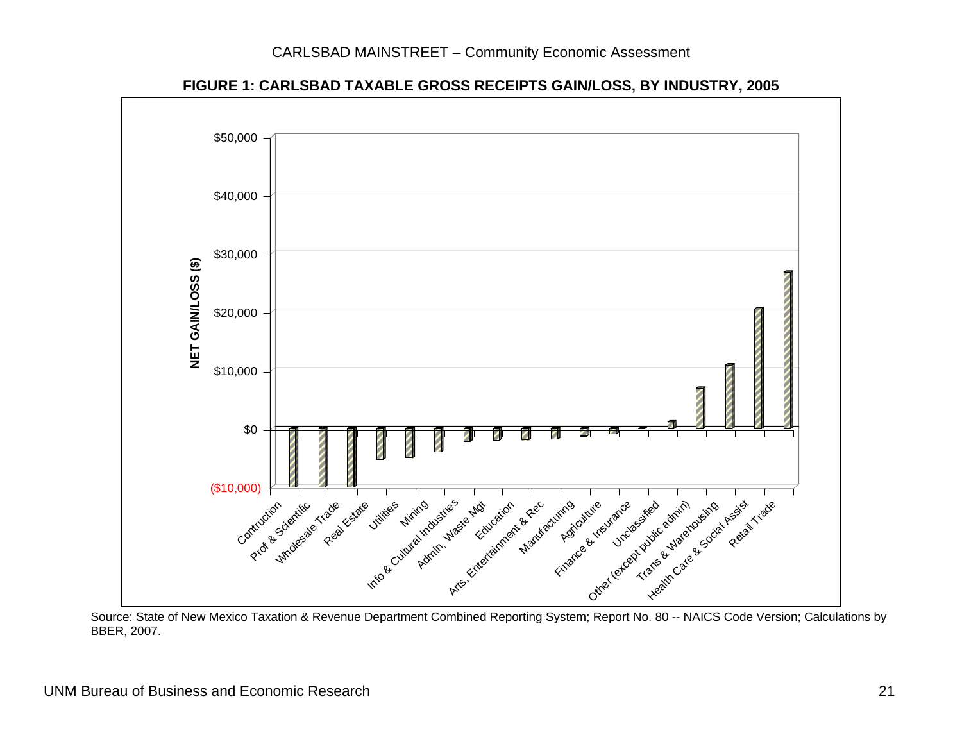

**FIGURE 1: CARLSBAD TAXABLE GROSS RECEIPTS GAIN/LOSS, BY INDUSTRY, 2005** 

 Source: State of New Mexico Taxation & Revenue Department Combined Reporting System; Report No. 80 -- NAICS Code Version; Calculations by BBER, 2007.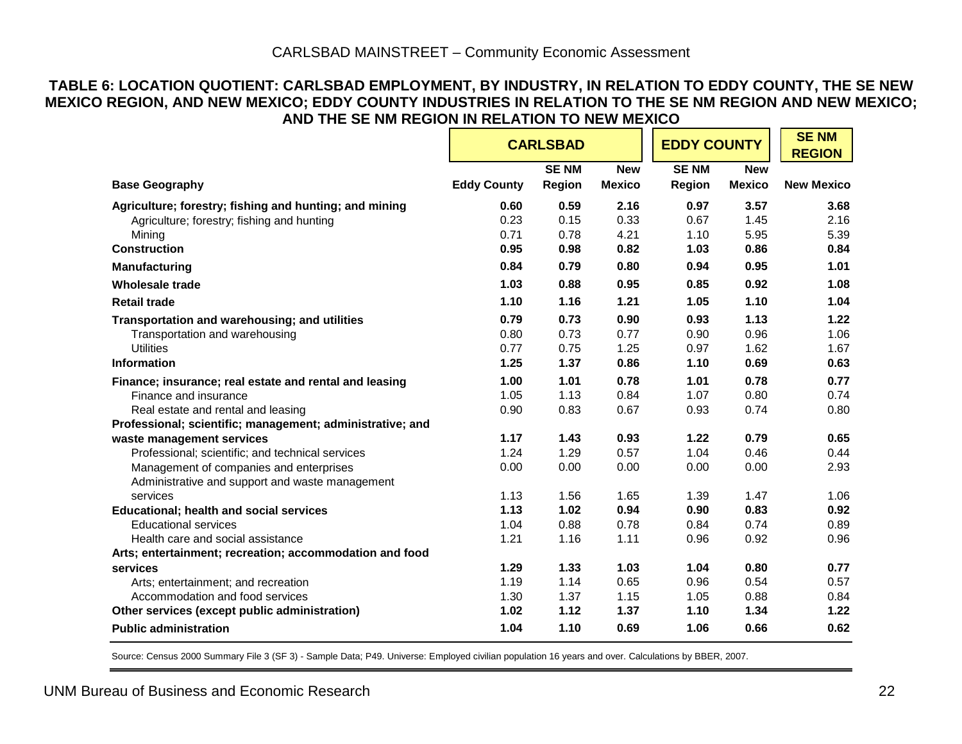#### **TABLE 6: LOCATION QUOTIENT: CARLSBAD EMPLOYMENT, BY INDUSTRY, IN RELATION TO EDDY COUNTY, THE SE NEW MEXICO REGION, AND NEW MEXICO; EDDY COUNTY INDUSTRIES IN RELATION TO THE SE NM REGION AND NEW MEXICO; AND THE SE NM REGION IN RELATION TO NEW MEXICO**

|                                                           |                    | <b>CARLSBAD</b> |               | <b>EDDY COUNTY</b> |               | <b>SENM</b><br><b>REGION</b> |
|-----------------------------------------------------------|--------------------|-----------------|---------------|--------------------|---------------|------------------------------|
|                                                           |                    | <b>SENM</b>     | <b>New</b>    | <b>SENM</b>        | <b>New</b>    |                              |
| <b>Base Geography</b>                                     | <b>Eddy County</b> | Region          | <b>Mexico</b> | Region             | <b>Mexico</b> | <b>New Mexico</b>            |
| Agriculture; forestry; fishing and hunting; and mining    | 0.60               | 0.59            | 2.16          | 0.97               | 3.57          | 3.68                         |
| Agriculture; forestry; fishing and hunting                | 0.23               | 0.15            | 0.33          | 0.67               | 1.45          | 2.16                         |
| Mining                                                    | 0.71               | 0.78            | 4.21          | 1.10               | 5.95          | 5.39                         |
| <b>Construction</b>                                       | 0.95               | 0.98            | 0.82          | 1.03               | 0.86          | 0.84                         |
| <b>Manufacturing</b>                                      | 0.84               | 0.79            | 0.80          | 0.94               | 0.95          | 1.01                         |
| <b>Wholesale trade</b>                                    | 1.03               | 0.88            | 0.95          | 0.85               | 0.92          | 1.08                         |
| <b>Retail trade</b>                                       | 1.10               | 1.16            | 1.21          | 1.05               | 1.10          | 1.04                         |
| Transportation and warehousing; and utilities             | 0.79               | 0.73            | 0.90          | 0.93               | 1.13          | 1.22                         |
| Transportation and warehousing                            | 0.80               | 0.73            | 0.77          | 0.90               | 0.96          | 1.06                         |
| <b>Utilities</b>                                          | 0.77               | 0.75            | 1.25          | 0.97               | 1.62          | 1.67                         |
| <b>Information</b>                                        | 1.25               | 1.37            | 0.86          | 1.10               | 0.69          | 0.63                         |
| Finance; insurance; real estate and rental and leasing    | 1.00               | 1.01            | 0.78          | 1.01               | 0.78          | 0.77                         |
| Finance and insurance                                     | 1.05               | 1.13            | 0.84          | 1.07               | 0.80          | 0.74                         |
| Real estate and rental and leasing                        | 0.90               | 0.83            | 0.67          | 0.93               | 0.74          | 0.80                         |
| Professional; scientific; management; administrative; and |                    |                 |               |                    |               |                              |
| waste management services                                 | 1.17               | 1.43            | 0.93          | 1.22               | 0.79          | 0.65                         |
| Professional; scientific; and technical services          | 1.24               | 1.29            | 0.57          | 1.04               | 0.46          | 0.44                         |
| Management of companies and enterprises                   | 0.00               | 0.00            | 0.00          | 0.00               | 0.00          | 2.93                         |
| Administrative and support and waste management           |                    |                 |               |                    |               |                              |
| services                                                  | 1.13               | 1.56            | 1.65          | 1.39               | 1.47          | 1.06                         |
| <b>Educational; health and social services</b>            | 1.13               | 1.02            | 0.94          | 0.90               | 0.83          | 0.92                         |
| <b>Educational services</b>                               | 1.04               | 0.88            | 0.78          | 0.84               | 0.74          | 0.89                         |
| Health care and social assistance                         | 1.21               | 1.16            | 1.11          | 0.96               | 0.92          | 0.96                         |
| Arts; entertainment; recreation; accommodation and food   |                    |                 |               |                    |               |                              |
| services                                                  | 1.29               | 1.33            | 1.03          | 1.04               | 0.80          | 0.77                         |
| Arts; entertainment; and recreation                       | 1.19               | 1.14            | 0.65          | 0.96               | 0.54          | 0.57                         |
| Accommodation and food services                           | 1.30               | 1.37            | 1.15          | 1.05               | 0.88          | 0.84                         |
| Other services (except public administration)             | 1.02               | 1.12            | 1.37          | 1.10               | 1.34          | 1.22                         |
| <b>Public administration</b>                              | 1.04               | 1.10            | 0.69          | 1.06               | 0.66          | 0.62                         |

Source: Census 2000 Summary File 3 (SF 3) - Sample Data; P49. Universe: Employed civilian population 16 years and over. Calculations by BBER, 2007.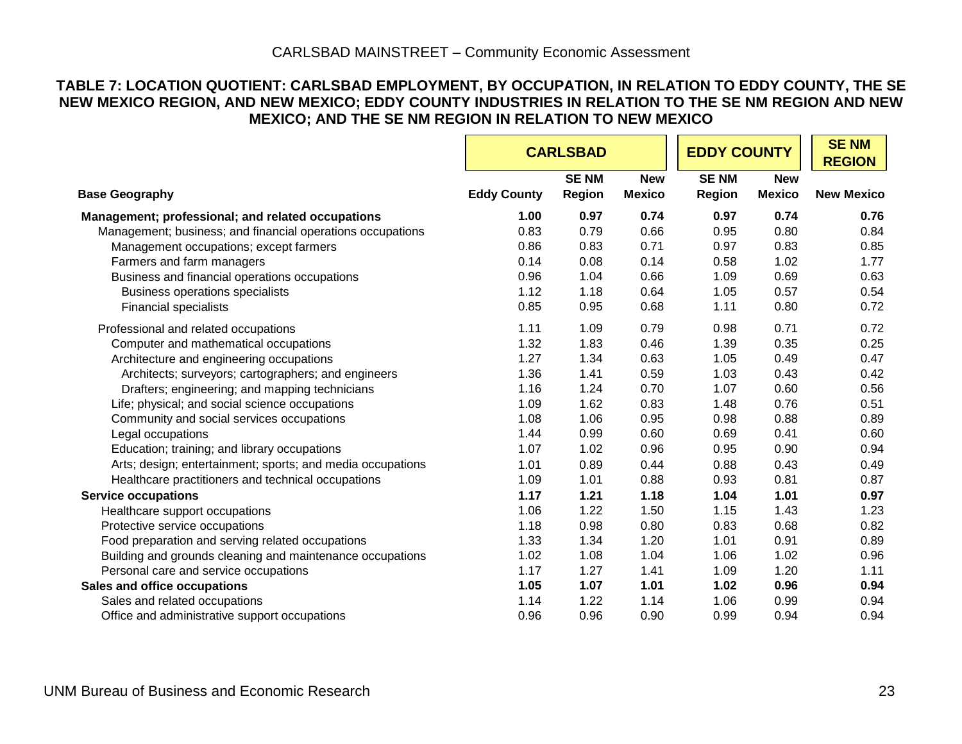#### **TABLE 7: LOCATION QUOTIENT: CARLSBAD EMPLOYMENT, BY OCCUPATION, IN RELATION TO EDDY COUNTY, THE SE NEW MEXICO REGION, AND NEW MEXICO; EDDY COUNTY INDUSTRIES IN RELATION TO THE SE NM REGION AND NEW MEXICO; AND THE SE NM REGION IN RELATION TO NEW MEXICO**

|                                                            |                    | <b>CARLSBAD</b>       |                             |                              |                             | <b>EDDY COUNTY</b> |  | <b>SENM</b><br><b>REGION</b> |
|------------------------------------------------------------|--------------------|-----------------------|-----------------------------|------------------------------|-----------------------------|--------------------|--|------------------------------|
| <b>Base Geography</b>                                      | <b>Eddy County</b> | <b>SENM</b><br>Region | <b>New</b><br><b>Mexico</b> | <b>SENM</b><br><b>Region</b> | <b>New</b><br><b>Mexico</b> | <b>New Mexico</b>  |  |                              |
| Management; professional; and related occupations          | 1.00               | 0.97                  | 0.74                        | 0.97                         | 0.74                        | 0.76               |  |                              |
| Management; business; and financial operations occupations | 0.83               | 0.79                  | 0.66                        | 0.95                         | 0.80                        | 0.84               |  |                              |
| Management occupations; except farmers                     | 0.86               | 0.83                  | 0.71                        | 0.97                         | 0.83                        | 0.85               |  |                              |
| Farmers and farm managers                                  | 0.14               | 0.08                  | 0.14                        | 0.58                         | 1.02                        | 1.77               |  |                              |
| Business and financial operations occupations              | 0.96               | 1.04                  | 0.66                        | 1.09                         | 0.69                        | 0.63               |  |                              |
| <b>Business operations specialists</b>                     | 1.12               | 1.18                  | 0.64                        | 1.05                         | 0.57                        | 0.54               |  |                              |
| <b>Financial specialists</b>                               | 0.85               | 0.95                  | 0.68                        | 1.11                         | 0.80                        | 0.72               |  |                              |
| Professional and related occupations                       | 1.11               | 1.09                  | 0.79                        | 0.98                         | 0.71                        | 0.72               |  |                              |
| Computer and mathematical occupations                      | 1.32               | 1.83                  | 0.46                        | 1.39                         | 0.35                        | 0.25               |  |                              |
| Architecture and engineering occupations                   | 1.27               | 1.34                  | 0.63                        | 1.05                         | 0.49                        | 0.47               |  |                              |
| Architects; surveyors; cartographers; and engineers        | 1.36               | 1.41                  | 0.59                        | 1.03                         | 0.43                        | 0.42               |  |                              |
| Drafters; engineering; and mapping technicians             | 1.16               | 1.24                  | 0.70                        | 1.07                         | 0.60                        | 0.56               |  |                              |
| Life; physical; and social science occupations             | 1.09               | 1.62                  | 0.83                        | 1.48                         | 0.76                        | 0.51               |  |                              |
| Community and social services occupations                  | 1.08               | 1.06                  | 0.95                        | 0.98                         | 0.88                        | 0.89               |  |                              |
| Legal occupations                                          | 1.44               | 0.99                  | 0.60                        | 0.69                         | 0.41                        | 0.60               |  |                              |
| Education; training; and library occupations               | 1.07               | 1.02                  | 0.96                        | 0.95                         | 0.90                        | 0.94               |  |                              |
| Arts; design; entertainment; sports; and media occupations | 1.01               | 0.89                  | 0.44                        | 0.88                         | 0.43                        | 0.49               |  |                              |
| Healthcare practitioners and technical occupations         | 1.09               | 1.01                  | 0.88                        | 0.93                         | 0.81                        | 0.87               |  |                              |
| <b>Service occupations</b>                                 | 1.17               | 1.21                  | 1.18                        | 1.04                         | 1.01                        | 0.97               |  |                              |
| Healthcare support occupations                             | 1.06               | 1.22                  | 1.50                        | 1.15                         | 1.43                        | 1.23               |  |                              |
| Protective service occupations                             | 1.18               | 0.98                  | 0.80                        | 0.83                         | 0.68                        | 0.82               |  |                              |
| Food preparation and serving related occupations           | 1.33               | 1.34                  | 1.20                        | 1.01                         | 0.91                        | 0.89               |  |                              |
| Building and grounds cleaning and maintenance occupations  | 1.02               | 1.08                  | 1.04                        | 1.06                         | 1.02                        | 0.96               |  |                              |
| Personal care and service occupations                      | 1.17               | 1.27                  | 1.41                        | 1.09                         | 1.20                        | 1.11               |  |                              |
| Sales and office occupations                               | 1.05               | 1.07                  | 1.01                        | 1.02                         | 0.96                        | 0.94               |  |                              |
| Sales and related occupations                              | 1.14               | 1.22                  | 1.14                        | 1.06                         | 0.99                        | 0.94               |  |                              |
| Office and administrative support occupations              | 0.96               | 0.96                  | 0.90                        | 0.99                         | 0.94                        | 0.94               |  |                              |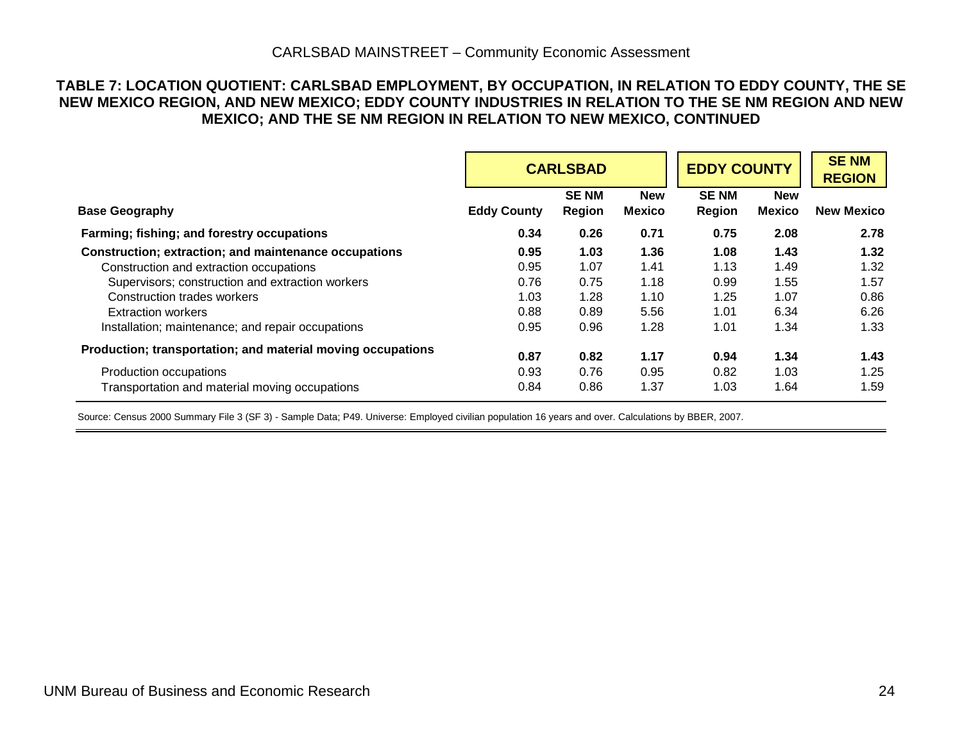#### CARLSBAD MAINSTREET – Community Economic Assessment

#### **TABLE 7: LOCATION QUOTIENT: CARLSBAD EMPLOYMENT, BY OCCUPATION, IN RELATION TO EDDY COUNTY, THE SE NEW MEXICO REGION, AND NEW MEXICO; EDDY COUNTY INDUSTRIES IN RELATION TO THE SE NM REGION AND NEW MEXICO; AND THE SE NM REGION IN RELATION TO NEW MEXICO, CONTINUED**

|                                                             | <b>CARLSBAD</b>    |                       |                             | <b>EDDY COUNTY</b>    |                             |                   |  | <b>SENM</b><br><b>REGION</b> |
|-------------------------------------------------------------|--------------------|-----------------------|-----------------------------|-----------------------|-----------------------------|-------------------|--|------------------------------|
| <b>Base Geography</b>                                       | <b>Eddy County</b> | <b>SENM</b><br>Region | <b>New</b><br><b>Mexico</b> | <b>SENM</b><br>Region | <b>New</b><br><b>Mexico</b> | <b>New Mexico</b> |  |                              |
| Farming; fishing; and forestry occupations                  | 0.34               | 0.26                  | 0.71                        | 0.75                  | 2.08                        | 2.78              |  |                              |
| Construction; extraction; and maintenance occupations       | 0.95               | 1.03                  | 1.36                        | 1.08                  | 1.43                        | 1.32              |  |                              |
| Construction and extraction occupations                     | 0.95               | 1.07                  | 1.41                        | 1.13                  | 1.49                        | 1.32              |  |                              |
| Supervisors; construction and extraction workers            | 0.76               | 0.75                  | 1.18                        | 0.99                  | 1.55                        | 1.57              |  |                              |
| Construction trades workers                                 | 1.03               | 1.28                  | 1.10                        | 1.25                  | 1.07                        | 0.86              |  |                              |
| <b>Extraction workers</b>                                   | 0.88               | 0.89                  | 5.56                        | 1.01                  | 6.34                        | 6.26              |  |                              |
| Installation; maintenance; and repair occupations           | 0.95               | 0.96                  | 1.28                        | 1.01                  | 1.34                        | 1.33              |  |                              |
| Production; transportation; and material moving occupations | 0.87               | 0.82                  | 1.17                        | 0.94                  | 1.34                        | 1.43              |  |                              |
| Production occupations                                      | 0.93               | 0.76                  | 0.95                        | 0.82                  | 1.03                        | 1.25              |  |                              |
| Transportation and material moving occupations              | 0.84               | 0.86                  | 1.37                        | 1.03                  | 1.64                        | 1.59              |  |                              |

Source: Census 2000 Summary File 3 (SF 3) - Sample Data; P49. Universe: Employed civilian population 16 years and over. Calculations by BBER, 2007.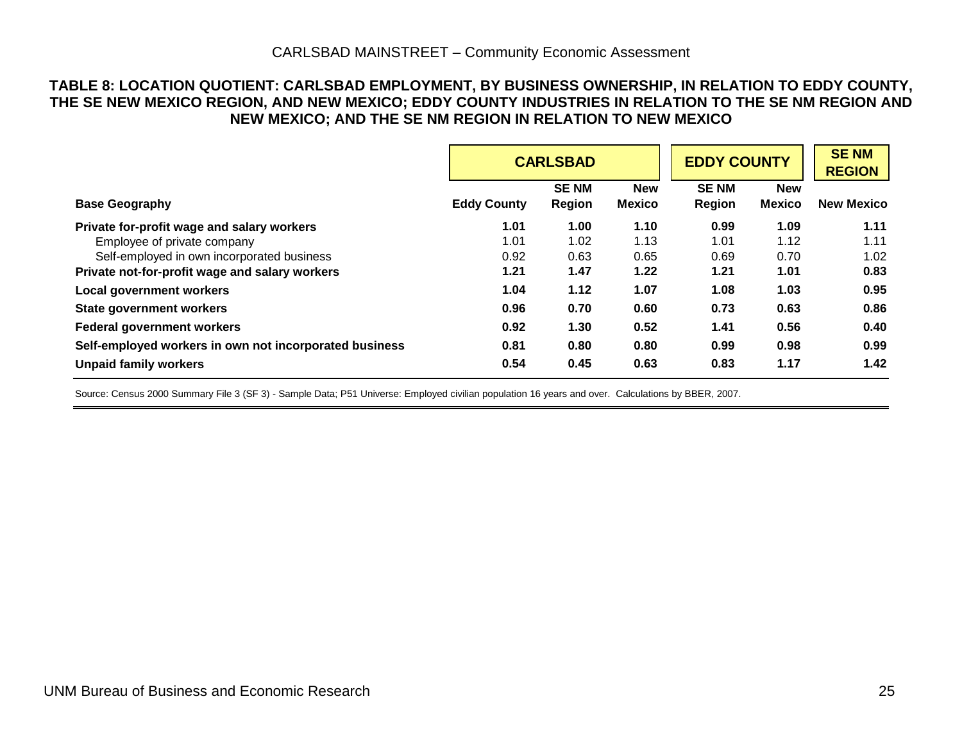#### **TABLE 8: LOCATION QUOTIENT: CARLSBAD EMPLOYMENT, BY BUSINESS OWNERSHIP, IN RELATION TO EDDY COUNTY, THE SE NEW MEXICO REGION, AND NEW MEXICO; EDDY COUNTY INDUSTRIES IN RELATION TO THE SE NM REGION AND NEW MEXICO; AND THE SE NM REGION IN RELATION TO NEW MEXICO**

|                                                        | <b>CARLSBAD</b>    |                              |                             | <b>EDDY COUNTY</b>    | <b>SENM</b><br><b>REGION</b> |                   |
|--------------------------------------------------------|--------------------|------------------------------|-----------------------------|-----------------------|------------------------------|-------------------|
| <b>Base Geography</b>                                  | <b>Eddy County</b> | <b>SENM</b><br><b>Region</b> | <b>New</b><br><b>Mexico</b> | <b>SENM</b><br>Region | <b>New</b><br><b>Mexico</b>  | <b>New Mexico</b> |
| Private for-profit wage and salary workers             | 1.01               | 1.00                         | 1.10                        | 0.99                  | 1.09                         | 1.11              |
| Employee of private company                            | 1.01               | 1.02                         | 1.13                        | 1.01                  | 1.12                         | 1.11              |
| Self-employed in own incorporated business             | 0.92               | 0.63                         | 0.65                        | 0.69                  | 0.70                         | 1.02              |
| Private not-for-profit wage and salary workers         | 1.21               | 1.47                         | 1.22                        | 1.21                  | 1.01                         | 0.83              |
| <b>Local government workers</b>                        | 1.04               | 1.12                         | 1.07                        | 1.08                  | 1.03                         | 0.95              |
| <b>State government workers</b>                        | 0.96               | 0.70                         | 0.60                        | 0.73                  | 0.63                         | 0.86              |
| <b>Federal government workers</b>                      | 0.92               | 1.30                         | 0.52                        | 1.41                  | 0.56                         | 0.40              |
| Self-employed workers in own not incorporated business | 0.81               | 0.80                         | 0.80                        | 0.99                  | 0.98                         | 0.99              |
| <b>Unpaid family workers</b>                           | 0.54               | 0.45                         | 0.63                        | 0.83                  | 1.17                         | 1.42              |

Source: Census 2000 Summary File 3 (SF 3) - Sample Data; P51 Universe: Employed civilian population 16 years and over. Calculations by BBER, 2007.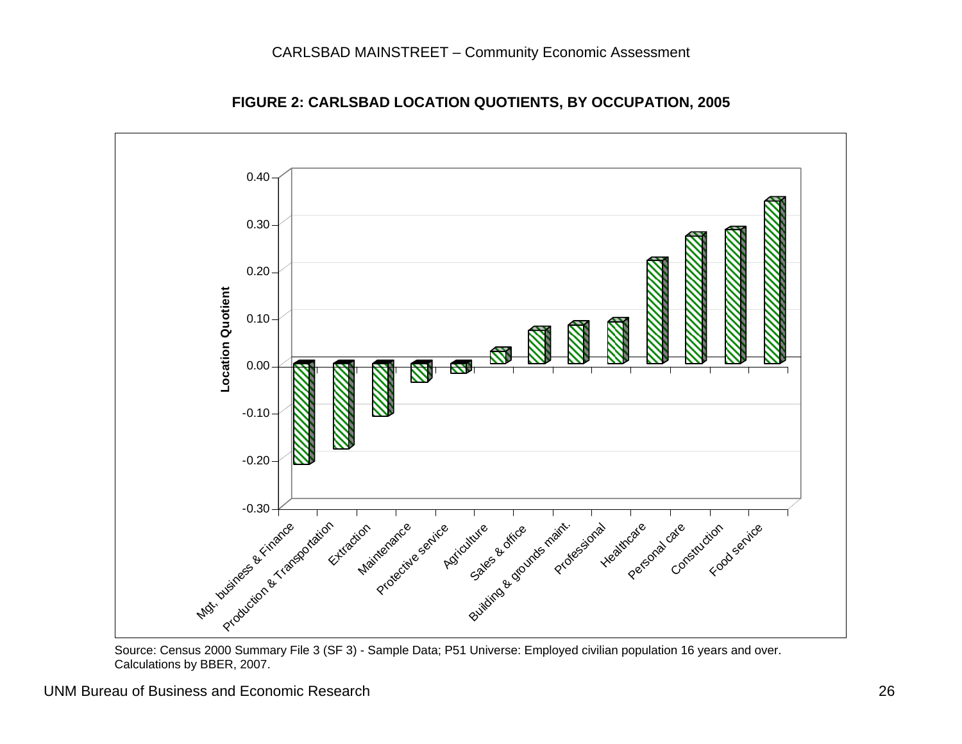

**FIGURE 2: CARLSBAD LOCATION QUOTIENTS, BY OCCUPATION, 2005** 

 Source: Census 2000 Summary File 3 (SF 3) - Sample Data; P51 Universe: Employed civilian population 16 years and over. Calculations by BBER, 2007.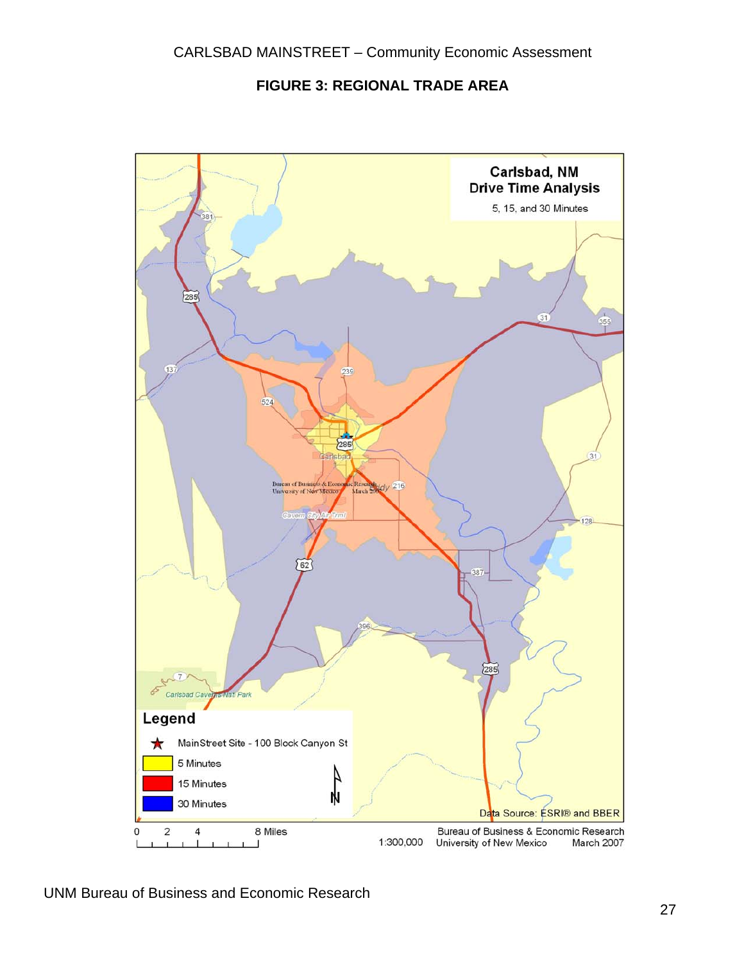**FIGURE 3: REGIONAL TRADE AREA** 

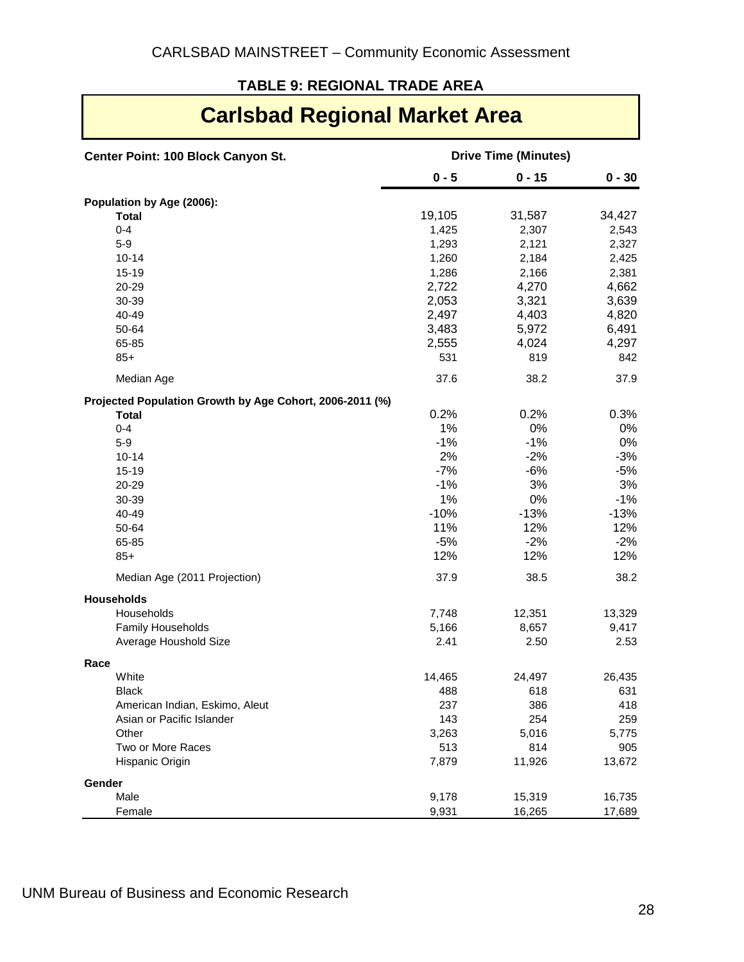#### **TABLE 9: REGIONAL TRADE AREA**

### **Carlsbad Regional Market Area**

| Center Point: 100 Block Canyon St.                       | <b>Drive Time (Minutes)</b> |          |          |  |
|----------------------------------------------------------|-----------------------------|----------|----------|--|
|                                                          | $0 - 5$                     | $0 - 15$ | $0 - 30$ |  |
| Population by Age (2006):                                |                             |          |          |  |
| <b>Total</b>                                             | 19,105                      | 31,587   | 34,427   |  |
| $0 - 4$                                                  | 1,425                       | 2,307    | 2,543    |  |
| $5 - 9$                                                  | 1,293                       | 2,121    | 2,327    |  |
| $10 - 14$                                                | 1,260                       | 2,184    | 2,425    |  |
| $15 - 19$                                                | 1,286                       | 2,166    | 2,381    |  |
| 20-29                                                    | 2,722                       | 4,270    | 4,662    |  |
| 30-39                                                    | 2,053                       | 3,321    | 3,639    |  |
| 40-49                                                    | 2,497                       | 4,403    | 4,820    |  |
| 50-64                                                    | 3,483                       | 5,972    | 6,491    |  |
| 65-85                                                    | 2,555                       | 4,024    | 4,297    |  |
| $85+$                                                    | 531                         | 819      | 842      |  |
| Median Age                                               | 37.6                        | 38.2     | 37.9     |  |
| Projected Population Growth by Age Cohort, 2006-2011 (%) |                             |          |          |  |
| <b>Total</b>                                             | 0.2%                        | 0.2%     | 0.3%     |  |
| $0 - 4$                                                  | 1%                          | 0%       | 0%       |  |
| $5-9$                                                    | $-1%$                       | $-1%$    | 0%       |  |
| $10 - 14$                                                | 2%                          | $-2%$    | $-3%$    |  |
| $15 - 19$                                                | $-7%$                       | $-6%$    | $-5%$    |  |
| 20-29                                                    | $-1%$                       | 3%       | 3%       |  |
| 30-39                                                    | 1%                          | 0%       | $-1%$    |  |
| 40-49                                                    | $-10%$                      | $-13%$   | $-13%$   |  |
| 50-64                                                    | 11%                         | 12%      | 12%      |  |
| 65-85                                                    | $-5%$                       | $-2%$    | $-2%$    |  |
| $85+$                                                    | 12%                         | 12%      | 12%      |  |
| Median Age (2011 Projection)                             | 37.9                        | 38.5     | 38.2     |  |
| <b>Households</b>                                        |                             |          |          |  |
| Households                                               | 7,748                       | 12,351   | 13,329   |  |
| Family Households                                        | 5,166                       | 8,657    | 9,417    |  |
| Average Houshold Size                                    | 2.41                        | 2.50     | 2.53     |  |
| Race                                                     |                             |          |          |  |
| White                                                    | 14,465                      | 24,497   | 26,435   |  |
| <b>Black</b>                                             | 488                         | 618      | 631      |  |
| American Indian, Eskimo, Aleut                           | 237                         | 386      | 418      |  |
| Asian or Pacific Islander                                | 143                         | 254      | 259      |  |
| Other                                                    | 3,263                       | 5,016    | 5,775    |  |
| Two or More Races                                        | 513                         | 814      | 905      |  |
| Hispanic Origin                                          | 7,879                       | 11,926   | 13,672   |  |
| Gender                                                   |                             |          |          |  |
| Male                                                     | 9,178                       | 15,319   | 16,735   |  |
| Female                                                   | 9,931                       | 16,265   | 17,689   |  |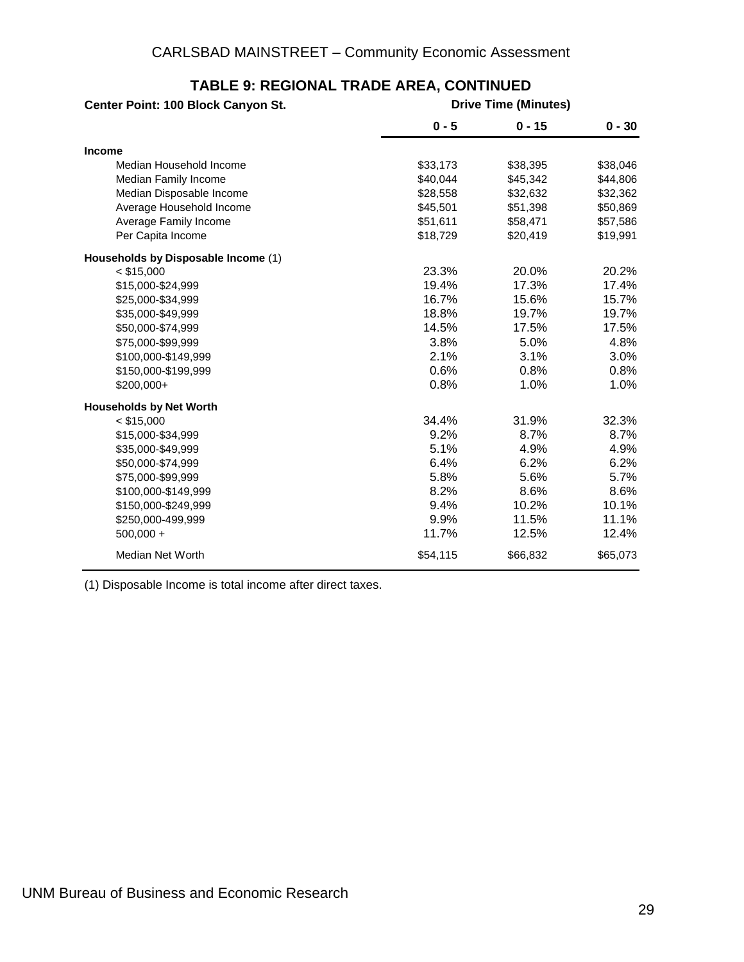| Center Point: 100 Block Canyon St.  | <b>Drive Time (Minutes)</b> |          |          |
|-------------------------------------|-----------------------------|----------|----------|
|                                     | $0 - 5$                     | $0 - 15$ | $0 - 30$ |
| <b>Income</b>                       |                             |          |          |
| Median Household Income             | \$33,173                    | \$38,395 | \$38,046 |
| Median Family Income                | \$40,044                    | \$45,342 | \$44,806 |
| Median Disposable Income            | \$28,558                    | \$32,632 | \$32,362 |
| Average Household Income            | \$45,501                    | \$51,398 | \$50,869 |
| Average Family Income               | \$51,611                    | \$58,471 | \$57,586 |
| Per Capita Income                   | \$18,729                    | \$20,419 | \$19,991 |
| Households by Disposable Income (1) |                             |          |          |
| $<$ \$15,000                        | 23.3%                       | 20.0%    | 20.2%    |
| \$15,000-\$24,999                   | 19.4%                       | 17.3%    | 17.4%    |
| \$25,000-\$34,999                   | 16.7%                       | 15.6%    | 15.7%    |
| \$35,000-\$49,999                   | 18.8%                       | 19.7%    | 19.7%    |
| \$50,000-\$74,999                   | 14.5%                       | 17.5%    | 17.5%    |
| \$75,000-\$99,999                   | 3.8%                        | 5.0%     | 4.8%     |
| \$100,000-\$149,999                 | 2.1%                        | 3.1%     | 3.0%     |
| \$150,000-\$199,999                 | 0.6%                        | 0.8%     | 0.8%     |
| \$200,000+                          | 0.8%                        | 1.0%     | 1.0%     |
| <b>Households by Net Worth</b>      |                             |          |          |
| $<$ \$15,000                        | 34.4%                       | 31.9%    | 32.3%    |
| \$15,000-\$34,999                   | 9.2%                        | 8.7%     | 8.7%     |
| \$35,000-\$49,999                   | 5.1%                        | 4.9%     | 4.9%     |
| \$50,000-\$74,999                   | 6.4%                        | 6.2%     | 6.2%     |
| \$75,000-\$99,999                   | 5.8%                        | 5.6%     | 5.7%     |
| \$100,000-\$149,999                 | 8.2%                        | 8.6%     | 8.6%     |
| \$150,000-\$249,999                 | 9.4%                        | 10.2%    | 10.1%    |
| \$250,000-499,999                   | 9.9%                        | 11.5%    | 11.1%    |
| $500,000 +$                         | 11.7%                       | 12.5%    | 12.4%    |
| Median Net Worth                    | \$54,115                    | \$66,832 | \$65,073 |

### **TABLE 9: REGIONAL TRADE AREA, CONTINUED**

(1) Disposable Income is total income after direct taxes.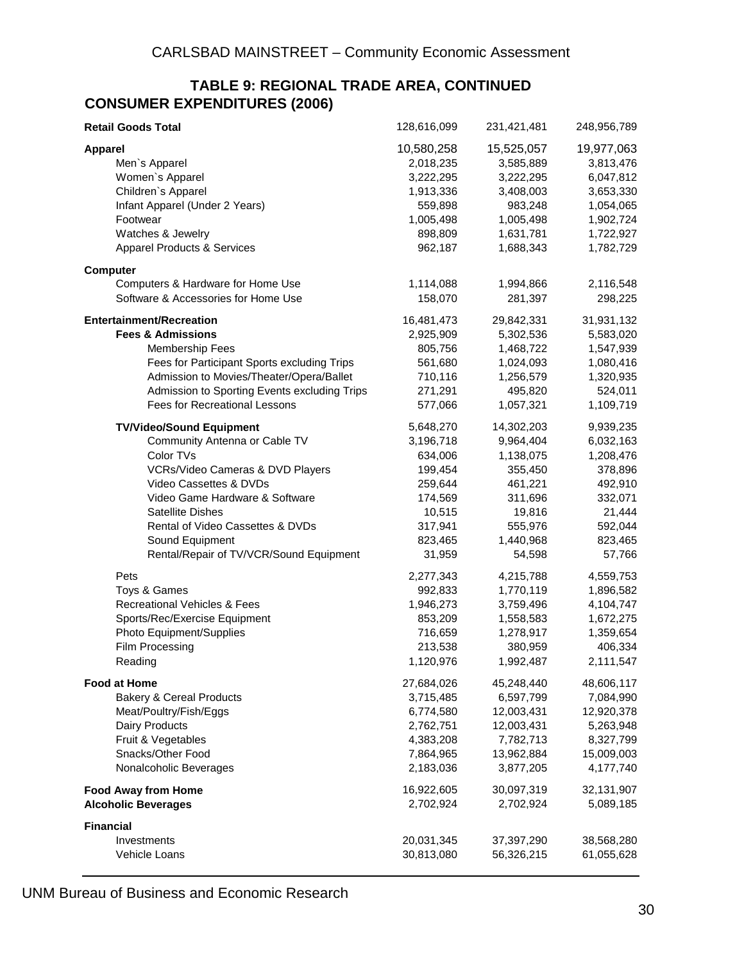#### **TABLE 9: REGIONAL TRADE AREA, CONTINUED CONSUMER EXPENDITURES (2006)**

| <b>Retail Goods Total</b>                    | 128,616,099 | 231,421,481 | 248,956,789 |
|----------------------------------------------|-------------|-------------|-------------|
| <b>Apparel</b>                               | 10,580,258  | 15,525,057  | 19,977,063  |
| Men's Apparel                                | 2,018,235   | 3,585,889   | 3,813,476   |
| Women's Apparel                              | 3,222,295   | 3,222,295   | 6,047,812   |
| Children's Apparel                           | 1,913,336   | 3,408,003   | 3,653,330   |
| Infant Apparel (Under 2 Years)               | 559,898     | 983,248     | 1,054,065   |
| Footwear                                     | 1,005,498   | 1,005,498   | 1,902,724   |
| Watches & Jewelry                            | 898,809     | 1,631,781   | 1,722,927   |
| <b>Apparel Products &amp; Services</b>       | 962,187     | 1,688,343   | 1,782,729   |
| <b>Computer</b>                              |             |             |             |
| Computers & Hardware for Home Use            | 1,114,088   | 1,994,866   | 2,116,548   |
| Software & Accessories for Home Use          | 158,070     | 281,397     | 298,225     |
| <b>Entertainment/Recreation</b>              | 16,481,473  | 29,842,331  | 31,931,132  |
| <b>Fees &amp; Admissions</b>                 | 2,925,909   | 5,302,536   | 5,583,020   |
| <b>Membership Fees</b>                       | 805,756     | 1,468,722   | 1,547,939   |
| Fees for Participant Sports excluding Trips  | 561,680     | 1,024,093   | 1,080,416   |
| Admission to Movies/Theater/Opera/Ballet     | 710,116     | 1,256,579   | 1,320,935   |
| Admission to Sporting Events excluding Trips | 271,291     | 495,820     | 524,011     |
| <b>Fees for Recreational Lessons</b>         | 577,066     | 1,057,321   | 1,109,719   |
| <b>TV/Video/Sound Equipment</b>              | 5,648,270   | 14,302,203  | 9,939,235   |
| Community Antenna or Cable TV                | 3,196,718   | 9,964,404   | 6,032,163   |
| Color TVs                                    | 634,006     | 1,138,075   | 1,208,476   |
| VCRs/Video Cameras & DVD Players             | 199,454     | 355,450     | 378,896     |
| Video Cassettes & DVDs                       | 259,644     | 461,221     | 492,910     |
| Video Game Hardware & Software               | 174,569     | 311,696     | 332,071     |
| <b>Satellite Dishes</b>                      | 10,515      | 19,816      | 21,444      |
| Rental of Video Cassettes & DVDs             | 317,941     | 555,976     | 592,044     |
| Sound Equipment                              | 823,465     | 1,440,968   | 823,465     |
| Rental/Repair of TV/VCR/Sound Equipment      | 31,959      | 54,598      | 57,766      |
| Pets                                         | 2,277,343   | 4,215,788   | 4,559,753   |
| Toys & Games                                 | 992,833     | 1,770,119   | 1,896,582   |
| Recreational Vehicles & Fees                 | 1,946,273   | 3,759,496   | 4,104,747   |
| Sports/Rec/Exercise Equipment                | 853,209     | 1,558,583   | 1,672,275   |
| Photo Equipment/Supplies                     | 716,659     | 1,278,917   | 1,359,654   |
| Film Processing                              | 213,538     | 380,959     | 406,334     |
| Reading                                      | 1,120,976   | 1,992,487   | 2,111,547   |
| <b>Food at Home</b>                          | 27,684,026  | 45,248,440  | 48,606,117  |
| <b>Bakery &amp; Cereal Products</b>          | 3,715,485   | 6,597,799   | 7,084,990   |
| Meat/Poultry/Fish/Eggs                       | 6,774,580   | 12,003,431  | 12,920,378  |
| Dairy Products                               | 2,762,751   | 12,003,431  | 5,263,948   |
| Fruit & Vegetables                           | 4,383,208   | 7,782,713   | 8,327,799   |
| Snacks/Other Food                            | 7,864,965   | 13,962,884  | 15,009,003  |
| Nonalcoholic Beverages                       | 2,183,036   | 3,877,205   | 4,177,740   |
| <b>Food Away from Home</b>                   | 16,922,605  | 30,097,319  | 32,131,907  |
| <b>Alcoholic Beverages</b>                   | 2,702,924   | 2,702,924   | 5,089,185   |
| <b>Financial</b>                             |             |             |             |
| Investments                                  | 20,031,345  | 37,397,290  | 38,568,280  |
| Vehicle Loans                                | 30,813,080  | 56,326,215  | 61,055,628  |

UNM Bureau of Business and Economic Research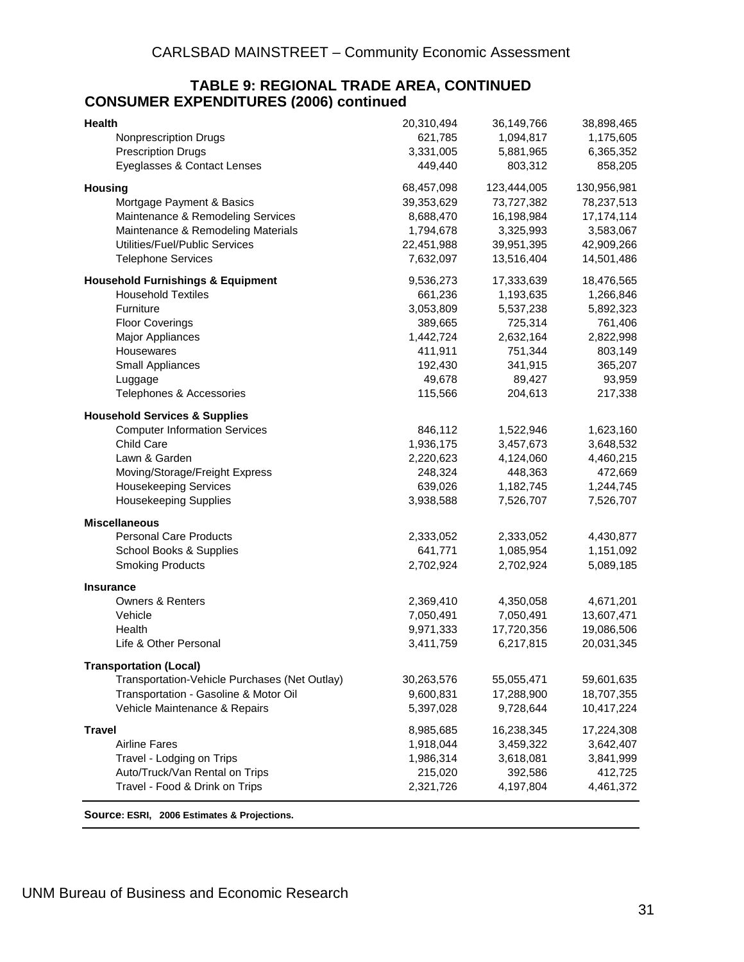#### **TABLE 9: REGIONAL TRADE AREA, CONTINUED CONSUMER EXPENDITURES (2006) continued**

| 621,785<br><b>Nonprescription Drugs</b><br>1,094,817<br>1,175,605<br><b>Prescription Drugs</b><br>3,331,005<br>5,881,965<br>6,365,352<br>Eyeglasses & Contact Lenses<br>449,440<br>858,205<br>803,312<br>130,956,981<br>68,457,098<br>123,444,005<br><b>Housing</b><br>39,353,629<br>Mortgage Payment & Basics<br>73,727,382<br>78,237,513<br>Maintenance & Remodeling Services<br>16,198,984<br>17, 174, 114<br>8,688,470<br>Maintenance & Remodeling Materials<br>1,794,678<br>3,325,993<br>3,583,067<br>Utilities/Fuel/Public Services<br>22,451,988<br>39,951,395<br>42,909,266<br><b>Telephone Services</b><br>7,632,097<br>13,516,404<br>14,501,486<br>9,536,273<br>17,333,639<br>18,476,565<br><b>Household Furnishings &amp; Equipment</b><br><b>Household Textiles</b><br>661,236<br>1,193,635<br>1,266,846<br>Furniture<br>3,053,809<br>5,537,238<br>5,892,323<br><b>Floor Coverings</b><br>725,314<br>761,406<br>389,665<br>1,442,724<br>2,632,164<br>2,822,998<br>Major Appliances<br>Housewares<br>411,911<br>751,344<br>803,149<br>341,915<br>365,207<br>Small Appliances<br>192,430<br>49,678<br>89,427<br>93,959<br>Luggage<br>Telephones & Accessories<br>115,566<br>204,613<br>217,338<br><b>Household Services &amp; Supplies</b> |
|------------------------------------------------------------------------------------------------------------------------------------------------------------------------------------------------------------------------------------------------------------------------------------------------------------------------------------------------------------------------------------------------------------------------------------------------------------------------------------------------------------------------------------------------------------------------------------------------------------------------------------------------------------------------------------------------------------------------------------------------------------------------------------------------------------------------------------------------------------------------------------------------------------------------------------------------------------------------------------------------------------------------------------------------------------------------------------------------------------------------------------------------------------------------------------------------------------------------------------------------------|
|                                                                                                                                                                                                                                                                                                                                                                                                                                                                                                                                                                                                                                                                                                                                                                                                                                                                                                                                                                                                                                                                                                                                                                                                                                                      |
|                                                                                                                                                                                                                                                                                                                                                                                                                                                                                                                                                                                                                                                                                                                                                                                                                                                                                                                                                                                                                                                                                                                                                                                                                                                      |
|                                                                                                                                                                                                                                                                                                                                                                                                                                                                                                                                                                                                                                                                                                                                                                                                                                                                                                                                                                                                                                                                                                                                                                                                                                                      |
|                                                                                                                                                                                                                                                                                                                                                                                                                                                                                                                                                                                                                                                                                                                                                                                                                                                                                                                                                                                                                                                                                                                                                                                                                                                      |
|                                                                                                                                                                                                                                                                                                                                                                                                                                                                                                                                                                                                                                                                                                                                                                                                                                                                                                                                                                                                                                                                                                                                                                                                                                                      |
|                                                                                                                                                                                                                                                                                                                                                                                                                                                                                                                                                                                                                                                                                                                                                                                                                                                                                                                                                                                                                                                                                                                                                                                                                                                      |
|                                                                                                                                                                                                                                                                                                                                                                                                                                                                                                                                                                                                                                                                                                                                                                                                                                                                                                                                                                                                                                                                                                                                                                                                                                                      |
|                                                                                                                                                                                                                                                                                                                                                                                                                                                                                                                                                                                                                                                                                                                                                                                                                                                                                                                                                                                                                                                                                                                                                                                                                                                      |
|                                                                                                                                                                                                                                                                                                                                                                                                                                                                                                                                                                                                                                                                                                                                                                                                                                                                                                                                                                                                                                                                                                                                                                                                                                                      |
|                                                                                                                                                                                                                                                                                                                                                                                                                                                                                                                                                                                                                                                                                                                                                                                                                                                                                                                                                                                                                                                                                                                                                                                                                                                      |
|                                                                                                                                                                                                                                                                                                                                                                                                                                                                                                                                                                                                                                                                                                                                                                                                                                                                                                                                                                                                                                                                                                                                                                                                                                                      |
|                                                                                                                                                                                                                                                                                                                                                                                                                                                                                                                                                                                                                                                                                                                                                                                                                                                                                                                                                                                                                                                                                                                                                                                                                                                      |
|                                                                                                                                                                                                                                                                                                                                                                                                                                                                                                                                                                                                                                                                                                                                                                                                                                                                                                                                                                                                                                                                                                                                                                                                                                                      |
|                                                                                                                                                                                                                                                                                                                                                                                                                                                                                                                                                                                                                                                                                                                                                                                                                                                                                                                                                                                                                                                                                                                                                                                                                                                      |
|                                                                                                                                                                                                                                                                                                                                                                                                                                                                                                                                                                                                                                                                                                                                                                                                                                                                                                                                                                                                                                                                                                                                                                                                                                                      |
|                                                                                                                                                                                                                                                                                                                                                                                                                                                                                                                                                                                                                                                                                                                                                                                                                                                                                                                                                                                                                                                                                                                                                                                                                                                      |
|                                                                                                                                                                                                                                                                                                                                                                                                                                                                                                                                                                                                                                                                                                                                                                                                                                                                                                                                                                                                                                                                                                                                                                                                                                                      |
|                                                                                                                                                                                                                                                                                                                                                                                                                                                                                                                                                                                                                                                                                                                                                                                                                                                                                                                                                                                                                                                                                                                                                                                                                                                      |
|                                                                                                                                                                                                                                                                                                                                                                                                                                                                                                                                                                                                                                                                                                                                                                                                                                                                                                                                                                                                                                                                                                                                                                                                                                                      |
| <b>Computer Information Services</b><br>846,112<br>1,522,946<br>1,623,160                                                                                                                                                                                                                                                                                                                                                                                                                                                                                                                                                                                                                                                                                                                                                                                                                                                                                                                                                                                                                                                                                                                                                                            |
| Child Care<br>1,936,175<br>3,457,673<br>3,648,532                                                                                                                                                                                                                                                                                                                                                                                                                                                                                                                                                                                                                                                                                                                                                                                                                                                                                                                                                                                                                                                                                                                                                                                                    |
| Lawn & Garden<br>2,220,623<br>4,124,060<br>4,460,215                                                                                                                                                                                                                                                                                                                                                                                                                                                                                                                                                                                                                                                                                                                                                                                                                                                                                                                                                                                                                                                                                                                                                                                                 |
| Moving/Storage/Freight Express<br>248,324<br>448,363<br>472,669                                                                                                                                                                                                                                                                                                                                                                                                                                                                                                                                                                                                                                                                                                                                                                                                                                                                                                                                                                                                                                                                                                                                                                                      |
| <b>Housekeeping Services</b><br>639,026<br>1,182,745<br>1,244,745                                                                                                                                                                                                                                                                                                                                                                                                                                                                                                                                                                                                                                                                                                                                                                                                                                                                                                                                                                                                                                                                                                                                                                                    |
| <b>Housekeeping Supplies</b><br>3,938,588<br>7,526,707<br>7,526,707                                                                                                                                                                                                                                                                                                                                                                                                                                                                                                                                                                                                                                                                                                                                                                                                                                                                                                                                                                                                                                                                                                                                                                                  |
| <b>Miscellaneous</b>                                                                                                                                                                                                                                                                                                                                                                                                                                                                                                                                                                                                                                                                                                                                                                                                                                                                                                                                                                                                                                                                                                                                                                                                                                 |
| <b>Personal Care Products</b><br>2,333,052<br>2,333,052<br>4,430,877                                                                                                                                                                                                                                                                                                                                                                                                                                                                                                                                                                                                                                                                                                                                                                                                                                                                                                                                                                                                                                                                                                                                                                                 |
| School Books & Supplies<br>641,771<br>1,151,092<br>1,085,954                                                                                                                                                                                                                                                                                                                                                                                                                                                                                                                                                                                                                                                                                                                                                                                                                                                                                                                                                                                                                                                                                                                                                                                         |
| <b>Smoking Products</b><br>2,702,924<br>2,702,924<br>5,089,185                                                                                                                                                                                                                                                                                                                                                                                                                                                                                                                                                                                                                                                                                                                                                                                                                                                                                                                                                                                                                                                                                                                                                                                       |
| <b>Insurance</b>                                                                                                                                                                                                                                                                                                                                                                                                                                                                                                                                                                                                                                                                                                                                                                                                                                                                                                                                                                                                                                                                                                                                                                                                                                     |
| <b>Owners &amp; Renters</b><br>2,369,410<br>4,350,058<br>4,671,201                                                                                                                                                                                                                                                                                                                                                                                                                                                                                                                                                                                                                                                                                                                                                                                                                                                                                                                                                                                                                                                                                                                                                                                   |
| 7,050,491<br>7,050,491<br>13,607,471<br>Vehicle                                                                                                                                                                                                                                                                                                                                                                                                                                                                                                                                                                                                                                                                                                                                                                                                                                                                                                                                                                                                                                                                                                                                                                                                      |
| 9,971,333<br>17,720,356<br>19,086,506<br>Health                                                                                                                                                                                                                                                                                                                                                                                                                                                                                                                                                                                                                                                                                                                                                                                                                                                                                                                                                                                                                                                                                                                                                                                                      |
| Life & Other Personal<br>6,217,815<br>20,031,345<br>3,411,759                                                                                                                                                                                                                                                                                                                                                                                                                                                                                                                                                                                                                                                                                                                                                                                                                                                                                                                                                                                                                                                                                                                                                                                        |
| <b>Transportation (Local)</b>                                                                                                                                                                                                                                                                                                                                                                                                                                                                                                                                                                                                                                                                                                                                                                                                                                                                                                                                                                                                                                                                                                                                                                                                                        |
| Transportation-Vehicle Purchases (Net Outlay)<br>30,263,576<br>59,601,635<br>55,055,471                                                                                                                                                                                                                                                                                                                                                                                                                                                                                                                                                                                                                                                                                                                                                                                                                                                                                                                                                                                                                                                                                                                                                              |
| Transportation - Gasoline & Motor Oil<br>9,600,831<br>17,288,900<br>18,707,355                                                                                                                                                                                                                                                                                                                                                                                                                                                                                                                                                                                                                                                                                                                                                                                                                                                                                                                                                                                                                                                                                                                                                                       |
| Vehicle Maintenance & Repairs<br>5,397,028<br>9,728,644<br>10,417,224                                                                                                                                                                                                                                                                                                                                                                                                                                                                                                                                                                                                                                                                                                                                                                                                                                                                                                                                                                                                                                                                                                                                                                                |
| 8,985,685<br>16,238,345<br>17,224,308<br><b>Travel</b>                                                                                                                                                                                                                                                                                                                                                                                                                                                                                                                                                                                                                                                                                                                                                                                                                                                                                                                                                                                                                                                                                                                                                                                               |
| <b>Airline Fares</b><br>1,918,044<br>3,459,322<br>3,642,407                                                                                                                                                                                                                                                                                                                                                                                                                                                                                                                                                                                                                                                                                                                                                                                                                                                                                                                                                                                                                                                                                                                                                                                          |
| Travel - Lodging on Trips<br>1,986,314<br>3,618,081<br>3,841,999                                                                                                                                                                                                                                                                                                                                                                                                                                                                                                                                                                                                                                                                                                                                                                                                                                                                                                                                                                                                                                                                                                                                                                                     |
| 215,020<br>Auto/Truck/Van Rental on Trips<br>392,586<br>412,725                                                                                                                                                                                                                                                                                                                                                                                                                                                                                                                                                                                                                                                                                                                                                                                                                                                                                                                                                                                                                                                                                                                                                                                      |
| Travel - Food & Drink on Trips<br>2,321,726<br>4,197,804<br>4,461,372                                                                                                                                                                                                                                                                                                                                                                                                                                                                                                                                                                                                                                                                                                                                                                                                                                                                                                                                                                                                                                                                                                                                                                                |

**Source: ESRI, 2006 Estimates & Projections.**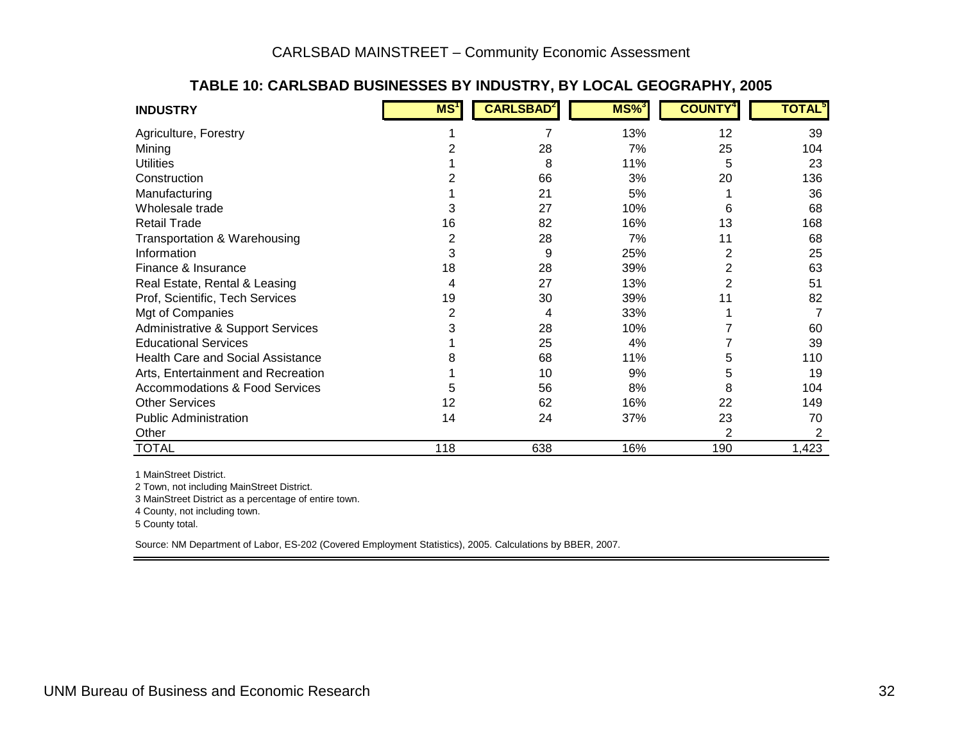| <b>INDUSTRY</b>                           | MS <sup>1</sup> | <b>CARLSBAD</b> | $MS\%$ | <b>COUNTY</b> | TOTAL <sup>5</sup> |
|-------------------------------------------|-----------------|-----------------|--------|---------------|--------------------|
| Agriculture, Forestry                     |                 |                 | 13%    | 12            | 39                 |
| Mining                                    |                 | 28              | 7%     | 25            | 104                |
| <b>Utilities</b>                          |                 | 8               | 11%    | 5             | 23                 |
| Construction                              |                 | 66              | 3%     | 20            | 136                |
| Manufacturing                             |                 | 21              | 5%     |               | 36                 |
| Wholesale trade                           | 3               | 27              | 10%    | 6             | 68                 |
| <b>Retail Trade</b>                       | 16              | 82              | 16%    | 13            | 168                |
| Transportation & Warehousing              | $\overline{2}$  | 28              | 7%     | 11            | 68                 |
| Information                               | 3               | 9               | 25%    | 2             | 25                 |
| Finance & Insurance                       | 18              | 28              | 39%    | 2             | 63                 |
| Real Estate, Rental & Leasing             | 4               | 27              | 13%    | 2             | 51                 |
| Prof, Scientific, Tech Services           | 19              | 30              | 39%    | 11            | 82                 |
| Mgt of Companies                          | 2               | 4               | 33%    |               |                    |
| Administrative & Support Services         | 3               | 28              | 10%    |               | 60                 |
| <b>Educational Services</b>               |                 | 25              | 4%     |               | 39                 |
| <b>Health Care and Social Assistance</b>  |                 | 68              | 11%    | 5             | 110                |
| Arts, Entertainment and Recreation        |                 | 10              | 9%     | 5             | 19                 |
| <b>Accommodations &amp; Food Services</b> | 5               | 56              | 8%     | 8             | 104                |
| <b>Other Services</b>                     | 12              | 62              | 16%    | 22            | 149                |
| <b>Public Administration</b>              | 14              | 24              | 37%    | 23            | 70                 |
| Other                                     |                 |                 |        | 2             |                    |
| <b>TOTAL</b>                              | 118             | 638             | 16%    | 190           | 1,423              |

#### **TABLE 10: CARLSBAD BUSINESSES BY INDUSTRY, BY LOCAL GEOGRAPHY, 2005**

1 MainStreet District.

2 Town, not including MainStreet District.

3 MainStreet District as a percentage of entire town.

4 County, not including town.

5 County total.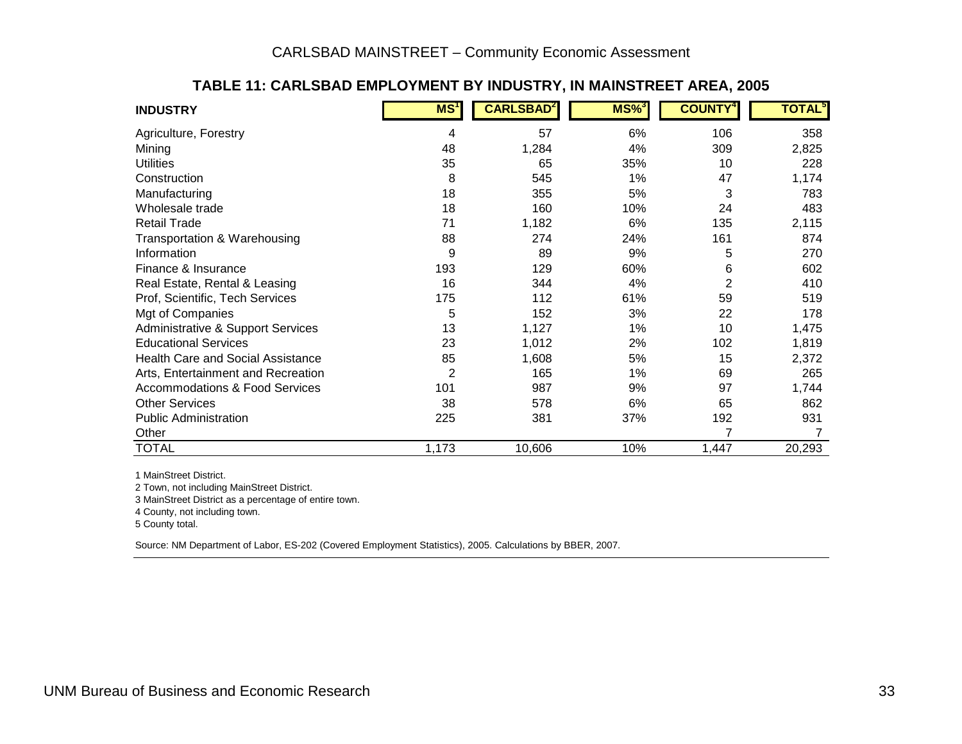| <b>INDUSTRY</b>                              | MS <sup>T</sup> | <b>CARLSBAD</b> <sup>2</sup> | $MS\%$ <sup>3</sup> | <b>COUNTY</b>  | <b>TOTAL</b> <sup>5</sup> |
|----------------------------------------------|-----------------|------------------------------|---------------------|----------------|---------------------------|
| Agriculture, Forestry                        | 4               | 57                           | 6%                  | 106            | 358                       |
| Mining                                       | 48              | 1,284                        | 4%                  | 309            | 2,825                     |
| <b>Utilities</b>                             | 35              | 65                           | 35%                 | 10             | 228                       |
| Construction                                 | 8               | 545                          | 1%                  | 47             | 1,174                     |
| Manufacturing                                | 18              | 355                          | 5%                  | 3              | 783                       |
| Wholesale trade                              | 18              | 160                          | 10%                 | 24             | 483                       |
| <b>Retail Trade</b>                          | 71              | 1,182                        | 6%                  | 135            | 2,115                     |
| Transportation & Warehousing                 | 88              | 274                          | 24%                 | 161            | 874                       |
| Information                                  | 9               | 89                           | 9%                  | 5              | 270                       |
| Finance & Insurance                          | 193             | 129                          | 60%                 | 6              | 602                       |
| Real Estate, Rental & Leasing                | 16              | 344                          | 4%                  | $\overline{2}$ | 410                       |
| Prof, Scientific, Tech Services              | 175             | 112                          | 61%                 | 59             | 519                       |
| Mgt of Companies                             | 5               | 152                          | 3%                  | 22             | 178                       |
| <b>Administrative &amp; Support Services</b> | 13              | 1,127                        | 1%                  | 10             | 1,475                     |
| <b>Educational Services</b>                  | 23              | 1,012                        | 2%                  | 102            | 1,819                     |
| <b>Health Care and Social Assistance</b>     | 85              | 1,608                        | 5%                  | 15             | 2,372                     |
| Arts, Entertainment and Recreation           | 2               | 165                          | 1%                  | 69             | 265                       |
| <b>Accommodations &amp; Food Services</b>    | 101             | 987                          | 9%                  | 97             | 1,744                     |
| <b>Other Services</b>                        | 38              | 578                          | 6%                  | 65             | 862                       |
| <b>Public Administration</b>                 | 225             | 381                          | 37%                 | 192            | 931                       |
| Other                                        |                 |                              |                     | 7              |                           |
| <b>TOTAL</b>                                 | 1,173           | 10,606                       | 10%                 | 1,447          | 20,293                    |

#### **TABLE 11: CARLSBAD EMPLOYMENT BY INDUSTRY, IN MAINSTREET AREA, 2005**

1 MainStreet District.

2 Town, not including MainStreet District.

3 MainStreet District as a percentage of entire town.

4 County, not including town.

5 County total.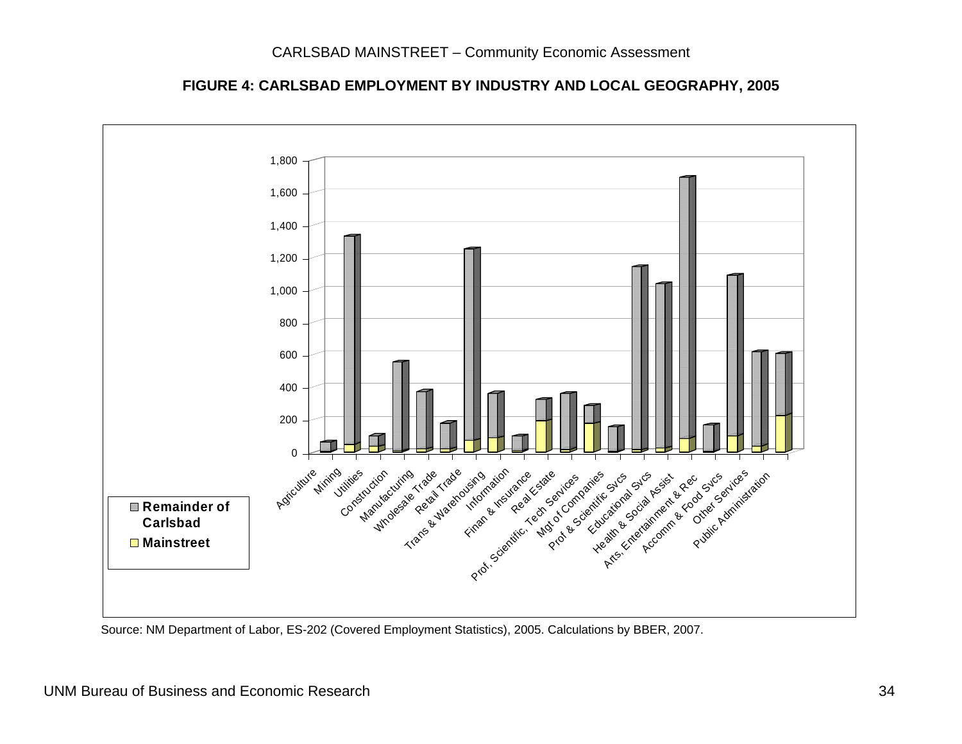**FIGURE 4: CARLSBAD EMPLOYMENT BY INDUSTRY AND LOCAL GEOGRAPHY, 2005** 

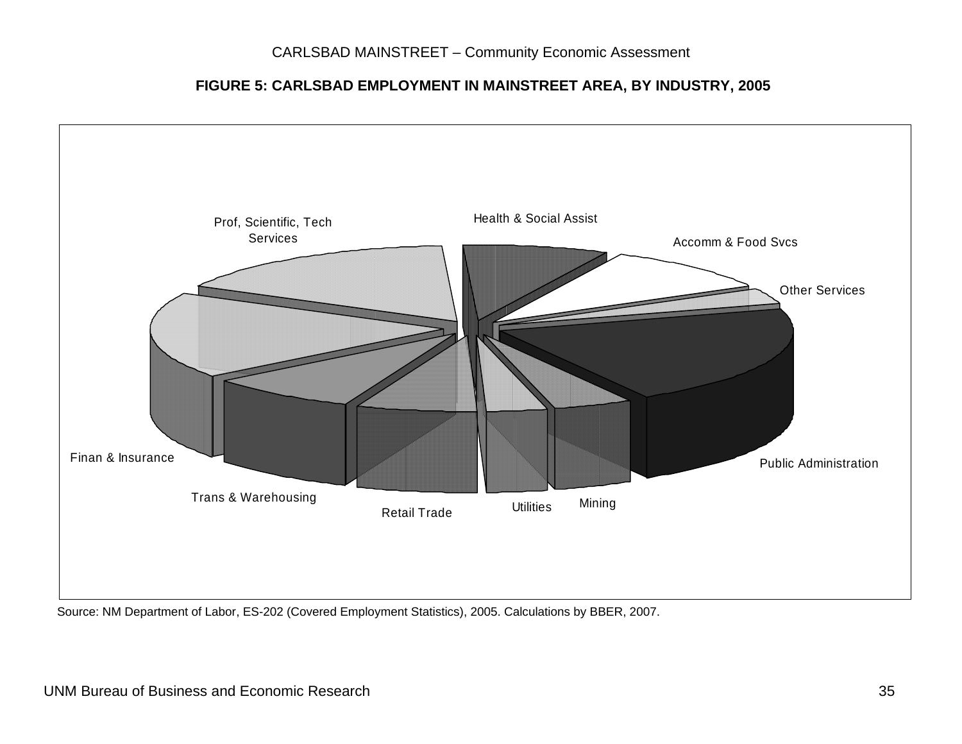#### **FIGURE 5: CARLSBAD EMPLOYMENT IN MAINSTREET AREA, BY INDUSTRY, 2005**



Source: NM Department of Labor, ES-202 (Covered Employment Statistics), 2005. Calculations by BBER, 2007.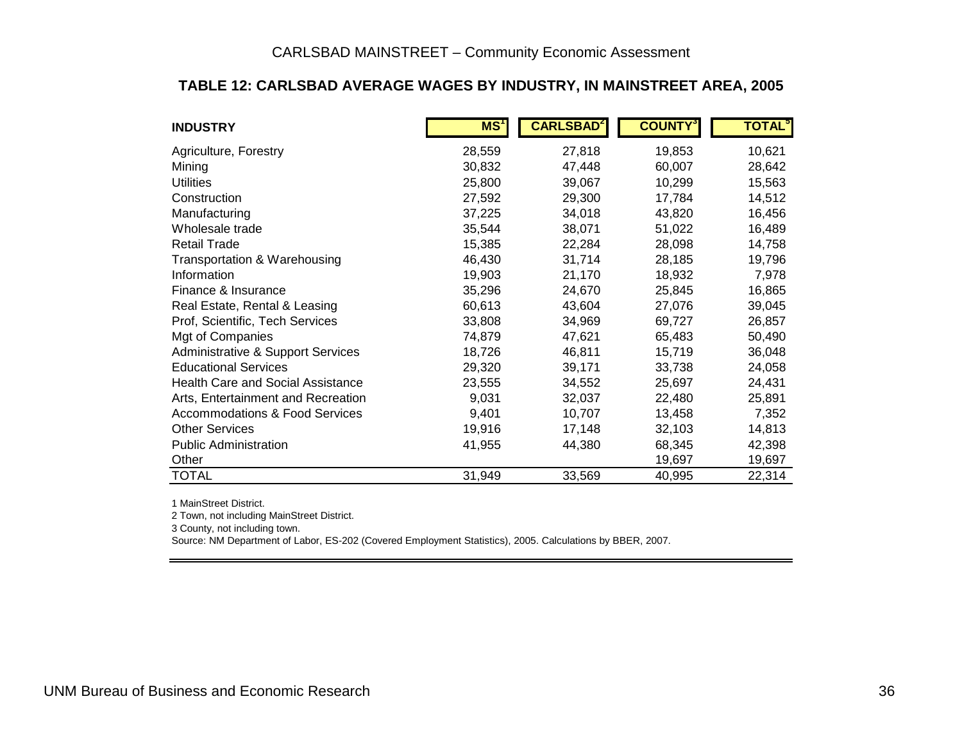#### **TABLE 12: CARLSBAD AVERAGE WAGES BY INDUSTRY, IN MAINSTREET AREA, 2005**

| <b>INDUSTRY</b>                           | MS <sup>1</sup> | <b>CARLSBAD</b> <sup>2</sup> | <b>COUNTY</b> | <b>TOTAL</b> <sup>5</sup> |
|-------------------------------------------|-----------------|------------------------------|---------------|---------------------------|
| Agriculture, Forestry                     | 28,559          | 27,818                       | 19,853        | 10,621                    |
| Mining                                    | 30,832          | 47,448                       | 60,007        | 28,642                    |
| <b>Utilities</b>                          | 25,800          | 39,067                       | 10,299        | 15,563                    |
| Construction                              | 27,592          | 29,300                       | 17,784        | 14,512                    |
| Manufacturing                             | 37,225          | 34,018                       | 43,820        | 16,456                    |
| Wholesale trade                           | 35,544          | 38,071                       | 51,022        | 16,489                    |
| <b>Retail Trade</b>                       | 15,385          | 22,284                       | 28,098        | 14,758                    |
| Transportation & Warehousing              | 46,430          | 31,714                       | 28,185        | 19,796                    |
| Information                               | 19,903          | 21,170                       | 18,932        | 7,978                     |
| Finance & Insurance                       | 35,296          | 24,670                       | 25,845        | 16,865                    |
| Real Estate, Rental & Leasing             | 60,613          | 43,604                       | 27,076        | 39,045                    |
| Prof, Scientific, Tech Services           | 33,808          | 34,969                       | 69,727        | 26,857                    |
| Mgt of Companies                          | 74,879          | 47,621                       | 65,483        | 50,490                    |
| Administrative & Support Services         | 18,726          | 46,811                       | 15,719        | 36,048                    |
| <b>Educational Services</b>               | 29,320          | 39,171                       | 33,738        | 24,058                    |
| <b>Health Care and Social Assistance</b>  | 23,555          | 34,552                       | 25,697        | 24,431                    |
| Arts, Entertainment and Recreation        | 9,031           | 32,037                       | 22,480        | 25,891                    |
| <b>Accommodations &amp; Food Services</b> | 9,401           | 10,707                       | 13,458        | 7,352                     |
| <b>Other Services</b>                     | 19,916          | 17,148                       | 32,103        | 14,813                    |
| <b>Public Administration</b>              | 41,955          | 44,380                       | 68,345        | 42,398                    |
| Other                                     |                 |                              | 19,697        | 19,697                    |
| <b>TOTAL</b>                              | 31,949          | 33,569                       | 40,995        | 22,314                    |

1 MainStreet District.

2 Town, not including MainStreet District.

3 County, not including town.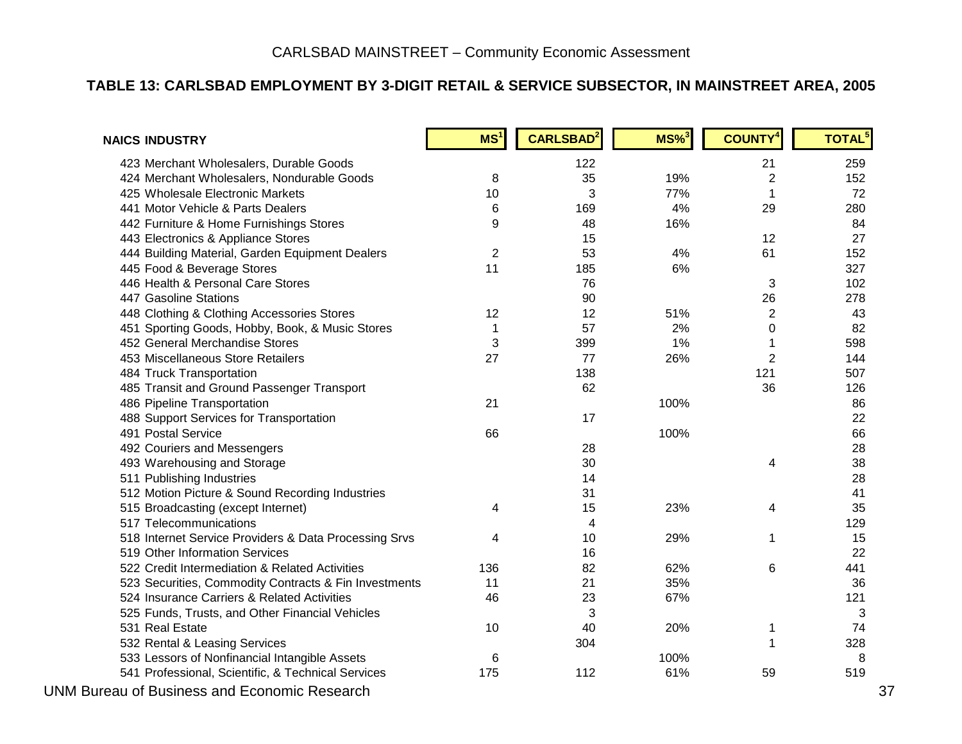#### **TABLE 13: CARLSBAD EMPLOYMENT BY 3-DIGIT RETAIL & SERVICE SUBSECTOR, IN MAINSTREET AREA, 2005**

| <b>NAICS INDUSTRY</b>                                 | MS <sup>1</sup> | <b>CARLSBAD</b> | $MS\%$ <sup>3</sup> | <b>COUNTY</b> <sup>4</sup> | <b>TOTAL<sup>5</sup></b> |
|-------------------------------------------------------|-----------------|-----------------|---------------------|----------------------------|--------------------------|
| 423 Merchant Wholesalers, Durable Goods               |                 | 122             |                     | 21                         | 259                      |
| 424 Merchant Wholesalers, Nondurable Goods            | 8               | 35              | 19%                 | $\overline{2}$             | 152                      |
| 425 Wholesale Electronic Markets                      | 10              | 3               | 77%                 | 1                          | 72                       |
| 441 Motor Vehicle & Parts Dealers                     | 6               | 169             | 4%                  | 29                         | 280                      |
| 442 Furniture & Home Furnishings Stores               | 9               | 48              | 16%                 |                            | 84                       |
| 443 Electronics & Appliance Stores                    |                 | 15              |                     | 12                         | 27                       |
| 444 Building Material, Garden Equipment Dealers       | $\overline{2}$  | 53              | 4%                  | 61                         | 152                      |
| 445 Food & Beverage Stores                            | 11              | 185             | 6%                  |                            | 327                      |
| 446 Health & Personal Care Stores                     |                 | 76              |                     | 3                          | 102                      |
| 447 Gasoline Stations                                 |                 | 90              |                     | 26                         | 278                      |
| 448 Clothing & Clothing Accessories Stores            | 12              | 12              | 51%                 | $\overline{2}$             | 43                       |
| 451 Sporting Goods, Hobby, Book, & Music Stores       | $\mathbf{1}$    | 57              | 2%                  | 0                          | 82                       |
| 452 General Merchandise Stores                        | 3               | 399             | 1%                  |                            | 598                      |
| 453 Miscellaneous Store Retailers                     | 27              | 77              | 26%                 | $\overline{2}$             | 144                      |
| 484 Truck Transportation                              |                 | 138             |                     | 121                        | 507                      |
| 485 Transit and Ground Passenger Transport            |                 | 62              |                     | 36                         | 126                      |
| 486 Pipeline Transportation                           | 21              |                 | 100%                |                            | 86                       |
| 488 Support Services for Transportation               |                 | 17              |                     |                            | 22                       |
| 491 Postal Service                                    | 66              |                 | 100%                |                            | 66                       |
| 492 Couriers and Messengers                           |                 | 28              |                     |                            | 28                       |
| 493 Warehousing and Storage                           |                 | 30              |                     | 4                          | 38                       |
| 511 Publishing Industries                             |                 | 14              |                     |                            | 28                       |
| 512 Motion Picture & Sound Recording Industries       |                 | 31              |                     |                            | 41                       |
| 515 Broadcasting (except Internet)                    | 4               | 15              | 23%                 | 4                          | 35                       |
| 517 Telecommunications                                |                 | 4               |                     |                            | 129                      |
| 518 Internet Service Providers & Data Processing Srvs | 4               | 10              | 29%                 | 1                          | 15                       |
| 519 Other Information Services                        |                 | 16              |                     |                            | 22                       |
| 522 Credit Intermediation & Related Activities        | 136             | 82              | 62%                 | 6                          | 441                      |
| 523 Securities, Commodity Contracts & Fin Investments | 11              | 21              | 35%                 |                            | 36                       |
| 524 Insurance Carriers & Related Activities           | 46              | 23              | 67%                 |                            | 121                      |
| 525 Funds, Trusts, and Other Financial Vehicles       |                 | 3               |                     |                            | 3                        |
| 531 Real Estate                                       | 10              | 40              | 20%                 | 1                          | 74                       |
| 532 Rental & Leasing Services                         |                 | 304             |                     | 1                          | 328                      |
| 533 Lessors of Nonfinancial Intangible Assets         | 6               |                 | 100%                |                            | 8                        |
| 541 Professional, Scientific, & Technical Services    | 175             | 112             | 61%                 | 59                         | 519                      |
| $\overline{a}$ Durings and Fernands December          |                 |                 |                     |                            |                          |

UNM Bureau of Business and Economic Research 37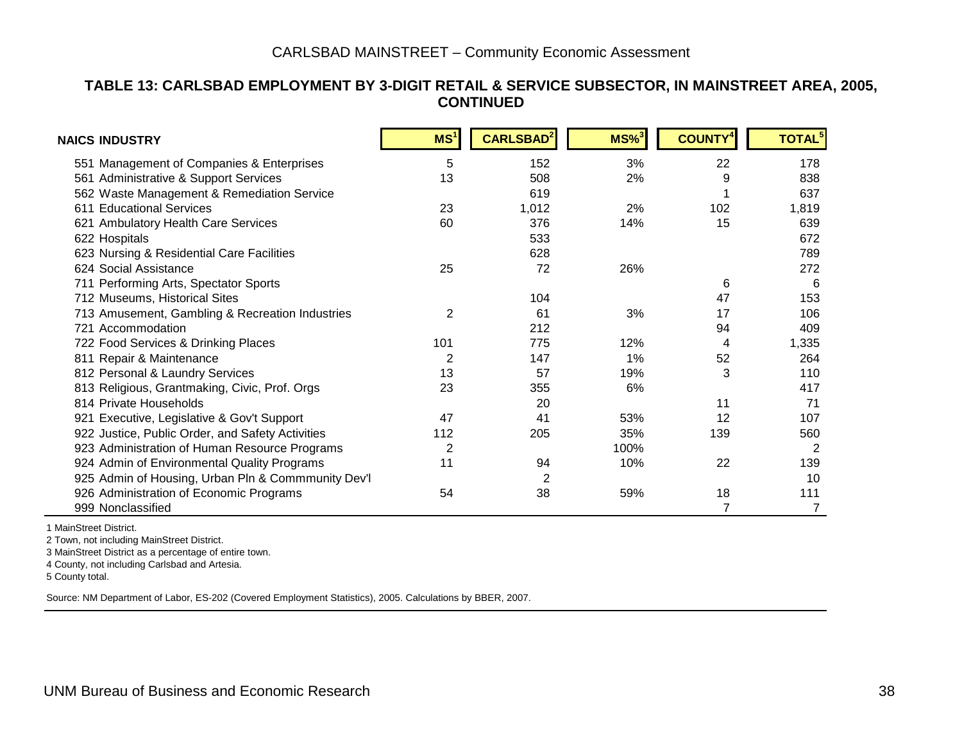#### **TABLE 13: CARLSBAD EMPLOYMENT BY 3-DIGIT RETAIL & SERVICE SUBSECTOR, IN MAINSTREET AREA, 2005, CONTINUED**

| NAICS INDUSTRY                                     | MS <sup>1</sup> | <b>CARLSBAD</b> <sup>2</sup> | $MS\%$ <sup>3</sup> | <b>COUNTY<sup>4</sup></b> | <b>TOTAL<sup>5</sup></b> |
|----------------------------------------------------|-----------------|------------------------------|---------------------|---------------------------|--------------------------|
| 551 Management of Companies & Enterprises          | 5               | 152                          | 3%                  | 22                        | 178                      |
| 561 Administrative & Support Services              | 13              | 508                          | 2%                  | 9                         | 838                      |
| 562 Waste Management & Remediation Service         |                 | 619                          |                     |                           | 637                      |
| 611 Educational Services                           | 23              | 1,012                        | 2%                  | 102                       | 1,819                    |
| 621 Ambulatory Health Care Services                | 60              | 376                          | 14%                 | 15                        | 639                      |
| 622 Hospitals                                      |                 | 533                          |                     |                           | 672                      |
| 623 Nursing & Residential Care Facilities          |                 | 628                          |                     |                           | 789                      |
| 624 Social Assistance                              | 25              | 72                           | 26%                 |                           | 272                      |
| 711 Performing Arts, Spectator Sports              |                 |                              |                     | 6                         | 6                        |
| 712 Museums, Historical Sites                      |                 | 104                          |                     | 47                        | 153                      |
| 713 Amusement, Gambling & Recreation Industries    | 2               | 61                           | 3%                  | 17                        | 106                      |
| 721 Accommodation                                  |                 | 212                          |                     | 94                        | 409                      |
| 722 Food Services & Drinking Places                | 101             | 775                          | 12%                 | 4                         | 1,335                    |
| 811 Repair & Maintenance                           | $\overline{2}$  | 147                          | 1%                  | 52                        | 264                      |
| 812 Personal & Laundry Services                    | 13              | 57                           | 19%                 | 3                         | 110                      |
| 813 Religious, Grantmaking, Civic, Prof. Orgs      | 23              | 355                          | 6%                  |                           | 417                      |
| 814 Private Households                             |                 | 20                           |                     | 11                        | 71                       |
| 921 Executive, Legislative & Gov't Support         | 47              | 41                           | 53%                 | 12                        | 107                      |
| 922 Justice, Public Order, and Safety Activities   | 112             | 205                          | 35%                 | 139                       | 560                      |
| 923 Administration of Human Resource Programs      | $\overline{2}$  |                              | 100%                |                           | $\overline{2}$           |
| 924 Admin of Environmental Quality Programs        | 11              | 94                           | 10%                 | 22                        | 139                      |
| 925 Admin of Housing, Urban Pln & Commmunity Dev'l |                 | 2                            |                     |                           | 10                       |
| 926 Administration of Economic Programs            | 54              | 38                           | 59%                 | 18                        | 111                      |
| 999 Nonclassified                                  |                 |                              |                     | 7                         | 7                        |

1 MainStreet District.

2 Town, not including MainStreet District.

3 MainStreet District as a percentage of entire town.

4 County, not including Carlsbad and Artesia.

5 County total.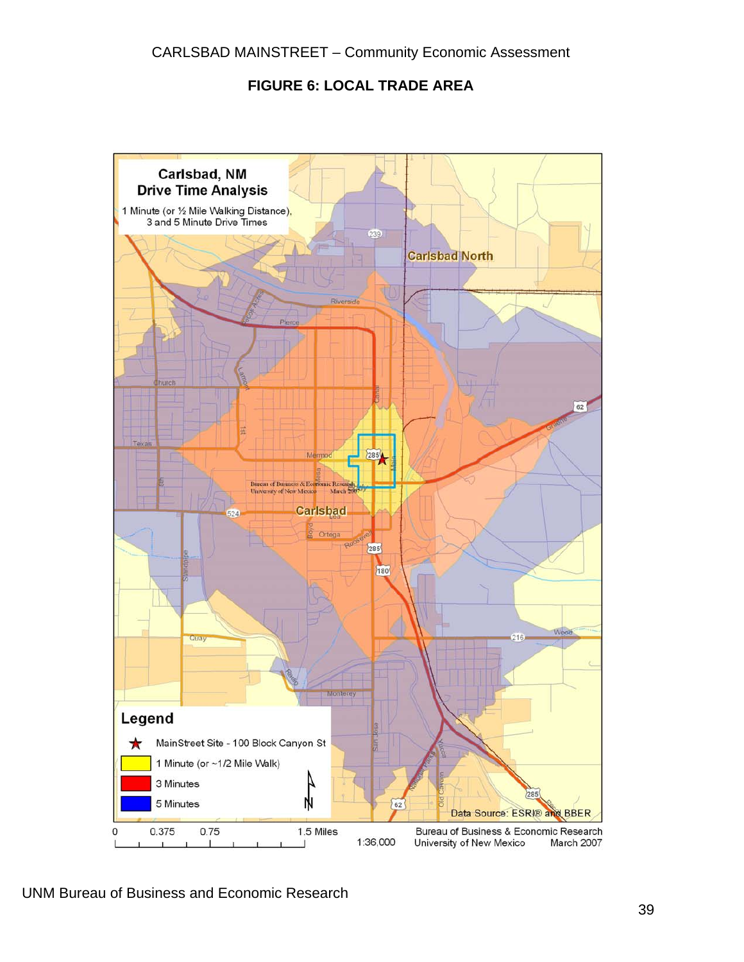#### **FIGURE 6: LOCAL TRADE AREA**

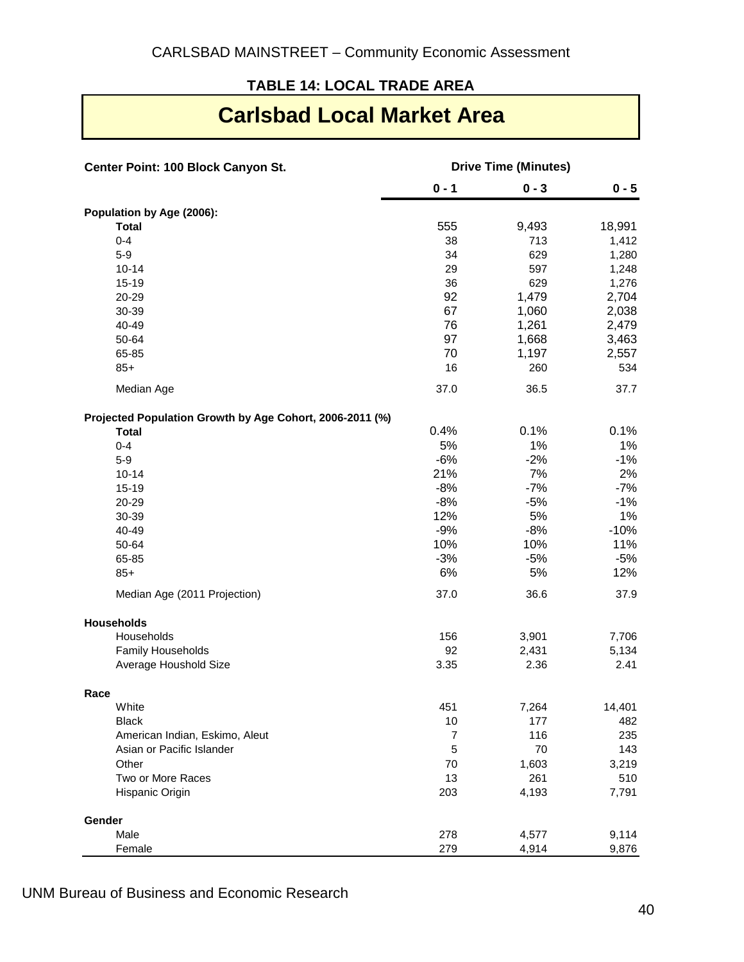#### **TABLE 14: LOCAL TRADE AREA**

### **Carlsbad Local Market Area**

| Center Point: 100 Block Canyon St.                       | <b>Drive Time (Minutes)</b> |         |         |
|----------------------------------------------------------|-----------------------------|---------|---------|
|                                                          | $0 - 1$                     | $0 - 3$ | $0 - 5$ |
| Population by Age (2006):                                |                             |         |         |
| <b>Total</b>                                             | 555                         | 9,493   | 18,991  |
| $0 - 4$                                                  | 38                          | 713     | 1,412   |
| $5-9$                                                    | 34                          | 629     | 1,280   |
| $10 - 14$                                                | 29                          | 597     | 1,248   |
| 15-19                                                    | 36                          | 629     | 1,276   |
| 20-29                                                    | 92                          | 1,479   | 2,704   |
| 30-39                                                    | 67                          | 1,060   | 2,038   |
| 40-49                                                    | 76                          | 1,261   | 2,479   |
| 50-64                                                    | 97                          | 1,668   | 3,463   |
| 65-85                                                    | 70                          | 1,197   | 2,557   |
| $85+$                                                    | 16                          | 260     | 534     |
| Median Age                                               | 37.0                        | 36.5    | 37.7    |
| Projected Population Growth by Age Cohort, 2006-2011 (%) |                             |         |         |
| <b>Total</b>                                             | 0.4%                        | 0.1%    | 0.1%    |
| $0 - 4$                                                  | 5%                          | 1%      | 1%      |
| $5-9$                                                    | $-6%$                       | $-2%$   | $-1%$   |
| $10 - 14$                                                | 21%                         | 7%      | 2%      |
| $15 - 19$                                                | $-8%$                       | $-7%$   | $-7%$   |
| 20-29                                                    | $-8%$                       | $-5%$   | $-1%$   |
| 30-39                                                    | 12%                         | $5%$    | 1%      |
| 40-49                                                    | $-9%$                       | $-8%$   | $-10%$  |
| 50-64                                                    | 10%                         | 10%     | 11%     |
| 65-85                                                    | $-3%$                       | $-5%$   | $-5%$   |
| $85+$                                                    | 6%                          | 5%      | 12%     |
| Median Age (2011 Projection)                             | 37.0                        | 36.6    | 37.9    |
| <b>Households</b>                                        |                             |         |         |
| Households                                               | 156                         | 3,901   | 7,706   |
| Family Households                                        | 92                          | 2,431   | 5,134   |
| Average Houshold Size                                    | 3.35                        | 2.36    | 2.41    |
| Race                                                     |                             |         |         |
| White                                                    | 451                         | 7,264   | 14,401  |
| Black                                                    | 10                          | 177     | 482     |
| American Indian, Eskimo, Aleut                           | $\boldsymbol{7}$            | 116     | 235     |
| Asian or Pacific Islander                                | 5                           | 70      | 143     |
| Other                                                    | 70                          | 1,603   | 3,219   |
| Two or More Races                                        | 13                          | 261     | 510     |
| Hispanic Origin                                          | 203                         | 4,193   | 7,791   |
| Gender                                                   |                             |         |         |
| Male                                                     | 278                         | 4,577   | 9,114   |
| Female                                                   | 279                         | 4,914   | 9,876   |

UNM Bureau of Business and Economic Research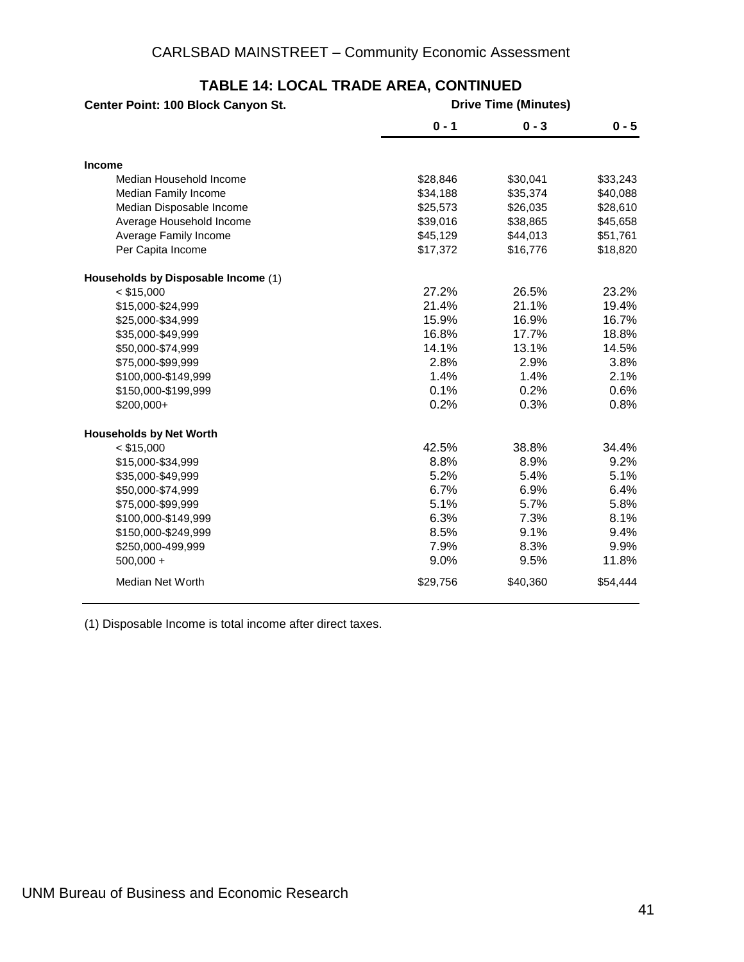| Center Point: 100 Block Canyon St.  |          | <b>Drive Time (Minutes)</b> |          |  |
|-------------------------------------|----------|-----------------------------|----------|--|
|                                     | $0 - 1$  | $0 - 3$                     | $0 - 5$  |  |
| <b>Income</b>                       |          |                             |          |  |
| Median Household Income             | \$28,846 | \$30,041                    | \$33,243 |  |
| Median Family Income                | \$34,188 | \$35,374                    | \$40,088 |  |
| Median Disposable Income            | \$25,573 | \$26,035                    | \$28,610 |  |
| Average Household Income            | \$39,016 | \$38,865                    | \$45,658 |  |
| Average Family Income               | \$45,129 | \$44,013                    | \$51,761 |  |
| Per Capita Income                   | \$17,372 | \$16,776                    | \$18,820 |  |
| Households by Disposable Income (1) |          |                             |          |  |
| $<$ \$15,000                        | 27.2%    | 26.5%                       | 23.2%    |  |
| \$15,000-\$24,999                   | 21.4%    | 21.1%                       | 19.4%    |  |
| \$25,000-\$34,999                   | 15.9%    | 16.9%                       | 16.7%    |  |
| \$35,000-\$49,999                   | 16.8%    | 17.7%                       | 18.8%    |  |
| \$50,000-\$74,999                   | 14.1%    | 13.1%                       | 14.5%    |  |
| \$75,000-\$99,999                   | 2.8%     | 2.9%                        | 3.8%     |  |
| \$100,000-\$149,999                 | 1.4%     | 1.4%                        | 2.1%     |  |
| \$150,000-\$199,999                 | 0.1%     | 0.2%                        | 0.6%     |  |
| \$200,000+                          | 0.2%     | 0.3%                        | 0.8%     |  |
| <b>Households by Net Worth</b>      |          |                             |          |  |
| $<$ \$15,000                        | 42.5%    | 38.8%                       | 34.4%    |  |
| \$15,000-\$34,999                   | 8.8%     | 8.9%                        | 9.2%     |  |
| \$35,000-\$49,999                   | 5.2%     | 5.4%                        | 5.1%     |  |
| \$50,000-\$74,999                   | 6.7%     | 6.9%                        | 6.4%     |  |
| \$75,000-\$99,999                   | 5.1%     | 5.7%                        | 5.8%     |  |
| \$100,000-\$149,999                 | 6.3%     | 7.3%                        | 8.1%     |  |
| \$150,000-\$249,999                 | 8.5%     | 9.1%                        | 9.4%     |  |
| \$250,000-499,999                   | 7.9%     | 8.3%                        | 9.9%     |  |
| $500,000 +$                         | 9.0%     | 9.5%                        | 11.8%    |  |
| Median Net Worth                    | \$29,756 | \$40,360                    | \$54,444 |  |

#### **TABLE 14: LOCAL TRADE AREA, CONTINUED**

(1) Disposable Income is total income after direct taxes.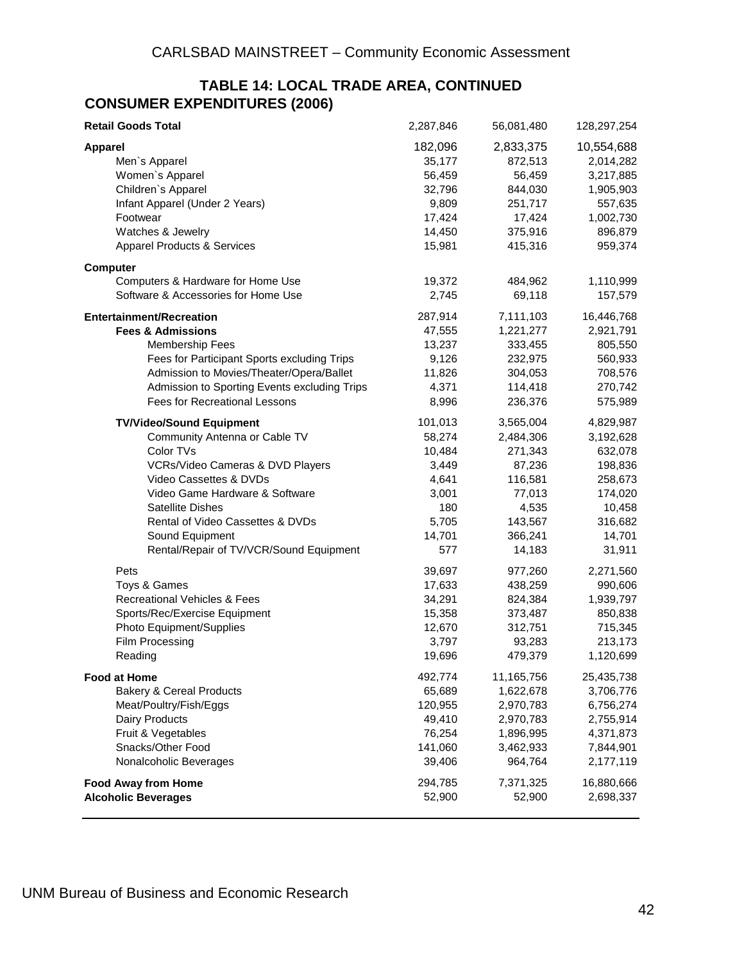#### **TABLE 14: LOCAL TRADE AREA, CONTINUED CONSUMER EXPENDITURES (2006)**

| <b>Retail Goods Total</b>                    | 2,287,846 | 56,081,480 | 128,297,254 |
|----------------------------------------------|-----------|------------|-------------|
| <b>Apparel</b>                               | 182,096   | 2,833,375  | 10,554,688  |
| Men's Apparel                                | 35,177    | 872,513    | 2,014,282   |
| Women's Apparel                              | 56,459    | 56,459     | 3,217,885   |
| Children's Apparel                           | 32,796    | 844,030    | 1,905,903   |
| Infant Apparel (Under 2 Years)               | 9,809     | 251,717    | 557,635     |
| Footwear                                     | 17,424    | 17,424     | 1,002,730   |
| Watches & Jewelry                            | 14,450    | 375,916    | 896,879     |
| <b>Apparel Products &amp; Services</b>       | 15,981    | 415,316    | 959,374     |
|                                              |           |            |             |
| <b>Computer</b>                              |           |            |             |
| Computers & Hardware for Home Use            | 19,372    | 484,962    | 1,110,999   |
| Software & Accessories for Home Use          | 2,745     | 69,118     | 157,579     |
| <b>Entertainment/Recreation</b>              | 287,914   | 7,111,103  | 16,446,768  |
| <b>Fees &amp; Admissions</b>                 | 47,555    | 1,221,277  | 2,921,791   |
| <b>Membership Fees</b>                       | 13,237    | 333,455    | 805,550     |
| Fees for Participant Sports excluding Trips  | 9,126     | 232,975    | 560,933     |
| Admission to Movies/Theater/Opera/Ballet     | 11,826    | 304,053    | 708,576     |
| Admission to Sporting Events excluding Trips | 4,371     | 114,418    | 270,742     |
| Fees for Recreational Lessons                | 8,996     | 236,376    | 575,989     |
| <b>TV/Video/Sound Equipment</b>              | 101,013   | 3,565,004  | 4,829,987   |
| Community Antenna or Cable TV                | 58,274    | 2,484,306  | 3,192,628   |
| Color TVs                                    | 10,484    | 271,343    | 632,078     |
| VCRs/Video Cameras & DVD Players             | 3,449     | 87,236     | 198,836     |
| Video Cassettes & DVDs                       | 4,641     | 116,581    | 258,673     |
| Video Game Hardware & Software               | 3,001     | 77,013     | 174,020     |
| <b>Satellite Dishes</b>                      | 180       | 4,535      | 10,458      |
| Rental of Video Cassettes & DVDs             | 5,705     | 143,567    | 316,682     |
| Sound Equipment                              | 14,701    | 366,241    | 14,701      |
| Rental/Repair of TV/VCR/Sound Equipment      | 577       | 14,183     | 31,911      |
| Pets                                         | 39,697    | 977,260    | 2,271,560   |
| Toys & Games                                 | 17,633    | 438,259    | 990,606     |
| Recreational Vehicles & Fees                 | 34,291    | 824,384    | 1,939,797   |
| Sports/Rec/Exercise Equipment                | 15,358    | 373,487    | 850,838     |
| Photo Equipment/Supplies                     | 12,670    | 312,751    | 715,345     |
| Film Processing                              | 3,797     | 93,283     | 213,173     |
| Reading                                      | 19,696    | 479,379    | 1,120,699   |
| <b>Food at Home</b>                          | 492,774   | 11,165,756 | 25,435,738  |
| <b>Bakery &amp; Cereal Products</b>          | 65,689    | 1,622,678  | 3,706,776   |
| Meat/Poultry/Fish/Eggs                       | 120,955   | 2,970,783  | 6,756,274   |
| Dairy Products                               | 49,410    | 2,970,783  | 2,755,914   |
| Fruit & Vegetables                           | 76,254    | 1,896,995  | 4,371,873   |
| Snacks/Other Food                            | 141,060   | 3,462,933  | 7,844,901   |
| Nonalcoholic Beverages                       | 39,406    | 964,764    | 2,177,119   |
| <b>Food Away from Home</b>                   | 294,785   | 7,371,325  | 16,880,666  |
| <b>Alcoholic Beverages</b>                   | 52,900    | 52,900     | 2,698,337   |
|                                              |           |            |             |